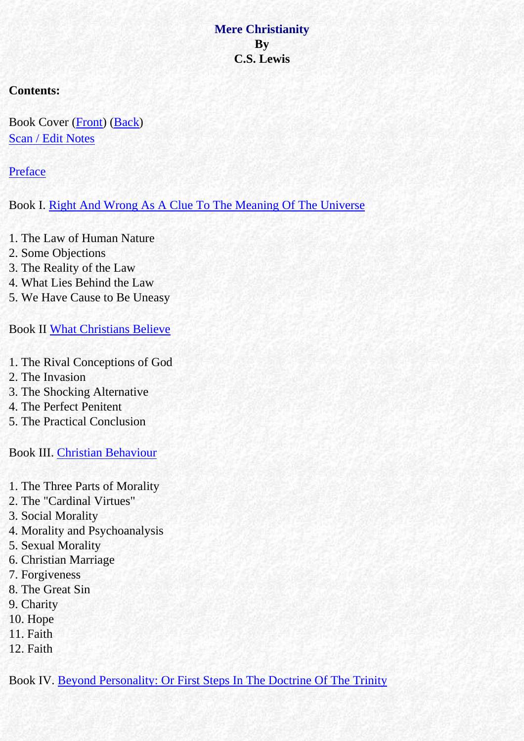# **Mere Christianity By C.S. Lewis**

### **Contents:**

Book Cover [\(Front\)](#page-2-0) [\(Back](#page-3-0)) [Scan / Edit Notes](#page-4-0)

# [Preface](#page-5-0)

Book I. [Right And Wrong As A Clue To The Meaning Of The Universe](#page-10-0)

- 1. The Law of Human Nature
- 2. Some Objections
- 3. The Reality of the Law
- 4. What Lies Behind the Law
- 5. We Have Cause to Be Uneasy

Book II [What Christians Believe](#page-23-0)

- 1. The Rival Conceptions of God
- 2. The Invasion
- 3. The Shocking Alternative
- 4. The Perfect Penitent
- 5. The Practical Conclusion

Book III. [Christian Behaviour](#page-37-0)

- 1. The Three Parts of Morality
- 2. The "Cardinal Virtues"
- 3. Social Morality
- 4. Morality and Psychoanalysis
- 5. Sexual Morality
- 6. Christian Marriage
- 7. Forgiveness
- 8. The Great Sin
- 9. Charity
- 10. Hope
- 11. Faith
- 12. Faith

Book IV. [Beyond Personality: Or First Steps In The Doctrine Of The Trinity](#page-74-0)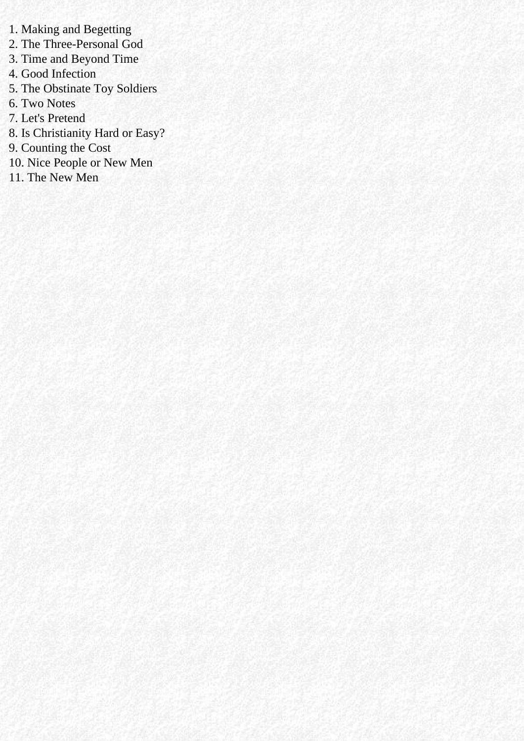- 1. Making and Begetting
- 2. The Three-Personal God
- 3. Time and Beyond Time
- 4. Good Infection
- 5. The Obstinate Toy Soldiers
- 6. Two Notes
- 7. Let's Pretend
- 8. Is Christianity Hard or Easy?
- 9. Counting the Cost
- 10. Nice People or New Men
- 11. The New Men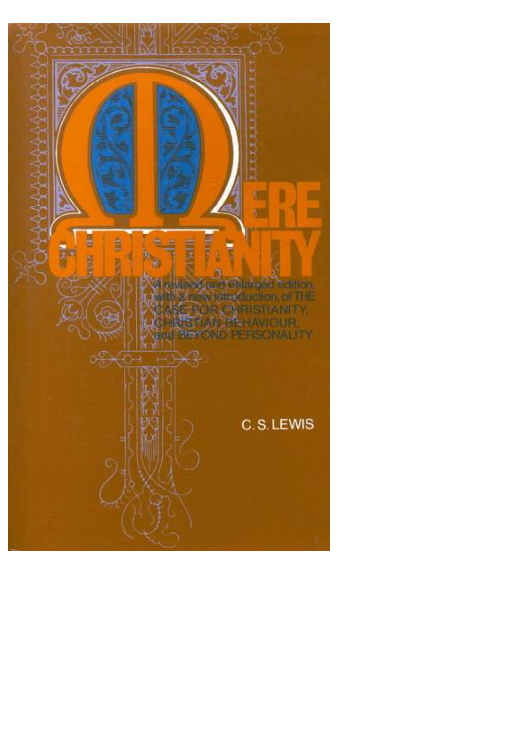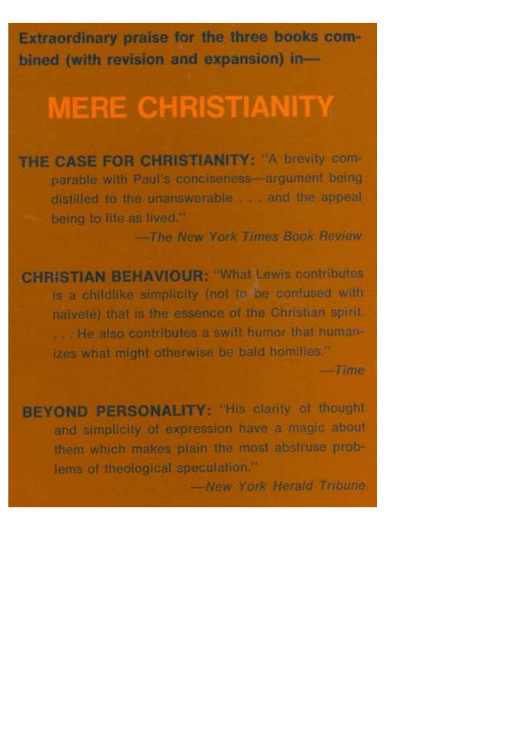Extraordinary praise for the three books combined (with revision and expansion) in-

# **MERE CHRISTIANITY**

THE CASE FOR CHRISTIANITY: "A brevity comparable with Paul's conciseness-argument being distilled to the unanswerable . . . and the appeal being to life as lived."

-The New York Times Book Review

**CHRISTIAN BEHAVIOUR: "What Lewis contributes** is a childlike simplicity (not to be confused with naïveté) that is the essence of the Christian spirit. ... He also contributes a swift humor that humanizes what might otherwise be bald homilies."

 $-$ Time

BEYOND PERSONALITY: "His clarity of thought and simplicity of expression have a magic about them which makes plain the most abstruse problems of theological speculation."

-New York Herald Tribune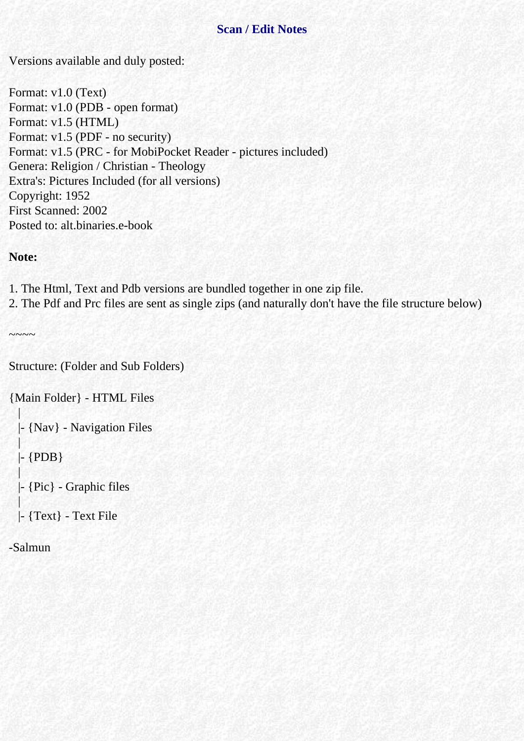### **Scan / Edit Notes**

<span id="page-4-0"></span>Versions available and duly posted:

Format: v1.0 (Text) Format: v1.0 (PDB - open format) Format: v1.5 (HTML) Format: v1.5 (PDF - no security) Format: v1.5 (PRC - for MobiPocket Reader - pictures included) Genera: Religion / Christian - Theology Extra's: Pictures Included (for all versions) Copyright: 1952 First Scanned: 2002 Posted to: alt.binaries.e-book

# **Note:**

- 1. The Html, Text and Pdb versions are bundled together in one zip file.
- 2. The Pdf and Prc files are sent as single zips (and naturally don't have the file structure below)

```
\sim\sim\sim\sim
```
Structure: (Folder and Sub Folders)

{Main Folder} - HTML Files

 | |- {Nav} - Navigation Files

|- {PDB}

|

|

 | |- {Pic} - Graphic files

|- {Text} - Text File

### -Salmun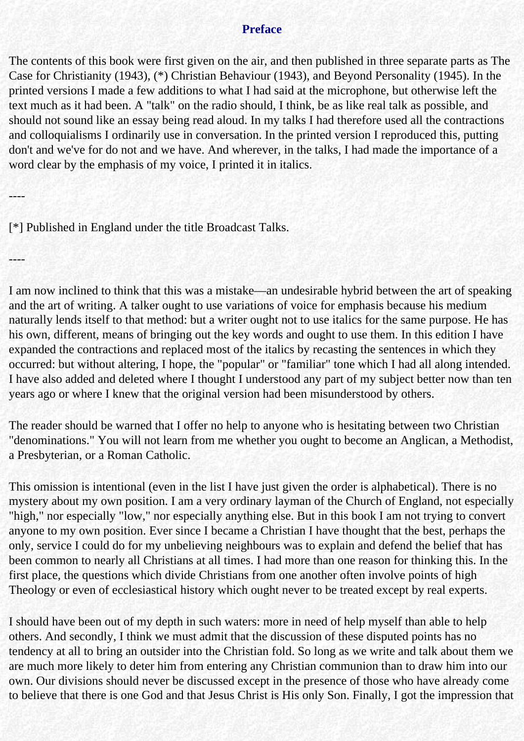#### **Preface**

<span id="page-5-0"></span>The contents of this book were first given on the air, and then published in three separate parts as The Case for Christianity (1943), (\*) Christian Behaviour (1943), and Beyond Personality (1945). In the printed versions I made a few additions to what I had said at the microphone, but otherwise left the text much as it had been. A "talk" on the radio should, I think, be as like real talk as possible, and should not sound like an essay being read aloud. In my talks I had therefore used all the contractions and colloquialisms I ordinarily use in conversation. In the printed version I reproduced this, putting don't and we've for do not and we have. And wherever, in the talks, I had made the importance of a word clear by the emphasis of my voice, I printed it in italics.

----

[\*] Published in England under the title Broadcast Talks.

----

I am now inclined to think that this was a mistake—an undesirable hybrid between the art of speaking and the art of writing. A talker ought to use variations of voice for emphasis because his medium naturally lends itself to that method: but a writer ought not to use italics for the same purpose. He has his own, different, means of bringing out the key words and ought to use them. In this edition I have expanded the contractions and replaced most of the italics by recasting the sentences in which they occurred: but without altering, I hope, the "popular" or "familiar" tone which I had all along intended. I have also added and deleted where I thought I understood any part of my subject better now than ten years ago or where I knew that the original version had been misunderstood by others.

The reader should be warned that I offer no help to anyone who is hesitating between two Christian "denominations." You will not learn from me whether you ought to become an Anglican, a Methodist, a Presbyterian, or a Roman Catholic.

This omission is intentional (even in the list I have just given the order is alphabetical). There is no mystery about my own position. I am a very ordinary layman of the Church of England, not especially "high," nor especially "low," nor especially anything else. But in this book I am not trying to convert anyone to my own position. Ever since I became a Christian I have thought that the best, perhaps the only, service I could do for my unbelieving neighbours was to explain and defend the belief that has been common to nearly all Christians at all times. I had more than one reason for thinking this. In the first place, the questions which divide Christians from one another often involve points of high Theology or even of ecclesiastical history which ought never to be treated except by real experts.

I should have been out of my depth in such waters: more in need of help myself than able to help others. And secondly, I think we must admit that the discussion of these disputed points has no tendency at all to bring an outsider into the Christian fold. So long as we write and talk about them we are much more likely to deter him from entering any Christian communion than to draw him into our own. Our divisions should never be discussed except in the presence of those who have already come to believe that there is one God and that Jesus Christ is His only Son. Finally, I got the impression that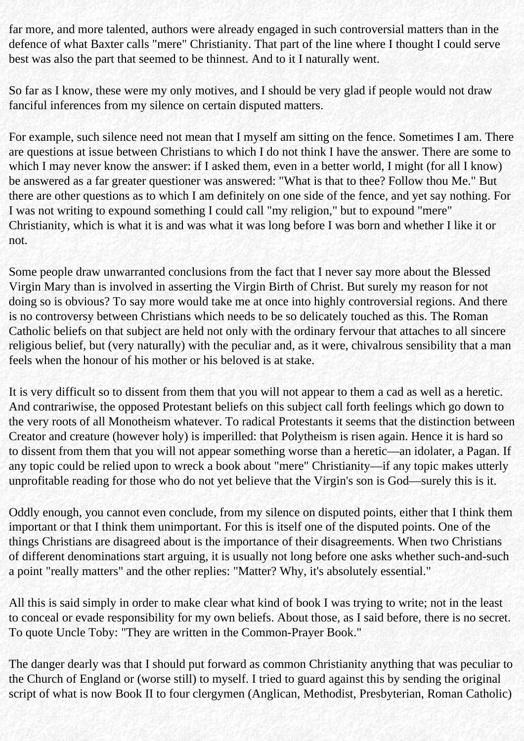far more, and more talented, authors were already engaged in such controversial matters than in the defence of what Baxter calls "mere" Christianity. That part of the line where I thought I could serve best was also the part that seemed to be thinnest. And to it I naturally went.

So far as I know, these were my only motives, and I should be very glad if people would not draw fanciful inferences from my silence on certain disputed matters.

For example, such silence need not mean that I myself am sitting on the fence. Sometimes I am. There are questions at issue between Christians to which I do not think I have the answer. There are some to which I may never know the answer: if I asked them, even in a better world, I might (for all I know) be answered as a far greater questioner was answered: "What is that to thee? Follow thou Me." But there are other questions as to which I am definitely on one side of the fence, and yet say nothing. For I was not writing to expound something I could call "my religion," but to expound "mere" Christianity, which is what it is and was what it was long before I was born and whether I like it or not.

Some people draw unwarranted conclusions from the fact that I never say more about the Blessed Virgin Mary than is involved in asserting the Virgin Birth of Christ. But surely my reason for not doing so is obvious? To say more would take me at once into highly controversial regions. And there is no controversy between Christians which needs to be so delicately touched as this. The Roman Catholic beliefs on that subject are held not only with the ordinary fervour that attaches to all sincere religious belief, but (very naturally) with the peculiar and, as it were, chivalrous sensibility that a man feels when the honour of his mother or his beloved is at stake.

It is very difficult so to dissent from them that you will not appear to them a cad as well as a heretic. And contrariwise, the opposed Protestant beliefs on this subject call forth feelings which go down to the very roots of all Monotheism whatever. To radical Protestants it seems that the distinction between Creator and creature (however holy) is imperilled: that Polytheism is risen again. Hence it is hard so to dissent from them that you will not appear something worse than a heretic—an idolater, a Pagan. If any topic could be relied upon to wreck a book about "mere" Christianity—if any topic makes utterly unprofitable reading for those who do not yet believe that the Virgin's son is God—surely this is it.

Oddly enough, you cannot even conclude, from my silence on disputed points, either that I think them important or that I think them unimportant. For this is itself one of the disputed points. One of the things Christians are disagreed about is the importance of their disagreements. When two Christians of different denominations start arguing, it is usually not long before one asks whether such-and-such a point "really matters" and the other replies: "Matter? Why, it's absolutely essential."

All this is said simply in order to make clear what kind of book I was trying to write; not in the least to conceal or evade responsibility for my own beliefs. About those, as I said before, there is no secret. To quote Uncle Toby: "They are written in the Common-Prayer Book."

The danger dearly was that I should put forward as common Christianity anything that was peculiar to the Church of England or (worse still) to myself. I tried to guard against this by sending the original script of what is now Book II to four clergymen (Anglican, Methodist, Presbyterian, Roman Catholic)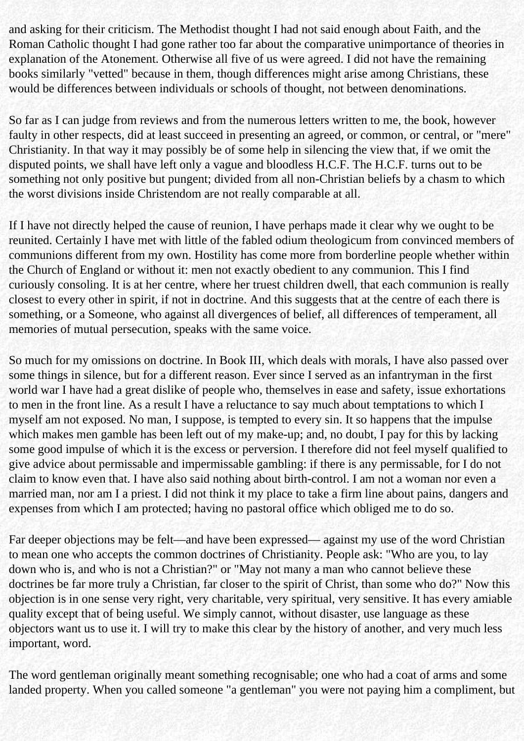and asking for their criticism. The Methodist thought I had not said enough about Faith, and the Roman Catholic thought I had gone rather too far about the comparative unimportance of theories in explanation of the Atonement. Otherwise all five of us were agreed. I did not have the remaining books similarly "vetted" because in them, though differences might arise among Christians, these would be differences between individuals or schools of thought, not between denominations.

So far as I can judge from reviews and from the numerous letters written to me, the book, however faulty in other respects, did at least succeed in presenting an agreed, or common, or central, or "mere" Christianity. In that way it may possibly be of some help in silencing the view that, if we omit the disputed points, we shall have left only a vague and bloodless H.C.F. The H.C.F. turns out to be something not only positive but pungent; divided from all non-Christian beliefs by a chasm to which the worst divisions inside Christendom are not really comparable at all.

If I have not directly helped the cause of reunion, I have perhaps made it clear why we ought to be reunited. Certainly I have met with little of the fabled odium theologicum from convinced members of communions different from my own. Hostility has come more from borderline people whether within the Church of England or without it: men not exactly obedient to any communion. This I find curiously consoling. It is at her centre, where her truest children dwell, that each communion is really closest to every other in spirit, if not in doctrine. And this suggests that at the centre of each there is something, or a Someone, who against all divergences of belief, all differences of temperament, all memories of mutual persecution, speaks with the same voice.

So much for my omissions on doctrine. In Book III, which deals with morals, I have also passed over some things in silence, but for a different reason. Ever since I served as an infantryman in the first world war I have had a great dislike of people who, themselves in ease and safety, issue exhortations to men in the front line. As a result I have a reluctance to say much about temptations to which I myself am not exposed. No man, I suppose, is tempted to every sin. It so happens that the impulse which makes men gamble has been left out of my make-up; and, no doubt, I pay for this by lacking some good impulse of which it is the excess or perversion. I therefore did not feel myself qualified to give advice about permissable and impermissable gambling: if there is any permissable, for I do not claim to know even that. I have also said nothing about birth-control. I am not a woman nor even a married man, nor am I a priest. I did not think it my place to take a firm line about pains, dangers and expenses from which I am protected; having no pastoral office which obliged me to do so.

Far deeper objections may be felt—and have been expressed— against my use of the word Christian to mean one who accepts the common doctrines of Christianity. People ask: "Who are you, to lay down who is, and who is not a Christian?" or "May not many a man who cannot believe these doctrines be far more truly a Christian, far closer to the spirit of Christ, than some who do?" Now this objection is in one sense very right, very charitable, very spiritual, very sensitive. It has every amiable quality except that of being useful. We simply cannot, without disaster, use language as these objectors want us to use it. I will try to make this clear by the history of another, and very much less important, word.

The word gentleman originally meant something recognisable; one who had a coat of arms and some landed property. When you called someone "a gentleman" you were not paying him a compliment, but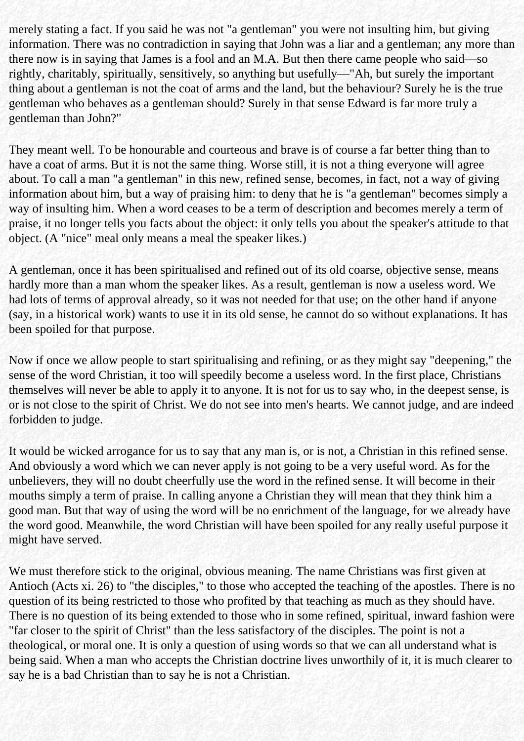merely stating a fact. If you said he was not "a gentleman" you were not insulting him, but giving information. There was no contradiction in saying that John was a liar and a gentleman; any more than there now is in saying that James is a fool and an M.A. But then there came people who said—so rightly, charitably, spiritually, sensitively, so anything but usefully—"Ah, but surely the important thing about a gentleman is not the coat of arms and the land, but the behaviour? Surely he is the true gentleman who behaves as a gentleman should? Surely in that sense Edward is far more truly a gentleman than John?"

They meant well. To be honourable and courteous and brave is of course a far better thing than to have a coat of arms. But it is not the same thing. Worse still, it is not a thing everyone will agree about. To call a man "a gentleman" in this new, refined sense, becomes, in fact, not a way of giving information about him, but a way of praising him: to deny that he is "a gentleman" becomes simply a way of insulting him. When a word ceases to be a term of description and becomes merely a term of praise, it no longer tells you facts about the object: it only tells you about the speaker's attitude to that object. (A "nice" meal only means a meal the speaker likes.)

A gentleman, once it has been spiritualised and refined out of its old coarse, objective sense, means hardly more than a man whom the speaker likes. As a result, gentleman is now a useless word. We had lots of terms of approval already, so it was not needed for that use; on the other hand if anyone (say, in a historical work) wants to use it in its old sense, he cannot do so without explanations. It has been spoiled for that purpose.

Now if once we allow people to start spiritualising and refining, or as they might say "deepening," the sense of the word Christian, it too will speedily become a useless word. In the first place, Christians themselves will never be able to apply it to anyone. It is not for us to say who, in the deepest sense, is or is not close to the spirit of Christ. We do not see into men's hearts. We cannot judge, and are indeed forbidden to judge.

It would be wicked arrogance for us to say that any man is, or is not, a Christian in this refined sense. And obviously a word which we can never apply is not going to be a very useful word. As for the unbelievers, they will no doubt cheerfully use the word in the refined sense. It will become in their mouths simply a term of praise. In calling anyone a Christian they will mean that they think him a good man. But that way of using the word will be no enrichment of the language, for we already have the word good. Meanwhile, the word Christian will have been spoiled for any really useful purpose it might have served.

We must therefore stick to the original, obvious meaning. The name Christians was first given at Antioch (Acts xi. 26) to "the disciples," to those who accepted the teaching of the apostles. There is no question of its being restricted to those who profited by that teaching as much as they should have. There is no question of its being extended to those who in some refined, spiritual, inward fashion were "far closer to the spirit of Christ" than the less satisfactory of the disciples. The point is not a theological, or moral one. It is only a question of using words so that we can all understand what is being said. When a man who accepts the Christian doctrine lives unworthily of it, it is much clearer to say he is a bad Christian than to say he is not a Christian.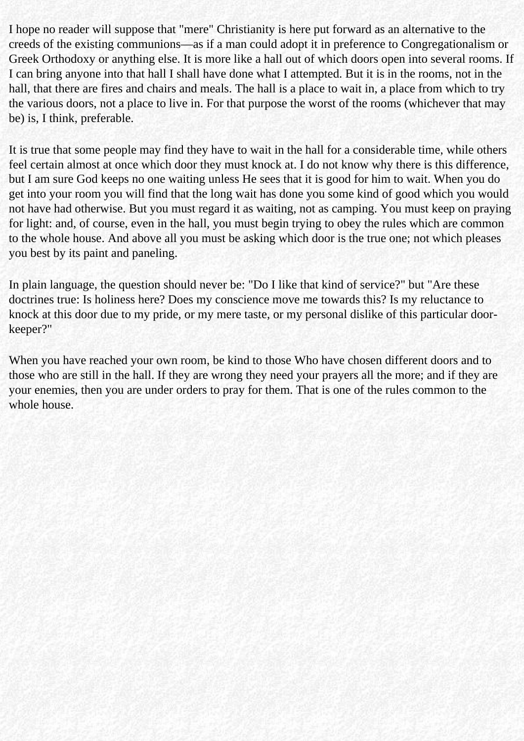I hope no reader will suppose that "mere" Christianity is here put forward as an alternative to the creeds of the existing communions—as if a man could adopt it in preference to Congregationalism or Greek Orthodoxy or anything else. It is more like a hall out of which doors open into several rooms. If I can bring anyone into that hall I shall have done what I attempted. But it is in the rooms, not in the hall, that there are fires and chairs and meals. The hall is a place to wait in, a place from which to try the various doors, not a place to live in. For that purpose the worst of the rooms (whichever that may be) is, I think, preferable.

It is true that some people may find they have to wait in the hall for a considerable time, while others feel certain almost at once which door they must knock at. I do not know why there is this difference, but I am sure God keeps no one waiting unless He sees that it is good for him to wait. When you do get into your room you will find that the long wait has done you some kind of good which you would not have had otherwise. But you must regard it as waiting, not as camping. You must keep on praying for light: and, of course, even in the hall, you must begin trying to obey the rules which are common to the whole house. And above all you must be asking which door is the true one; not which pleases you best by its paint and paneling.

In plain language, the question should never be: "Do I like that kind of service?" but "Are these doctrines true: Is holiness here? Does my conscience move me towards this? Is my reluctance to knock at this door due to my pride, or my mere taste, or my personal dislike of this particular doorkeeper?"

When you have reached your own room, be kind to those Who have chosen different doors and to those who are still in the hall. If they are wrong they need your prayers all the more; and if they are your enemies, then you are under orders to pray for them. That is one of the rules common to the whole house.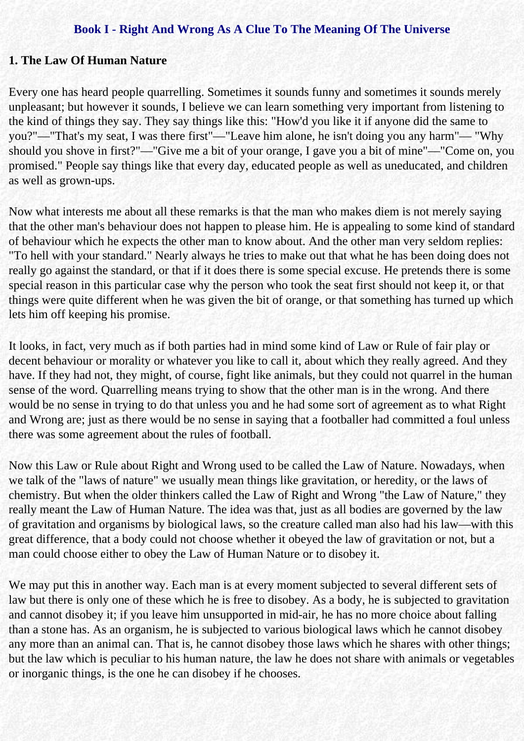#### **Book I - Right And Wrong As A Clue To The Meaning Of The Universe**

#### <span id="page-10-0"></span>**1. The Law Of Human Nature**

Every one has heard people quarrelling. Sometimes it sounds funny and sometimes it sounds merely unpleasant; but however it sounds, I believe we can learn something very important from listening to the kind of things they say. They say things like this: "How'd you like it if anyone did the same to you?"—"That's my seat, I was there first"—"Leave him alone, he isn't doing you any harm"— "Why should you shove in first?"—"Give me a bit of your orange, I gave you a bit of mine"—"Come on, you promised." People say things like that every day, educated people as well as uneducated, and children as well as grown-ups.

Now what interests me about all these remarks is that the man who makes diem is not merely saying that the other man's behaviour does not happen to please him. He is appealing to some kind of standard of behaviour which he expects the other man to know about. And the other man very seldom replies: "To hell with your standard." Nearly always he tries to make out that what he has been doing does not really go against the standard, or that if it does there is some special excuse. He pretends there is some special reason in this particular case why the person who took the seat first should not keep it, or that things were quite different when he was given the bit of orange, or that something has turned up which lets him off keeping his promise.

It looks, in fact, very much as if both parties had in mind some kind of Law or Rule of fair play or decent behaviour or morality or whatever you like to call it, about which they really agreed. And they have. If they had not, they might, of course, fight like animals, but they could not quarrel in the human sense of the word. Quarrelling means trying to show that the other man is in the wrong. And there would be no sense in trying to do that unless you and he had some sort of agreement as to what Right and Wrong are; just as there would be no sense in saying that a footballer had committed a foul unless there was some agreement about the rules of football.

Now this Law or Rule about Right and Wrong used to be called the Law of Nature. Nowadays, when we talk of the "laws of nature" we usually mean things like gravitation, or heredity, or the laws of chemistry. But when the older thinkers called the Law of Right and Wrong "the Law of Nature," they really meant the Law of Human Nature. The idea was that, just as all bodies are governed by the law of gravitation and organisms by biological laws, so the creature called man also had his law—with this great difference, that a body could not choose whether it obeyed the law of gravitation or not, but a man could choose either to obey the Law of Human Nature or to disobey it.

We may put this in another way. Each man is at every moment subjected to several different sets of law but there is only one of these which he is free to disobey. As a body, he is subjected to gravitation and cannot disobey it; if you leave him unsupported in mid-air, he has no more choice about falling than a stone has. As an organism, he is subjected to various biological laws which he cannot disobey any more than an animal can. That is, he cannot disobey those laws which he shares with other things; but the law which is peculiar to his human nature, the law he does not share with animals or vegetables or inorganic things, is the one he can disobey if he chooses.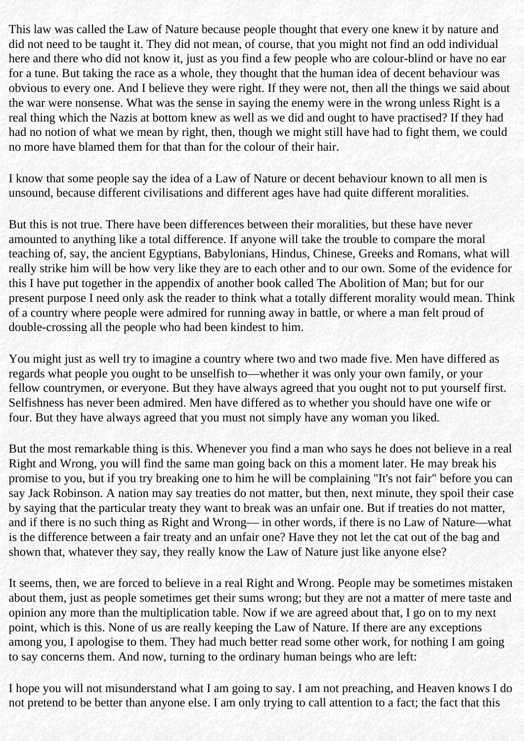This law was called the Law of Nature because people thought that every one knew it by nature and did not need to be taught it. They did not mean, of course, that you might not find an odd individual here and there who did not know it, just as you find a few people who are colour-blind or have no ear for a tune. But taking the race as a whole, they thought that the human idea of decent behaviour was obvious to every one. And I believe they were right. If they were not, then all the things we said about the war were nonsense. What was the sense in saying the enemy were in the wrong unless Right is a real thing which the Nazis at bottom knew as well as we did and ought to have practised? If they had had no notion of what we mean by right, then, though we might still have had to fight them, we could no more have blamed them for that than for the colour of their hair.

I know that some people say the idea of a Law of Nature or decent behaviour known to all men is unsound, because different civilisations and different ages have had quite different moralities.

But this is not true. There have been differences between their moralities, but these have never amounted to anything like a total difference. If anyone will take the trouble to compare the moral teaching of, say, the ancient Egyptians, Babylonians, Hindus, Chinese, Greeks and Romans, what will really strike him will be how very like they are to each other and to our own. Some of the evidence for this I have put together in the appendix of another book called The Abolition of Man; but for our present purpose I need only ask the reader to think what a totally different morality would mean. Think of a country where people were admired for running away in battle, or where a man felt proud of double-crossing all the people who had been kindest to him.

You might just as well try to imagine a country where two and two made five. Men have differed as regards what people you ought to be unselfish to—whether it was only your own family, or your fellow countrymen, or everyone. But they have always agreed that you ought not to put yourself first. Selfishness has never been admired. Men have differed as to whether you should have one wife or four. But they have always agreed that you must not simply have any woman you liked.

But the most remarkable thing is this. Whenever you find a man who says he does not believe in a real Right and Wrong, you will find the same man going back on this a moment later. He may break his promise to you, but if you try breaking one to him he will be complaining "It's not fair" before you can say Jack Robinson. A nation may say treaties do not matter, but then, next minute, they spoil their case by saying that the particular treaty they want to break was an unfair one. But if treaties do not matter, and if there is no such thing as Right and Wrong— in other words, if there is no Law of Nature—what is the difference between a fair treaty and an unfair one? Have they not let the cat out of the bag and shown that, whatever they say, they really know the Law of Nature just like anyone else?

It seems, then, we are forced to believe in a real Right and Wrong. People may be sometimes mistaken about them, just as people sometimes get their sums wrong; but they are not a matter of mere taste and opinion any more than the multiplication table. Now if we are agreed about that, I go on to my next point, which is this. None of us are really keeping the Law of Nature. If there are any exceptions among you, I apologise to them. They had much better read some other work, for nothing I am going to say concerns them. And now, turning to the ordinary human beings who are left:

I hope you will not misunderstand what I am going to say. I am not preaching, and Heaven knows I do not pretend to be better than anyone else. I am only trying to call attention to a fact; the fact that this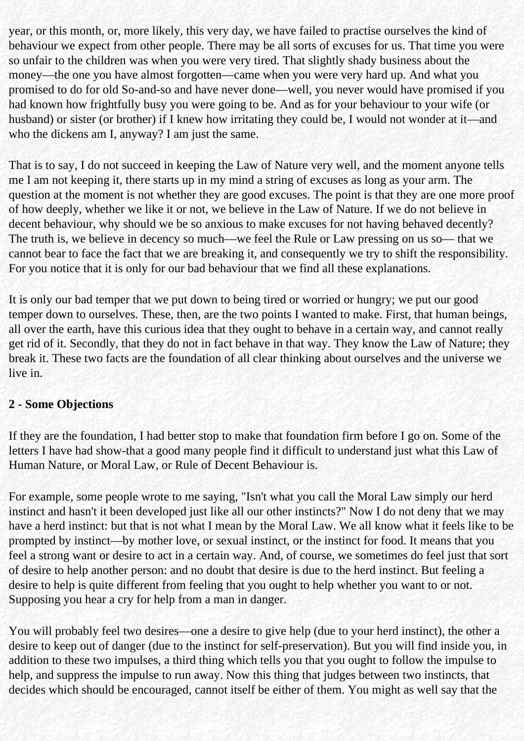year, or this month, or, more likely, this very day, we have failed to practise ourselves the kind of behaviour we expect from other people. There may be all sorts of excuses for us. That time you were so unfair to the children was when you were very tired. That slightly shady business about the money—the one you have almost forgotten—came when you were very hard up. And what you promised to do for old So-and-so and have never done—well, you never would have promised if you had known how frightfully busy you were going to be. And as for your behaviour to your wife (or husband) or sister (or brother) if I knew how irritating they could be, I would not wonder at it—and who the dickens am I, anyway? I am just the same.

That is to say, I do not succeed in keeping the Law of Nature very well, and the moment anyone tells me I am not keeping it, there starts up in my mind a string of excuses as long as your arm. The question at the moment is not whether they are good excuses. The point is that they are one more proof of how deeply, whether we like it or not, we believe in the Law of Nature. If we do not believe in decent behaviour, why should we be so anxious to make excuses for not having behaved decently? The truth is, we believe in decency so much—we feel the Rule or Law pressing on us so— that we cannot bear to face the fact that we are breaking it, and consequently we try to shift the responsibility. For you notice that it is only for our bad behaviour that we find all these explanations.

It is only our bad temper that we put down to being tired or worried or hungry; we put our good temper down to ourselves. These, then, are the two points I wanted to make. First, that human beings, all over the earth, have this curious idea that they ought to behave in a certain way, and cannot really get rid of it. Secondly, that they do not in fact behave in that way. They know the Law of Nature; they break it. These two facts are the foundation of all clear thinking about ourselves and the universe we live in.

# **2 - Some Objections**

If they are the foundation, I had better stop to make that foundation firm before I go on. Some of the letters I have had show-that a good many people find it difficult to understand just what this Law of Human Nature, or Moral Law, or Rule of Decent Behaviour is.

For example, some people wrote to me saying, "Isn't what you call the Moral Law simply our herd instinct and hasn't it been developed just like all our other instincts?" Now I do not deny that we may have a herd instinct: but that is not what I mean by the Moral Law. We all know what it feels like to be prompted by instinct—by mother love, or sexual instinct, or the instinct for food. It means that you feel a strong want or desire to act in a certain way. And, of course, we sometimes do feel just that sort of desire to help another person: and no doubt that desire is due to the herd instinct. But feeling a desire to help is quite different from feeling that you ought to help whether you want to or not. Supposing you hear a cry for help from a man in danger.

You will probably feel two desires—one a desire to give help (due to your herd instinct), the other a desire to keep out of danger (due to the instinct for self-preservation). But you will find inside you, in addition to these two impulses, a third thing which tells you that you ought to follow the impulse to help, and suppress the impulse to run away. Now this thing that judges between two instincts, that decides which should be encouraged, cannot itself be either of them. You might as well say that the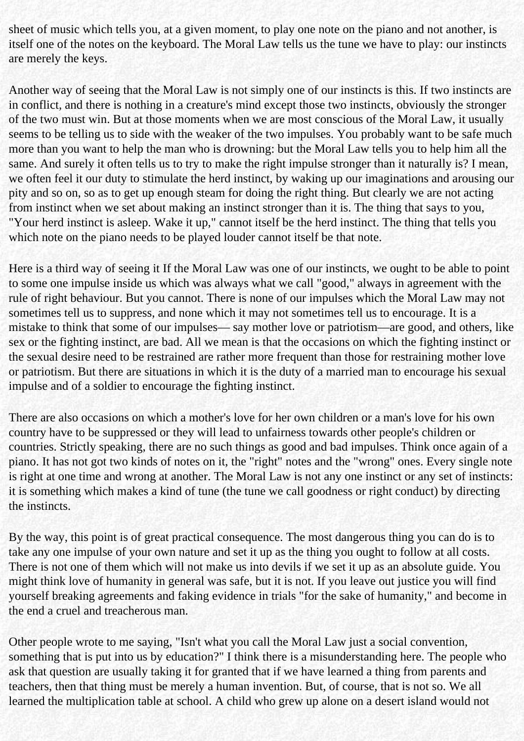sheet of music which tells you, at a given moment, to play one note on the piano and not another, is itself one of the notes on the keyboard. The Moral Law tells us the tune we have to play: our instincts are merely the keys.

Another way of seeing that the Moral Law is not simply one of our instincts is this. If two instincts are in conflict, and there is nothing in a creature's mind except those two instincts, obviously the stronger of the two must win. But at those moments when we are most conscious of the Moral Law, it usually seems to be telling us to side with the weaker of the two impulses. You probably want to be safe much more than you want to help the man who is drowning: but the Moral Law tells you to help him all the same. And surely it often tells us to try to make the right impulse stronger than it naturally is? I mean, we often feel it our duty to stimulate the herd instinct, by waking up our imaginations and arousing our pity and so on, so as to get up enough steam for doing the right thing. But clearly we are not acting from instinct when we set about making an instinct stronger than it is. The thing that says to you, "Your herd instinct is asleep. Wake it up," cannot itself be the herd instinct. The thing that tells you which note on the piano needs to be played louder cannot itself be that note.

Here is a third way of seeing it If the Moral Law was one of our instincts, we ought to be able to point to some one impulse inside us which was always what we call "good," always in agreement with the rule of right behaviour. But you cannot. There is none of our impulses which the Moral Law may not sometimes tell us to suppress, and none which it may not sometimes tell us to encourage. It is a mistake to think that some of our impulses— say mother love or patriotism—are good, and others, like sex or the fighting instinct, are bad. All we mean is that the occasions on which the fighting instinct or the sexual desire need to be restrained are rather more frequent than those for restraining mother love or patriotism. But there are situations in which it is the duty of a married man to encourage his sexual impulse and of a soldier to encourage the fighting instinct.

There are also occasions on which a mother's love for her own children or a man's love for his own country have to be suppressed or they will lead to unfairness towards other people's children or countries. Strictly speaking, there are no such things as good and bad impulses. Think once again of a piano. It has not got two kinds of notes on it, the "right" notes and the "wrong" ones. Every single note is right at one time and wrong at another. The Moral Law is not any one instinct or any set of instincts: it is something which makes a kind of tune (the tune we call goodness or right conduct) by directing the instincts.

By the way, this point is of great practical consequence. The most dangerous thing you can do is to take any one impulse of your own nature and set it up as the thing you ought to follow at all costs. There is not one of them which will not make us into devils if we set it up as an absolute guide. You might think love of humanity in general was safe, but it is not. If you leave out justice you will find yourself breaking agreements and faking evidence in trials "for the sake of humanity," and become in the end a cruel and treacherous man.

Other people wrote to me saying, "Isn't what you call the Moral Law just a social convention, something that is put into us by education?" I think there is a misunderstanding here. The people who ask that question are usually taking it for granted that if we have learned a thing from parents and teachers, then that thing must be merely a human invention. But, of course, that is not so. We all learned the multiplication table at school. A child who grew up alone on a desert island would not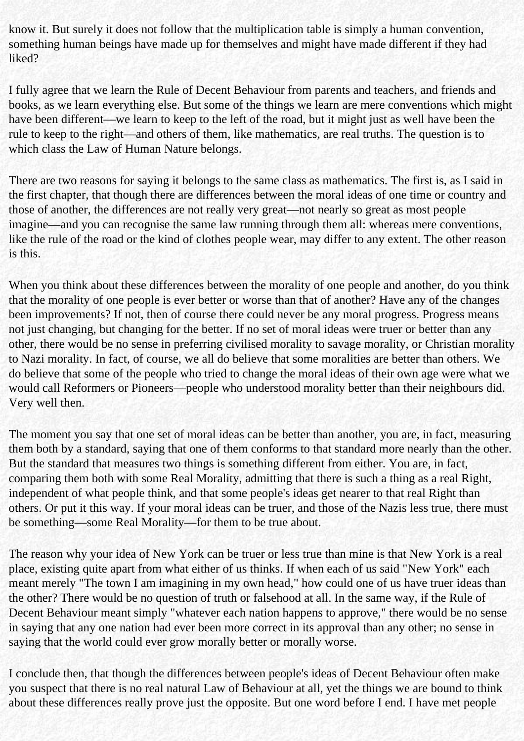know it. But surely it does not follow that the multiplication table is simply a human convention, something human beings have made up for themselves and might have made different if they had liked?

I fully agree that we learn the Rule of Decent Behaviour from parents and teachers, and friends and books, as we learn everything else. But some of the things we learn are mere conventions which might have been different—we learn to keep to the left of the road, but it might just as well have been the rule to keep to the right—and others of them, like mathematics, are real truths. The question is to which class the Law of Human Nature belongs.

There are two reasons for saying it belongs to the same class as mathematics. The first is, as I said in the first chapter, that though there are differences between the moral ideas of one time or country and those of another, the differences are not really very great—not nearly so great as most people imagine—and you can recognise the same law running through them all: whereas mere conventions, like the rule of the road or the kind of clothes people wear, may differ to any extent. The other reason is this.

When you think about these differences between the morality of one people and another, do you think that the morality of one people is ever better or worse than that of another? Have any of the changes been improvements? If not, then of course there could never be any moral progress. Progress means not just changing, but changing for the better. If no set of moral ideas were truer or better than any other, there would be no sense in preferring civilised morality to savage morality, or Christian morality to Nazi morality. In fact, of course, we all do believe that some moralities are better than others. We do believe that some of the people who tried to change the moral ideas of their own age were what we would call Reformers or Pioneers—people who understood morality better than their neighbours did. Very well then.

The moment you say that one set of moral ideas can be better than another, you are, in fact, measuring them both by a standard, saying that one of them conforms to that standard more nearly than the other. But the standard that measures two things is something different from either. You are, in fact, comparing them both with some Real Morality, admitting that there is such a thing as a real Right, independent of what people think, and that some people's ideas get nearer to that real Right than others. Or put it this way. If your moral ideas can be truer, and those of the Nazis less true, there must be something—some Real Morality—for them to be true about.

The reason why your idea of New York can be truer or less true than mine is that New York is a real place, existing quite apart from what either of us thinks. If when each of us said "New York" each meant merely "The town I am imagining in my own head," how could one of us have truer ideas than the other? There would be no question of truth or falsehood at all. In the same way, if the Rule of Decent Behaviour meant simply "whatever each nation happens to approve," there would be no sense in saying that any one nation had ever been more correct in its approval than any other; no sense in saying that the world could ever grow morally better or morally worse.

I conclude then, that though the differences between people's ideas of Decent Behaviour often make you suspect that there is no real natural Law of Behaviour at all, yet the things we are bound to think about these differences really prove just the opposite. But one word before I end. I have met people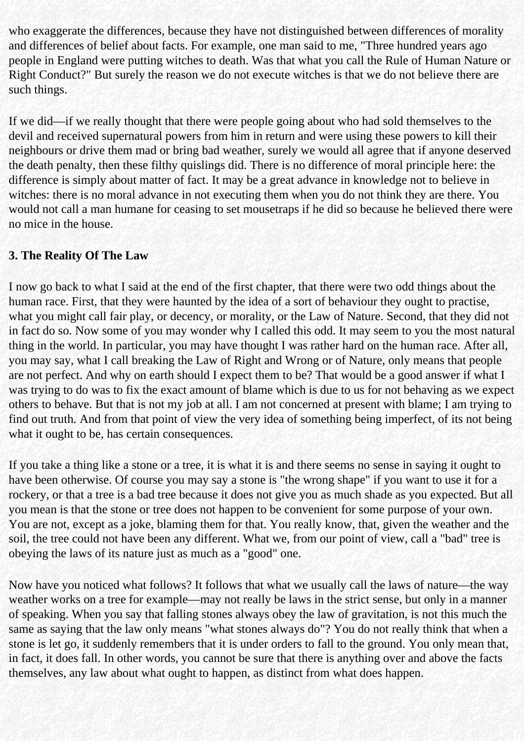who exaggerate the differences, because they have not distinguished between differences of morality and differences of belief about facts. For example, one man said to me, "Three hundred years ago people in England were putting witches to death. Was that what you call the Rule of Human Nature or Right Conduct?" But surely the reason we do not execute witches is that we do not believe there are such things.

If we did—if we really thought that there were people going about who had sold themselves to the devil and received supernatural powers from him in return and were using these powers to kill their neighbours or drive them mad or bring bad weather, surely we would all agree that if anyone deserved the death penalty, then these filthy quislings did. There is no difference of moral principle here: the difference is simply about matter of fact. It may be a great advance in knowledge not to believe in witches: there is no moral advance in not executing them when you do not think they are there. You would not call a man humane for ceasing to set mousetraps if he did so because he believed there were no mice in the house.

# **3. The Reality Of The Law**

I now go back to what I said at the end of the first chapter, that there were two odd things about the human race. First, that they were haunted by the idea of a sort of behaviour they ought to practise, what you might call fair play, or decency, or morality, or the Law of Nature. Second, that they did not in fact do so. Now some of you may wonder why I called this odd. It may seem to you the most natural thing in the world. In particular, you may have thought I was rather hard on the human race. After all, you may say, what I call breaking the Law of Right and Wrong or of Nature, only means that people are not perfect. And why on earth should I expect them to be? That would be a good answer if what I was trying to do was to fix the exact amount of blame which is due to us for not behaving as we expect others to behave. But that is not my job at all. I am not concerned at present with blame; I am trying to find out truth. And from that point of view the very idea of something being imperfect, of its not being what it ought to be, has certain consequences.

If you take a thing like a stone or a tree, it is what it is and there seems no sense in saying it ought to have been otherwise. Of course you may say a stone is "the wrong shape" if you want to use it for a rockery, or that a tree is a bad tree because it does not give you as much shade as you expected. But all you mean is that the stone or tree does not happen to be convenient for some purpose of your own. You are not, except as a joke, blaming them for that. You really know, that, given the weather and the soil, the tree could not have been any different. What we, from our point of view, call a "bad" tree is obeying the laws of its nature just as much as a "good" one.

Now have you noticed what follows? It follows that what we usually call the laws of nature—the way weather works on a tree for example—may not really be laws in the strict sense, but only in a manner of speaking. When you say that falling stones always obey the law of gravitation, is not this much the same as saying that the law only means "what stones always do"? You do not really think that when a stone is let go, it suddenly remembers that it is under orders to fall to the ground. You only mean that, in fact, it does fall. In other words, you cannot be sure that there is anything over and above the facts themselves, any law about what ought to happen, as distinct from what does happen.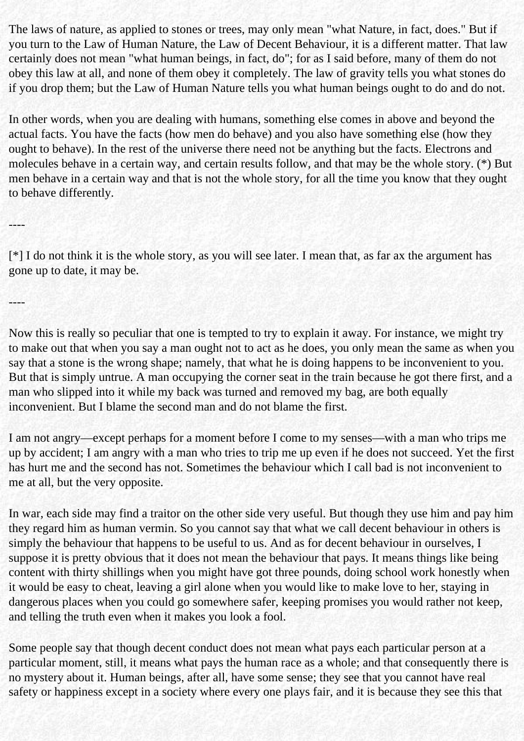The laws of nature, as applied to stones or trees, may only mean "what Nature, in fact, does." But if you turn to the Law of Human Nature, the Law of Decent Behaviour, it is a different matter. That law certainly does not mean "what human beings, in fact, do"; for as I said before, many of them do not obey this law at all, and none of them obey it completely. The law of gravity tells you what stones do if you drop them; but the Law of Human Nature tells you what human beings ought to do and do not.

In other words, when you are dealing with humans, something else comes in above and beyond the actual facts. You have the facts (how men do behave) and you also have something else (how they ought to behave). In the rest of the universe there need not be anything but the facts. Electrons and molecules behave in a certain way, and certain results follow, and that may be the whole story. (\*) But men behave in a certain way and that is not the whole story, for all the time you know that they ought to behave differently.

----

[\*] I do not think it is the whole story, as you will see later. I mean that, as far ax the argument has gone up to date, it may be.

----

Now this is really so peculiar that one is tempted to try to explain it away. For instance, we might try to make out that when you say a man ought not to act as he does, you only mean the same as when you say that a stone is the wrong shape; namely, that what he is doing happens to be inconvenient to you. But that is simply untrue. A man occupying the corner seat in the train because he got there first, and a man who slipped into it while my back was turned and removed my bag, are both equally inconvenient. But I blame the second man and do not blame the first.

I am not angry—except perhaps for a moment before I come to my senses—with a man who trips me up by accident; I am angry with a man who tries to trip me up even if he does not succeed. Yet the first has hurt me and the second has not. Sometimes the behaviour which I call bad is not inconvenient to me at all, but the very opposite.

In war, each side may find a traitor on the other side very useful. But though they use him and pay him they regard him as human vermin. So you cannot say that what we call decent behaviour in others is simply the behaviour that happens to be useful to us. And as for decent behaviour in ourselves, I suppose it is pretty obvious that it does not mean the behaviour that pays. It means things like being content with thirty shillings when you might have got three pounds, doing school work honestly when it would be easy to cheat, leaving a girl alone when you would like to make love to her, staying in dangerous places when you could go somewhere safer, keeping promises you would rather not keep, and telling the truth even when it makes you look a fool.

Some people say that though decent conduct does not mean what pays each particular person at a particular moment, still, it means what pays the human race as a whole; and that consequently there is no mystery about it. Human beings, after all, have some sense; they see that you cannot have real safety or happiness except in a society where every one plays fair, and it is because they see this that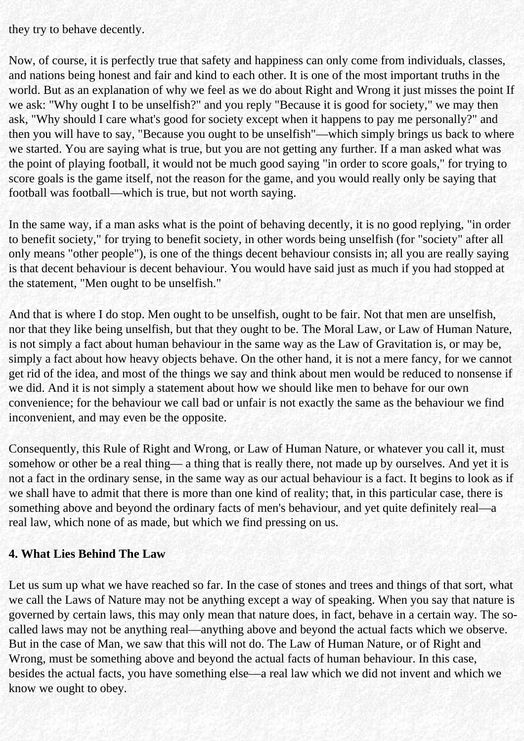they try to behave decently.

Now, of course, it is perfectly true that safety and happiness can only come from individuals, classes, and nations being honest and fair and kind to each other. It is one of the most important truths in the world. But as an explanation of why we feel as we do about Right and Wrong it just misses the point If we ask: "Why ought I to be unselfish?" and you reply "Because it is good for society," we may then ask, "Why should I care what's good for society except when it happens to pay me personally?" and then you will have to say, "Because you ought to be unselfish"—which simply brings us back to where we started. You are saying what is true, but you are not getting any further. If a man asked what was the point of playing football, it would not be much good saying "in order to score goals," for trying to score goals is the game itself, not the reason for the game, and you would really only be saying that football was football—which is true, but not worth saying.

In the same way, if a man asks what is the point of behaving decently, it is no good replying, "in order to benefit society," for trying to benefit society, in other words being unselfish (for "society" after all only means "other people"), is one of the things decent behaviour consists in; all you are really saying is that decent behaviour is decent behaviour. You would have said just as much if you had stopped at the statement, "Men ought to be unselfish."

And that is where I do stop. Men ought to be unselfish, ought to be fair. Not that men are unselfish, nor that they like being unselfish, but that they ought to be. The Moral Law, or Law of Human Nature, is not simply a fact about human behaviour in the same way as the Law of Gravitation is, or may be, simply a fact about how heavy objects behave. On the other hand, it is not a mere fancy, for we cannot get rid of the idea, and most of the things we say and think about men would be reduced to nonsense if we did. And it is not simply a statement about how we should like men to behave for our own convenience; for the behaviour we call bad or unfair is not exactly the same as the behaviour we find inconvenient, and may even be the opposite.

Consequently, this Rule of Right and Wrong, or Law of Human Nature, or whatever you call it, must somehow or other be a real thing— a thing that is really there, not made up by ourselves. And yet it is not a fact in the ordinary sense, in the same way as our actual behaviour is a fact. It begins to look as if we shall have to admit that there is more than one kind of reality; that, in this particular case, there is something above and beyond the ordinary facts of men's behaviour, and yet quite definitely real—a real law, which none of as made, but which we find pressing on us.

# **4. What Lies Behind The Law**

Let us sum up what we have reached so far. In the case of stones and trees and things of that sort, what we call the Laws of Nature may not be anything except a way of speaking. When you say that nature is governed by certain laws, this may only mean that nature does, in fact, behave in a certain way. The socalled laws may not be anything real—anything above and beyond the actual facts which we observe. But in the case of Man, we saw that this will not do. The Law of Human Nature, or of Right and Wrong, must be something above and beyond the actual facts of human behaviour. In this case, besides the actual facts, you have something else—a real law which we did not invent and which we know we ought to obey.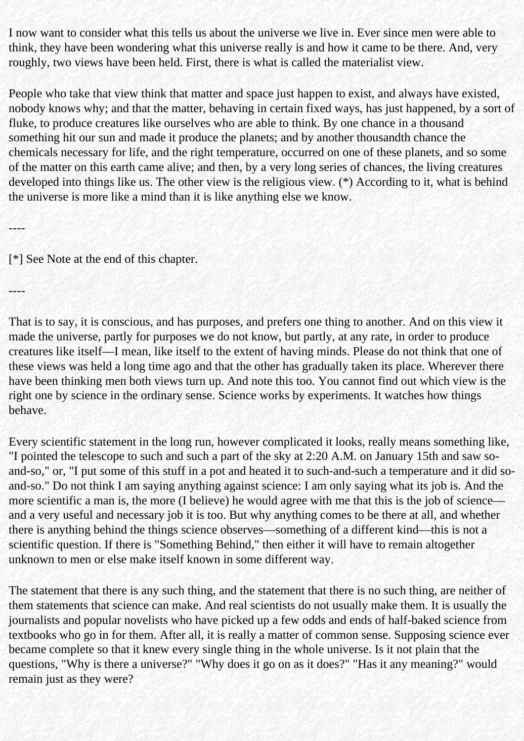I now want to consider what this tells us about the universe we live in. Ever since men were able to think, they have been wondering what this universe really is and how it came to be there. And, very roughly, two views have been held. First, there is what is called the materialist view.

People who take that view think that matter and space just happen to exist, and always have existed, nobody knows why; and that the matter, behaving in certain fixed ways, has just happened, by a sort of fluke, to produce creatures like ourselves who are able to think. By one chance in a thousand something hit our sun and made it produce the planets; and by another thousandth chance the chemicals necessary for life, and the right temperature, occurred on one of these planets, and so some of the matter on this earth came alive; and then, by a very long series of chances, the living creatures developed into things like us. The other view is the religious view. (\*) According to it, what is behind the universe is more like a mind than it is like anything else we know.

----

[\*] See Note at the end of this chapter.

----

That is to say, it is conscious, and has purposes, and prefers one thing to another. And on this view it made the universe, partly for purposes we do not know, but partly, at any rate, in order to produce creatures like itself—I mean, like itself to the extent of having minds. Please do not think that one of these views was held a long time ago and that the other has gradually taken its place. Wherever there have been thinking men both views turn up. And note this too. You cannot find out which view is the right one by science in the ordinary sense. Science works by experiments. It watches how things behave.

Every scientific statement in the long run, however complicated it looks, really means something like, "I pointed the telescope to such and such a part of the sky at 2:20 A.M. on January 15th and saw soand-so," or, "I put some of this stuff in a pot and heated it to such-and-such a temperature and it did soand-so." Do not think I am saying anything against science: I am only saying what its job is. And the more scientific a man is, the more (I believe) he would agree with me that this is the job of science and a very useful and necessary job it is too. But why anything comes to be there at all, and whether there is anything behind the things science observes—something of a different kind—this is not a scientific question. If there is "Something Behind," then either it will have to remain altogether unknown to men or else make itself known in some different way.

The statement that there is any such thing, and the statement that there is no such thing, are neither of them statements that science can make. And real scientists do not usually make them. It is usually the journalists and popular novelists who have picked up a few odds and ends of half-baked science from textbooks who go in for them. After all, it is really a matter of common sense. Supposing science ever became complete so that it knew every single thing in the whole universe. Is it not plain that the questions, "Why is there a universe?" "Why does it go on as it does?" "Has it any meaning?" would remain just as they were?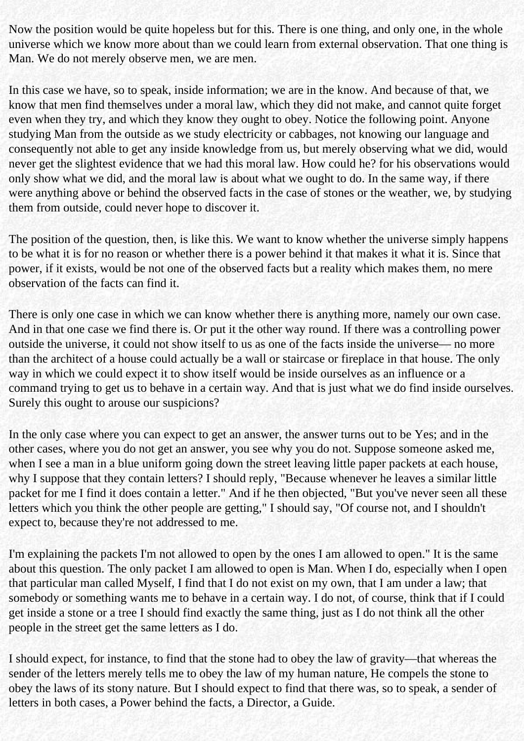Now the position would be quite hopeless but for this. There is one thing, and only one, in the whole universe which we know more about than we could learn from external observation. That one thing is Man. We do not merely observe men, we are men.

In this case we have, so to speak, inside information; we are in the know. And because of that, we know that men find themselves under a moral law, which they did not make, and cannot quite forget even when they try, and which they know they ought to obey. Notice the following point. Anyone studying Man from the outside as we study electricity or cabbages, not knowing our language and consequently not able to get any inside knowledge from us, but merely observing what we did, would never get the slightest evidence that we had this moral law. How could he? for his observations would only show what we did, and the moral law is about what we ought to do. In the same way, if there were anything above or behind the observed facts in the case of stones or the weather, we, by studying them from outside, could never hope to discover it.

The position of the question, then, is like this. We want to know whether the universe simply happens to be what it is for no reason or whether there is a power behind it that makes it what it is. Since that power, if it exists, would be not one of the observed facts but a reality which makes them, no mere observation of the facts can find it.

There is only one case in which we can know whether there is anything more, namely our own case. And in that one case we find there is. Or put it the other way round. If there was a controlling power outside the universe, it could not show itself to us as one of the facts inside the universe— no more than the architect of a house could actually be a wall or staircase or fireplace in that house. The only way in which we could expect it to show itself would be inside ourselves as an influence or a command trying to get us to behave in a certain way. And that is just what we do find inside ourselves. Surely this ought to arouse our suspicions?

In the only case where you can expect to get an answer, the answer turns out to be Yes; and in the other cases, where you do not get an answer, you see why you do not. Suppose someone asked me, when I see a man in a blue uniform going down the street leaving little paper packets at each house, why I suppose that they contain letters? I should reply, "Because whenever he leaves a similar little packet for me I find it does contain a letter." And if he then objected, "But you've never seen all these letters which you think the other people are getting," I should say, "Of course not, and I shouldn't expect to, because they're not addressed to me.

I'm explaining the packets I'm not allowed to open by the ones I am allowed to open." It is the same about this question. The only packet I am allowed to open is Man. When I do, especially when I open that particular man called Myself, I find that I do not exist on my own, that I am under a law; that somebody or something wants me to behave in a certain way. I do not, of course, think that if I could get inside a stone or a tree I should find exactly the same thing, just as I do not think all the other people in the street get the same letters as I do.

I should expect, for instance, to find that the stone had to obey the law of gravity—that whereas the sender of the letters merely tells me to obey the law of my human nature, He compels the stone to obey the laws of its stony nature. But I should expect to find that there was, so to speak, a sender of letters in both cases, a Power behind the facts, a Director, a Guide.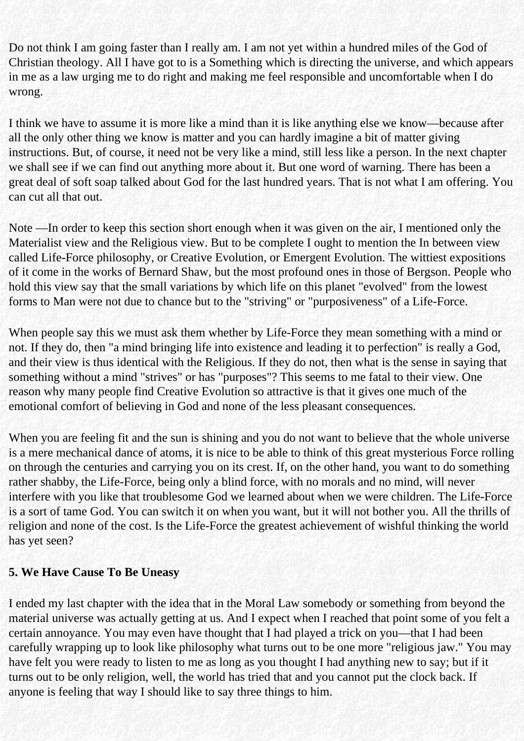Do not think I am going faster than I really am. I am not yet within a hundred miles of the God of Christian theology. All I have got to is a Something which is directing the universe, and which appears in me as a law urging me to do right and making me feel responsible and uncomfortable when I do wrong.

I think we have to assume it is more like a mind than it is like anything else we know—because after all the only other thing we know is matter and you can hardly imagine a bit of matter giving instructions. But, of course, it need not be very like a mind, still less like a person. In the next chapter we shall see if we can find out anything more about it. But one word of warning. There has been a great deal of soft soap talked about God for the last hundred years. That is not what I am offering. You can cut all that out.

Note —In order to keep this section short enough when it was given on the air, I mentioned only the Materialist view and the Religious view. But to be complete I ought to mention the In between view called Life-Force philosophy, or Creative Evolution, or Emergent Evolution. The wittiest expositions of it come in the works of Bernard Shaw, but the most profound ones in those of Bergson. People who hold this view say that the small variations by which life on this planet "evolved" from the lowest forms to Man were not due to chance but to the "striving" or "purposiveness" of a Life-Force.

When people say this we must ask them whether by Life-Force they mean something with a mind or not. If they do, then "a mind bringing life into existence and leading it to perfection" is really a God, and their view is thus identical with the Religious. If they do not, then what is the sense in saying that something without a mind "strives" or has "purposes"? This seems to me fatal to their view. One reason why many people find Creative Evolution so attractive is that it gives one much of the emotional comfort of believing in God and none of the less pleasant consequences.

When you are feeling fit and the sun is shining and you do not want to believe that the whole universe is a mere mechanical dance of atoms, it is nice to be able to think of this great mysterious Force rolling on through the centuries and carrying you on its crest. If, on the other hand, you want to do something rather shabby, the Life-Force, being only a blind force, with no morals and no mind, will never interfere with you like that troublesome God we learned about when we were children. The Life-Force is a sort of tame God. You can switch it on when you want, but it will not bother you. All the thrills of religion and none of the cost. Is the Life-Force the greatest achievement of wishful thinking the world has yet seen?

### **5. We Have Cause To Be Uneasy**

I ended my last chapter with the idea that in the Moral Law somebody or something from beyond the material universe was actually getting at us. And I expect when I reached that point some of you felt a certain annoyance. You may even have thought that I had played a trick on you—that I had been carefully wrapping up to look like philosophy what turns out to be one more "religious jaw." You may have felt you were ready to listen to me as long as you thought I had anything new to say; but if it turns out to be only religion, well, the world has tried that and you cannot put the clock back. If anyone is feeling that way I should like to say three things to him.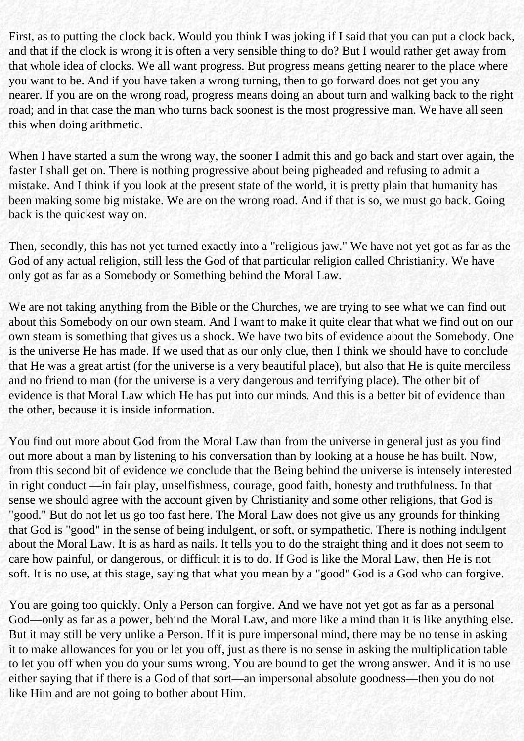First, as to putting the clock back. Would you think I was joking if I said that you can put a clock back, and that if the clock is wrong it is often a very sensible thing to do? But I would rather get away from that whole idea of clocks. We all want progress. But progress means getting nearer to the place where you want to be. And if you have taken a wrong turning, then to go forward does not get you any nearer. If you are on the wrong road, progress means doing an about turn and walking back to the right road; and in that case the man who turns back soonest is the most progressive man. We have all seen this when doing arithmetic.

When I have started a sum the wrong way, the sooner I admit this and go back and start over again, the faster I shall get on. There is nothing progressive about being pigheaded and refusing to admit a mistake. And I think if you look at the present state of the world, it is pretty plain that humanity has been making some big mistake. We are on the wrong road. And if that is so, we must go back. Going back is the quickest way on.

Then, secondly, this has not yet turned exactly into a "religious jaw." We have not yet got as far as the God of any actual religion, still less the God of that particular religion called Christianity. We have only got as far as a Somebody or Something behind the Moral Law.

We are not taking anything from the Bible or the Churches, we are trying to see what we can find out about this Somebody on our own steam. And I want to make it quite clear that what we find out on our own steam is something that gives us a shock. We have two bits of evidence about the Somebody. One is the universe He has made. If we used that as our only clue, then I think we should have to conclude that He was a great artist (for the universe is a very beautiful place), but also that He is quite merciless and no friend to man (for the universe is a very dangerous and terrifying place). The other bit of evidence is that Moral Law which He has put into our minds. And this is a better bit of evidence than the other, because it is inside information.

You find out more about God from the Moral Law than from the universe in general just as you find out more about a man by listening to his conversation than by looking at a house he has built. Now, from this second bit of evidence we conclude that the Being behind the universe is intensely interested in right conduct —in fair play, unselfishness, courage, good faith, honesty and truthfulness. In that sense we should agree with the account given by Christianity and some other religions, that God is "good." But do not let us go too fast here. The Moral Law does not give us any grounds for thinking that God is "good" in the sense of being indulgent, or soft, or sympathetic. There is nothing indulgent about the Moral Law. It is as hard as nails. It tells you to do the straight thing and it does not seem to care how painful, or dangerous, or difficult it is to do. If God is like the Moral Law, then He is not soft. It is no use, at this stage, saying that what you mean by a "good" God is a God who can forgive.

You are going too quickly. Only a Person can forgive. And we have not yet got as far as a personal God—only as far as a power, behind the Moral Law, and more like a mind than it is like anything else. But it may still be very unlike a Person. If it is pure impersonal mind, there may be no tense in asking it to make allowances for you or let you off, just as there is no sense in asking the multiplication table to let you off when you do your sums wrong. You are bound to get the wrong answer. And it is no use either saying that if there is a God of that sort—an impersonal absolute goodness—then you do not like Him and are not going to bother about Him.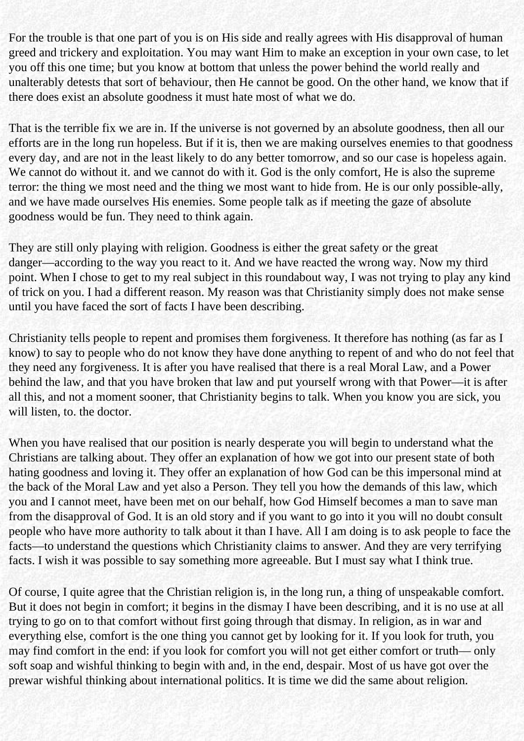For the trouble is that one part of you is on His side and really agrees with His disapproval of human greed and trickery and exploitation. You may want Him to make an exception in your own case, to let you off this one time; but you know at bottom that unless the power behind the world really and unalterably detests that sort of behaviour, then He cannot be good. On the other hand, we know that if there does exist an absolute goodness it must hate most of what we do.

That is the terrible fix we are in. If the universe is not governed by an absolute goodness, then all our efforts are in the long run hopeless. But if it is, then we are making ourselves enemies to that goodness every day, and are not in the least likely to do any better tomorrow, and so our case is hopeless again. We cannot do without it. and we cannot do with it. God is the only comfort, He is also the supreme terror: the thing we most need and the thing we most want to hide from. He is our only possible-ally, and we have made ourselves His enemies. Some people talk as if meeting the gaze of absolute goodness would be fun. They need to think again.

They are still only playing with religion. Goodness is either the great safety or the great danger—according to the way you react to it. And we have reacted the wrong way. Now my third point. When I chose to get to my real subject in this roundabout way, I was not trying to play any kind of trick on you. I had a different reason. My reason was that Christianity simply does not make sense until you have faced the sort of facts I have been describing.

Christianity tells people to repent and promises them forgiveness. It therefore has nothing (as far as I know) to say to people who do not know they have done anything to repent of and who do not feel that they need any forgiveness. It is after you have realised that there is a real Moral Law, and a Power behind the law, and that you have broken that law and put yourself wrong with that Power—it is after all this, and not a moment sooner, that Christianity begins to talk. When you know you are sick, you will listen, to. the doctor.

When you have realised that our position is nearly desperate you will begin to understand what the Christians are talking about. They offer an explanation of how we got into our present state of both hating goodness and loving it. They offer an explanation of how God can be this impersonal mind at the back of the Moral Law and yet also a Person. They tell you how the demands of this law, which you and I cannot meet, have been met on our behalf, how God Himself becomes a man to save man from the disapproval of God. It is an old story and if you want to go into it you will no doubt consult people who have more authority to talk about it than I have. All I am doing is to ask people to face the facts—to understand the questions which Christianity claims to answer. And they are very terrifying facts. I wish it was possible to say something more agreeable. But I must say what I think true.

Of course, I quite agree that the Christian religion is, in the long run, a thing of unspeakable comfort. But it does not begin in comfort; it begins in the dismay I have been describing, and it is no use at all trying to go on to that comfort without first going through that dismay. In religion, as in war and everything else, comfort is the one thing you cannot get by looking for it. If you look for truth, you may find comfort in the end: if you look for comfort you will not get either comfort or truth— only soft soap and wishful thinking to begin with and, in the end, despair. Most of us have got over the prewar wishful thinking about international politics. It is time we did the same about religion.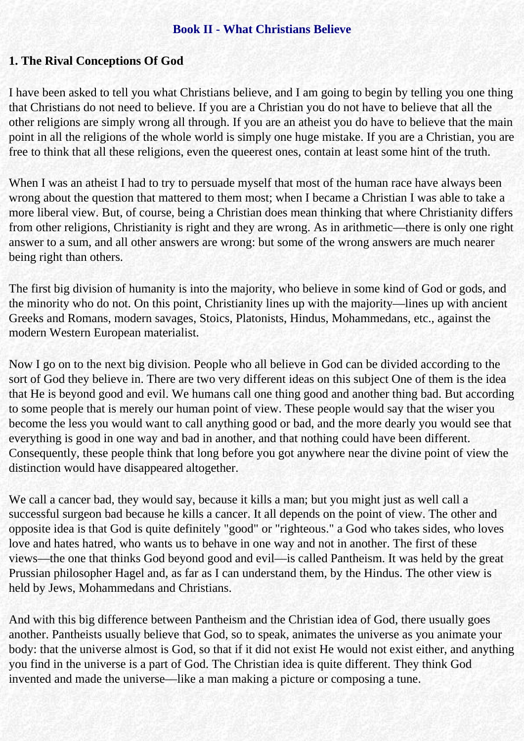#### **Book II - What Christians Believe**

### <span id="page-23-0"></span>**1. The Rival Conceptions Of God**

I have been asked to tell you what Christians believe, and I am going to begin by telling you one thing that Christians do not need to believe. If you are a Christian you do not have to believe that all the other religions are simply wrong all through. If you are an atheist you do have to believe that the main point in all the religions of the whole world is simply one huge mistake. If you are a Christian, you are free to think that all these religions, even the queerest ones, contain at least some hint of the truth.

When I was an atheist I had to try to persuade myself that most of the human race have always been wrong about the question that mattered to them most; when I became a Christian I was able to take a more liberal view. But, of course, being a Christian does mean thinking that where Christianity differs from other religions, Christianity is right and they are wrong. As in arithmetic—there is only one right answer to a sum, and all other answers are wrong: but some of the wrong answers are much nearer being right than others.

The first big division of humanity is into the majority, who believe in some kind of God or gods, and the minority who do not. On this point, Christianity lines up with the majority—lines up with ancient Greeks and Romans, modern savages, Stoics, Platonists, Hindus, Mohammedans, etc., against the modern Western European materialist.

Now I go on to the next big division. People who all believe in God can be divided according to the sort of God they believe in. There are two very different ideas on this subject One of them is the idea that He is beyond good and evil. We humans call one thing good and another thing bad. But according to some people that is merely our human point of view. These people would say that the wiser you become the less you would want to call anything good or bad, and the more dearly you would see that everything is good in one way and bad in another, and that nothing could have been different. Consequently, these people think that long before you got anywhere near the divine point of view the distinction would have disappeared altogether.

We call a cancer bad, they would say, because it kills a man; but you might just as well call a successful surgeon bad because he kills a cancer. It all depends on the point of view. The other and opposite idea is that God is quite definitely "good" or "righteous." a God who takes sides, who loves love and hates hatred, who wants us to behave in one way and not in another. The first of these views—the one that thinks God beyond good and evil—is called Pantheism. It was held by the great Prussian philosopher Hagel and, as far as I can understand them, by the Hindus. The other view is held by Jews, Mohammedans and Christians.

And with this big difference between Pantheism and the Christian idea of God, there usually goes another. Pantheists usually believe that God, so to speak, animates the universe as you animate your body: that the universe almost is God, so that if it did not exist He would not exist either, and anything you find in the universe is a part of God. The Christian idea is quite different. They think God invented and made the universe—like a man making a picture or composing a tune.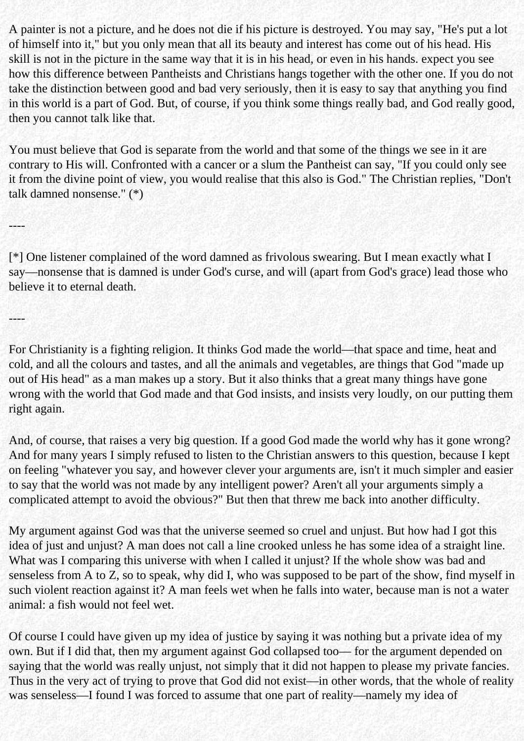A painter is not a picture, and he does not die if his picture is destroyed. You may say, "He's put a lot of himself into it," but you only mean that all its beauty and interest has come out of his head. His skill is not in the picture in the same way that it is in his head, or even in his hands. expect you see how this difference between Pantheists and Christians hangs together with the other one. If you do not take the distinction between good and bad very seriously, then it is easy to say that anything you find in this world is a part of God. But, of course, if you think some things really bad, and God really good, then you cannot talk like that.

You must believe that God is separate from the world and that some of the things we see in it are contrary to His will. Confronted with a cancer or a slum the Pantheist can say, "If you could only see it from the divine point of view, you would realise that this also is God." The Christian replies, "Don't talk damned nonsense." (\*)

----

[\*] One listener complained of the word damned as frivolous swearing. But I mean exactly what I say—nonsense that is damned is under God's curse, and will (apart from God's grace) lead those who believe it to eternal death.

----

For Christianity is a fighting religion. It thinks God made the world—that space and time, heat and cold, and all the colours and tastes, and all the animals and vegetables, are things that God "made up out of His head" as a man makes up a story. But it also thinks that a great many things have gone wrong with the world that God made and that God insists, and insists very loudly, on our putting them right again.

And, of course, that raises a very big question. If a good God made the world why has it gone wrong? And for many years I simply refused to listen to the Christian answers to this question, because I kept on feeling "whatever you say, and however clever your arguments are, isn't it much simpler and easier to say that the world was not made by any intelligent power? Aren't all your arguments simply a complicated attempt to avoid the obvious?" But then that threw me back into another difficulty.

My argument against God was that the universe seemed so cruel and unjust. But how had I got this idea of just and unjust? A man does not call a line crooked unless he has some idea of a straight line. What was I comparing this universe with when I called it unjust? If the whole show was bad and senseless from A to Z, so to speak, why did I, who was supposed to be part of the show, find myself in such violent reaction against it? A man feels wet when he falls into water, because man is not a water animal: a fish would not feel wet.

Of course I could have given up my idea of justice by saying it was nothing but a private idea of my own. But if I did that, then my argument against God collapsed too— for the argument depended on saying that the world was really unjust, not simply that it did not happen to please my private fancies. Thus in the very act of trying to prove that God did not exist—in other words, that the whole of reality was senseless—I found I was forced to assume that one part of reality—namely my idea of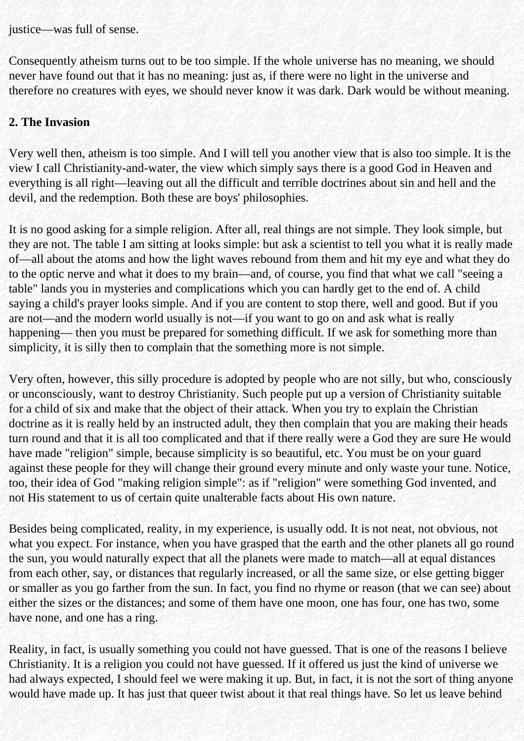justice—was full of sense.

Consequently atheism turns out to be too simple. If the whole universe has no meaning, we should never have found out that it has no meaning: just as, if there were no light in the universe and therefore no creatures with eyes, we should never know it was dark. Dark would be without meaning.

# **2. The Invasion**

Very well then, atheism is too simple. And I will tell you another view that is also too simple. It is the view I call Christianity-and-water, the view which simply says there is a good God in Heaven and everything is all right—leaving out all the difficult and terrible doctrines about sin and hell and the devil, and the redemption. Both these are boys' philosophies.

It is no good asking for a simple religion. After all, real things are not simple. They look simple, but they are not. The table I am sitting at looks simple: but ask a scientist to tell you what it is really made of—all about the atoms and how the light waves rebound from them and hit my eye and what they do to the optic nerve and what it does to my brain—and, of course, you find that what we call "seeing a table" lands you in mysteries and complications which you can hardly get to the end of. A child saying a child's prayer looks simple. And if you are content to stop there, well and good. But if you are not—and the modern world usually is not—if you want to go on and ask what is really happening— then you must be prepared for something difficult. If we ask for something more than simplicity, it is silly then to complain that the something more is not simple.

Very often, however, this silly procedure is adopted by people who are not silly, but who, consciously or unconsciously, want to destroy Christianity. Such people put up a version of Christianity suitable for a child of six and make that the object of their attack. When you try to explain the Christian doctrine as it is really held by an instructed adult, they then complain that you are making their heads turn round and that it is all too complicated and that if there really were a God they are sure He would have made "religion" simple, because simplicity is so beautiful, etc. You must be on your guard against these people for they will change their ground every minute and only waste your tune. Notice, too, their idea of God "making religion simple": as if "religion" were something God invented, and not His statement to us of certain quite unalterable facts about His own nature.

Besides being complicated, reality, in my experience, is usually odd. It is not neat, not obvious, not what you expect. For instance, when you have grasped that the earth and the other planets all go round the sun, you would naturally expect that all the planets were made to match—all at equal distances from each other, say, or distances that regularly increased, or all the same size, or else getting bigger or smaller as you go farther from the sun. In fact, you find no rhyme or reason (that we can see) about either the sizes or the distances; and some of them have one moon, one has four, one has two, some have none, and one has a ring.

Reality, in fact, is usually something you could not have guessed. That is one of the reasons I believe Christianity. It is a religion you could not have guessed. If it offered us just the kind of universe we had always expected, I should feel we were making it up. But, in fact, it is not the sort of thing anyone would have made up. It has just that queer twist about it that real things have. So let us leave behind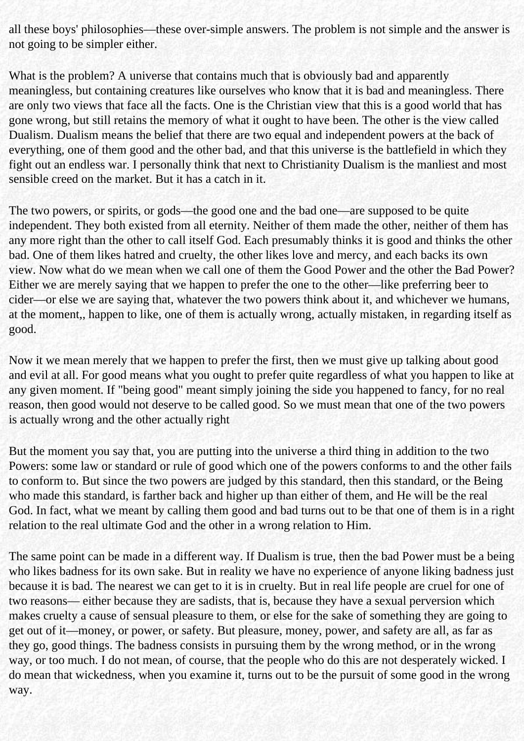all these boys' philosophies—these over-simple answers. The problem is not simple and the answer is not going to be simpler either.

What is the problem? A universe that contains much that is obviously bad and apparently meaningless, but containing creatures like ourselves who know that it is bad and meaningless. There are only two views that face all the facts. One is the Christian view that this is a good world that has gone wrong, but still retains the memory of what it ought to have been. The other is the view called Dualism. Dualism means the belief that there are two equal and independent powers at the back of everything, one of them good and the other bad, and that this universe is the battlefield in which they fight out an endless war. I personally think that next to Christianity Dualism is the manliest and most sensible creed on the market. But it has a catch in it.

The two powers, or spirits, or gods—the good one and the bad one—are supposed to be quite independent. They both existed from all eternity. Neither of them made the other, neither of them has any more right than the other to call itself God. Each presumably thinks it is good and thinks the other bad. One of them likes hatred and cruelty, the other likes love and mercy, and each backs its own view. Now what do we mean when we call one of them the Good Power and the other the Bad Power? Either we are merely saying that we happen to prefer the one to the other—like preferring beer to cider—or else we are saying that, whatever the two powers think about it, and whichever we humans, at the moment,, happen to like, one of them is actually wrong, actually mistaken, in regarding itself as good.

Now it we mean merely that we happen to prefer the first, then we must give up talking about good and evil at all. For good means what you ought to prefer quite regardless of what you happen to like at any given moment. If "being good" meant simply joining the side you happened to fancy, for no real reason, then good would not deserve to be called good. So we must mean that one of the two powers is actually wrong and the other actually right

But the moment you say that, you are putting into the universe a third thing in addition to the two Powers: some law or standard or rule of good which one of the powers conforms to and the other fails to conform to. But since the two powers are judged by this standard, then this standard, or the Being who made this standard, is farther back and higher up than either of them, and He will be the real God. In fact, what we meant by calling them good and bad turns out to be that one of them is in a right relation to the real ultimate God and the other in a wrong relation to Him.

The same point can be made in a different way. If Dualism is true, then the bad Power must be a being who likes badness for its own sake. But in reality we have no experience of anyone liking badness just because it is bad. The nearest we can get to it is in cruelty. But in real life people are cruel for one of two reasons— either because they are sadists, that is, because they have a sexual perversion which makes cruelty a cause of sensual pleasure to them, or else for the sake of something they are going to get out of it—money, or power, or safety. But pleasure, money, power, and safety are all, as far as they go, good things. The badness consists in pursuing them by the wrong method, or in the wrong way, or too much. I do not mean, of course, that the people who do this are not desperately wicked. I do mean that wickedness, when you examine it, turns out to be the pursuit of some good in the wrong way.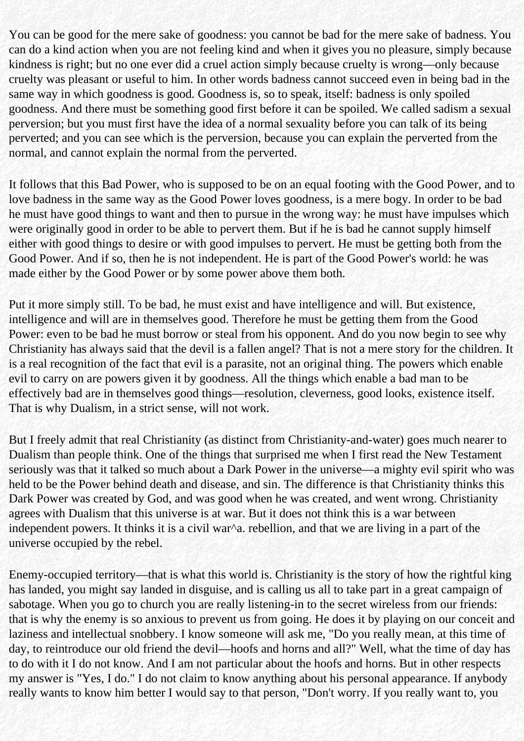You can be good for the mere sake of goodness: you cannot be bad for the mere sake of badness. You can do a kind action when you are not feeling kind and when it gives you no pleasure, simply because kindness is right; but no one ever did a cruel action simply because cruelty is wrong—only because cruelty was pleasant or useful to him. In other words badness cannot succeed even in being bad in the same way in which goodness is good. Goodness is, so to speak, itself: badness is only spoiled goodness. And there must be something good first before it can be spoiled. We called sadism a sexual perversion; but you must first have the idea of a normal sexuality before you can talk of its being perverted; and you can see which is the perversion, because you can explain the perverted from the normal, and cannot explain the normal from the perverted.

It follows that this Bad Power, who is supposed to be on an equal footing with the Good Power, and to love badness in the same way as the Good Power loves goodness, is a mere bogy. In order to be bad he must have good things to want and then to pursue in the wrong way: he must have impulses which were originally good in order to be able to pervert them. But if he is bad he cannot supply himself either with good things to desire or with good impulses to pervert. He must be getting both from the Good Power. And if so, then he is not independent. He is part of the Good Power's world: he was made either by the Good Power or by some power above them both.

Put it more simply still. To be bad, he must exist and have intelligence and will. But existence, intelligence and will are in themselves good. Therefore he must be getting them from the Good Power: even to be bad he must borrow or steal from his opponent. And do you now begin to see why Christianity has always said that the devil is a fallen angel? That is not a mere story for the children. It is a real recognition of the fact that evil is a parasite, not an original thing. The powers which enable evil to carry on are powers given it by goodness. All the things which enable a bad man to be effectively bad are in themselves good things—resolution, cleverness, good looks, existence itself. That is why Dualism, in a strict sense, will not work.

But I freely admit that real Christianity (as distinct from Christianity-and-water) goes much nearer to Dualism than people think. One of the things that surprised me when I first read the New Testament seriously was that it talked so much about a Dark Power in the universe—a mighty evil spirit who was held to be the Power behind death and disease, and sin. The difference is that Christianity thinks this Dark Power was created by God, and was good when he was created, and went wrong. Christianity agrees with Dualism that this universe is at war. But it does not think this is a war between independent powers. It thinks it is a civil war<sup>^</sup>a. rebellion, and that we are living in a part of the universe occupied by the rebel.

Enemy-occupied territory—that is what this world is. Christianity is the story of how the rightful king has landed, you might say landed in disguise, and is calling us all to take part in a great campaign of sabotage. When you go to church you are really listening-in to the secret wireless from our friends: that is why the enemy is so anxious to prevent us from going. He does it by playing on our conceit and laziness and intellectual snobbery. I know someone will ask me, "Do you really mean, at this time of day, to reintroduce our old friend the devil—hoofs and horns and all?" Well, what the time of day has to do with it I do not know. And I am not particular about the hoofs and horns. But in other respects my answer is "Yes, I do." I do not claim to know anything about his personal appearance. If anybody really wants to know him better I would say to that person, "Don't worry. If you really want to, you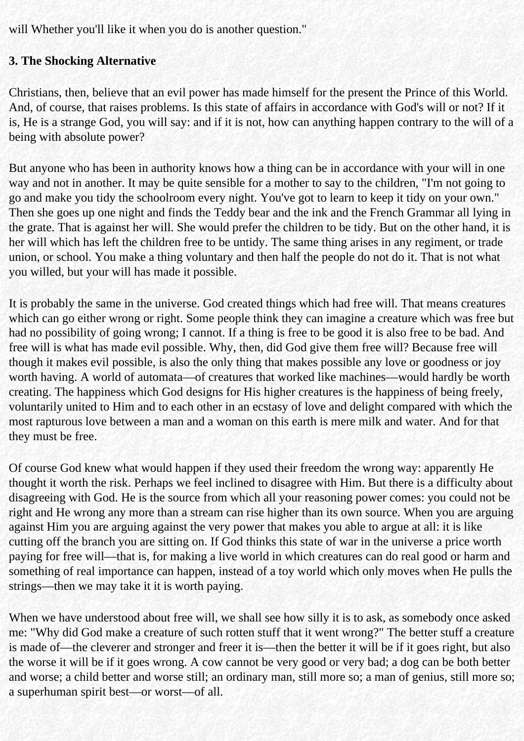will Whether you'll like it when you do is another question."

# **3. The Shocking Alternative**

Christians, then, believe that an evil power has made himself for the present the Prince of this World. And, of course, that raises problems. Is this state of affairs in accordance with God's will or not? If it is, He is a strange God, you will say: and if it is not, how can anything happen contrary to the will of a being with absolute power?

But anyone who has been in authority knows how a thing can be in accordance with your will in one way and not in another. It may be quite sensible for a mother to say to the children, "I'm not going to go and make you tidy the schoolroom every night. You've got to learn to keep it tidy on your own." Then she goes up one night and finds the Teddy bear and the ink and the French Grammar all lying in the grate. That is against her will. She would prefer the children to be tidy. But on the other hand, it is her will which has left the children free to be untidy. The same thing arises in any regiment, or trade union, or school. You make a thing voluntary and then half the people do not do it. That is not what you willed, but your will has made it possible.

It is probably the same in the universe. God created things which had free will. That means creatures which can go either wrong or right. Some people think they can imagine a creature which was free but had no possibility of going wrong; I cannot. If a thing is free to be good it is also free to be bad. And free will is what has made evil possible. Why, then, did God give them free will? Because free will though it makes evil possible, is also the only thing that makes possible any love or goodness or joy worth having. A world of automata—of creatures that worked like machines—would hardly be worth creating. The happiness which God designs for His higher creatures is the happiness of being freely, voluntarily united to Him and to each other in an ecstasy of love and delight compared with which the most rapturous love between a man and a woman on this earth is mere milk and water. And for that they must be free.

Of course God knew what would happen if they used their freedom the wrong way: apparently He thought it worth the risk. Perhaps we feel inclined to disagree with Him. But there is a difficulty about disagreeing with God. He is the source from which all your reasoning power comes: you could not be right and He wrong any more than a stream can rise higher than its own source. When you are arguing against Him you are arguing against the very power that makes you able to argue at all: it is like cutting off the branch you are sitting on. If God thinks this state of war in the universe a price worth paying for free will—that is, for making a live world in which creatures can do real good or harm and something of real importance can happen, instead of a toy world which only moves when He pulls the strings—then we may take it it is worth paying.

When we have understood about free will, we shall see how silly it is to ask, as somebody once asked me: "Why did God make a creature of such rotten stuff that it went wrong?" The better stuff a creature is made of—the cleverer and stronger and freer it is—then the better it will be if it goes right, but also the worse it will be if it goes wrong. A cow cannot be very good or very bad; a dog can be both better and worse; a child better and worse still; an ordinary man, still more so; a man of genius, still more so; a superhuman spirit best—or worst—of all.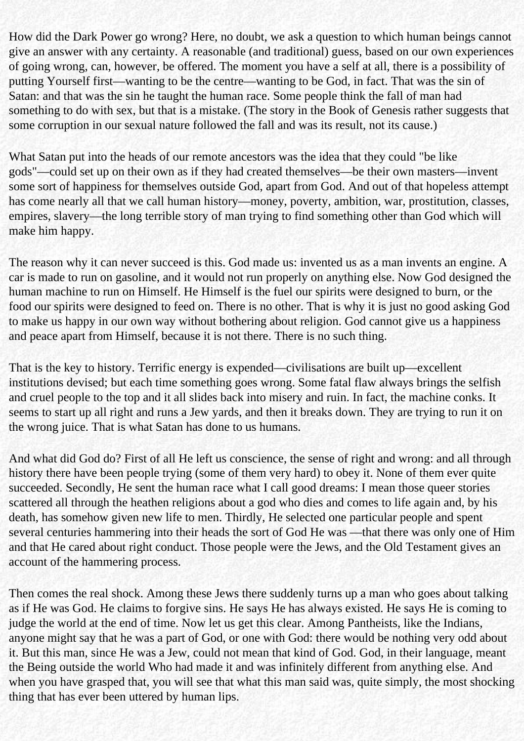How did the Dark Power go wrong? Here, no doubt, we ask a question to which human beings cannot give an answer with any certainty. A reasonable (and traditional) guess, based on our own experiences of going wrong, can, however, be offered. The moment you have a self at all, there is a possibility of putting Yourself first—wanting to be the centre—wanting to be God, in fact. That was the sin of Satan: and that was the sin he taught the human race. Some people think the fall of man had something to do with sex, but that is a mistake. (The story in the Book of Genesis rather suggests that some corruption in our sexual nature followed the fall and was its result, not its cause.)

What Satan put into the heads of our remote ancestors was the idea that they could "be like gods"—could set up on their own as if they had created themselves—be their own masters—invent some sort of happiness for themselves outside God, apart from God. And out of that hopeless attempt has come nearly all that we call human history—money, poverty, ambition, war, prostitution, classes, empires, slavery—the long terrible story of man trying to find something other than God which will make him happy.

The reason why it can never succeed is this. God made us: invented us as a man invents an engine. A car is made to run on gasoline, and it would not run properly on anything else. Now God designed the human machine to run on Himself. He Himself is the fuel our spirits were designed to burn, or the food our spirits were designed to feed on. There is no other. That is why it is just no good asking God to make us happy in our own way without bothering about religion. God cannot give us a happiness and peace apart from Himself, because it is not there. There is no such thing.

That is the key to history. Terrific energy is expended—civilisations are built up—excellent institutions devised; but each time something goes wrong. Some fatal flaw always brings the selfish and cruel people to the top and it all slides back into misery and ruin. In fact, the machine conks. It seems to start up all right and runs a Jew yards, and then it breaks down. They are trying to run it on the wrong juice. That is what Satan has done to us humans.

And what did God do? First of all He left us conscience, the sense of right and wrong: and all through history there have been people trying (some of them very hard) to obey it. None of them ever quite succeeded. Secondly, He sent the human race what I call good dreams: I mean those queer stories scattered all through the heathen religions about a god who dies and comes to life again and, by his death, has somehow given new life to men. Thirdly, He selected one particular people and spent several centuries hammering into their heads the sort of God He was —that there was only one of Him and that He cared about right conduct. Those people were the Jews, and the Old Testament gives an account of the hammering process.

Then comes the real shock. Among these Jews there suddenly turns up a man who goes about talking as if He was God. He claims to forgive sins. He says He has always existed. He says He is coming to judge the world at the end of time. Now let us get this clear. Among Pantheists, like the Indians, anyone might say that he was a part of God, or one with God: there would be nothing very odd about it. But this man, since He was a Jew, could not mean that kind of God. God, in their language, meant the Being outside the world Who had made it and was infinitely different from anything else. And when you have grasped that, you will see that what this man said was, quite simply, the most shocking thing that has ever been uttered by human lips.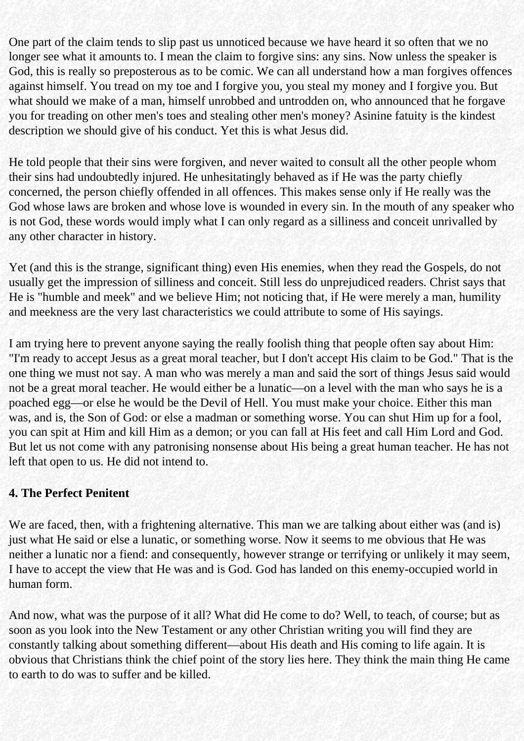One part of the claim tends to slip past us unnoticed because we have heard it so often that we no longer see what it amounts to. I mean the claim to forgive sins: any sins. Now unless the speaker is God, this is really so preposterous as to be comic. We can all understand how a man forgives offences against himself. You tread on my toe and I forgive you, you steal my money and I forgive you. But what should we make of a man, himself unrobbed and untrodden on, who announced that he forgave you for treading on other men's toes and stealing other men's money? Asinine fatuity is the kindest description we should give of his conduct. Yet this is what Jesus did.

He told people that their sins were forgiven, and never waited to consult all the other people whom their sins had undoubtedly injured. He unhesitatingly behaved as if He was the party chiefly concerned, the person chiefly offended in all offences. This makes sense only if He really was the God whose laws are broken and whose love is wounded in every sin. In the mouth of any speaker who is not God, these words would imply what I can only regard as a silliness and conceit unrivalled by any other character in history.

Yet (and this is the strange, significant thing) even His enemies, when they read the Gospels, do not usually get the impression of silliness and conceit. Still less do unprejudiced readers. Christ says that He is "humble and meek" and we believe Him; not noticing that, if He were merely a man, humility and meekness are the very last characteristics we could attribute to some of His sayings.

I am trying here to prevent anyone saying the really foolish thing that people often say about Him: "I'm ready to accept Jesus as a great moral teacher, but I don't accept His claim to be God." That is the one thing we must not say. A man who was merely a man and said the sort of things Jesus said would not be a great moral teacher. He would either be a lunatic—on a level with the man who says he is a poached egg—or else he would be the Devil of Hell. You must make your choice. Either this man was, and is, the Son of God: or else a madman or something worse. You can shut Him up for a fool, you can spit at Him and kill Him as a demon; or you can fall at His feet and call Him Lord and God. But let us not come with any patronising nonsense about His being a great human teacher. He has not left that open to us. He did not intend to.

# **4. The Perfect Penitent**

We are faced, then, with a frightening alternative. This man we are talking about either was (and is) just what He said or else a lunatic, or something worse. Now it seems to me obvious that He was neither a lunatic nor a fiend: and consequently, however strange or terrifying or unlikely it may seem, I have to accept the view that He was and is God. God has landed on this enemy-occupied world in human form.

And now, what was the purpose of it all? What did He come to do? Well, to teach, of course; but as soon as you look into the New Testament or any other Christian writing you will find they are constantly talking about something different—about His death and His coming to life again. It is obvious that Christians think the chief point of the story lies here. They think the main thing He came to earth to do was to suffer and be killed.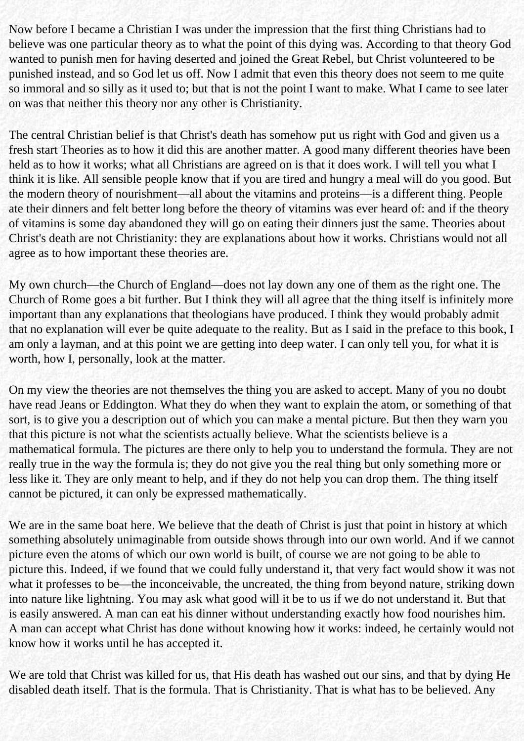Now before I became a Christian I was under the impression that the first thing Christians had to believe was one particular theory as to what the point of this dying was. According to that theory God wanted to punish men for having deserted and joined the Great Rebel, but Christ volunteered to be punished instead, and so God let us off. Now I admit that even this theory does not seem to me quite so immoral and so silly as it used to; but that is not the point I want to make. What I came to see later on was that neither this theory nor any other is Christianity.

The central Christian belief is that Christ's death has somehow put us right with God and given us a fresh start Theories as to how it did this are another matter. A good many different theories have been held as to how it works; what all Christians are agreed on is that it does work. I will tell you what I think it is like. All sensible people know that if you are tired and hungry a meal will do you good. But the modern theory of nourishment—all about the vitamins and proteins—is a different thing. People ate their dinners and felt better long before the theory of vitamins was ever heard of: and if the theory of vitamins is some day abandoned they will go on eating their dinners just the same. Theories about Christ's death are not Christianity: they are explanations about how it works. Christians would not all agree as to how important these theories are.

My own church—the Church of England—does not lay down any one of them as the right one. The Church of Rome goes a bit further. But I think they will all agree that the thing itself is infinitely more important than any explanations that theologians have produced. I think they would probably admit that no explanation will ever be quite adequate to the reality. But as I said in the preface to this book, I am only a layman, and at this point we are getting into deep water. I can only tell you, for what it is worth, how I, personally, look at the matter.

On my view the theories are not themselves the thing you are asked to accept. Many of you no doubt have read Jeans or Eddington. What they do when they want to explain the atom, or something of that sort, is to give you a description out of which you can make a mental picture. But then they warn you that this picture is not what the scientists actually believe. What the scientists believe is a mathematical formula. The pictures are there only to help you to understand the formula. They are not really true in the way the formula is; they do not give you the real thing but only something more or less like it. They are only meant to help, and if they do not help you can drop them. The thing itself cannot be pictured, it can only be expressed mathematically.

We are in the same boat here. We believe that the death of Christ is just that point in history at which something absolutely unimaginable from outside shows through into our own world. And if we cannot picture even the atoms of which our own world is built, of course we are not going to be able to picture this. Indeed, if we found that we could fully understand it, that very fact would show it was not what it professes to be—the inconceivable, the uncreated, the thing from beyond nature, striking down into nature like lightning. You may ask what good will it be to us if we do not understand it. But that is easily answered. A man can eat his dinner without understanding exactly how food nourishes him. A man can accept what Christ has done without knowing how it works: indeed, he certainly would not know how it works until he has accepted it.

We are told that Christ was killed for us, that His death has washed out our sins, and that by dying He disabled death itself. That is the formula. That is Christianity. That is what has to be believed. Any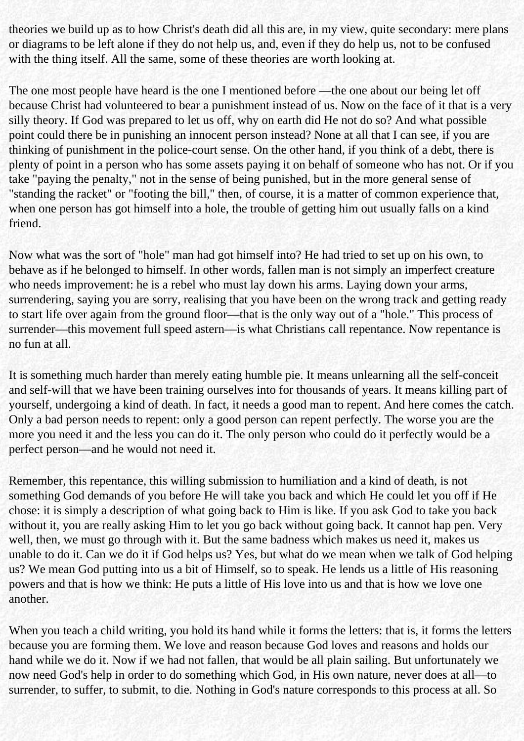theories we build up as to how Christ's death did all this are, in my view, quite secondary: mere plans or diagrams to be left alone if they do not help us, and, even if they do help us, not to be confused with the thing itself. All the same, some of these theories are worth looking at.

The one most people have heard is the one I mentioned before —the one about our being let off because Christ had volunteered to bear a punishment instead of us. Now on the face of it that is a very silly theory. If God was prepared to let us off, why on earth did He not do so? And what possible point could there be in punishing an innocent person instead? None at all that I can see, if you are thinking of punishment in the police-court sense. On the other hand, if you think of a debt, there is plenty of point in a person who has some assets paying it on behalf of someone who has not. Or if you take "paying the penalty," not in the sense of being punished, but in the more general sense of "standing the racket" or "footing the bill," then, of course, it is a matter of common experience that, when one person has got himself into a hole, the trouble of getting him out usually falls on a kind friend.

Now what was the sort of "hole" man had got himself into? He had tried to set up on his own, to behave as if he belonged to himself. In other words, fallen man is not simply an imperfect creature who needs improvement: he is a rebel who must lay down his arms. Laying down your arms, surrendering, saying you are sorry, realising that you have been on the wrong track and getting ready to start life over again from the ground floor—that is the only way out of a "hole." This process of surrender—this movement full speed astern—is what Christians call repentance. Now repentance is no fun at all.

It is something much harder than merely eating humble pie. It means unlearning all the self-conceit and self-will that we have been training ourselves into for thousands of years. It means killing part of yourself, undergoing a kind of death. In fact, it needs a good man to repent. And here comes the catch. Only a bad person needs to repent: only a good person can repent perfectly. The worse you are the more you need it and the less you can do it. The only person who could do it perfectly would be a perfect person—and he would not need it.

Remember, this repentance, this willing submission to humiliation and a kind of death, is not something God demands of you before He will take you back and which He could let you off if He chose: it is simply a description of what going back to Him is like. If you ask God to take you back without it, you are really asking Him to let you go back without going back. It cannot hap pen. Very well, then, we must go through with it. But the same badness which makes us need it, makes us unable to do it. Can we do it if God helps us? Yes, but what do we mean when we talk of God helping us? We mean God putting into us a bit of Himself, so to speak. He lends us a little of His reasoning powers and that is how we think: He puts a little of His love into us and that is how we love one another.

When you teach a child writing, you hold its hand while it forms the letters: that is, it forms the letters because you are forming them. We love and reason because God loves and reasons and holds our hand while we do it. Now if we had not fallen, that would be all plain sailing. But unfortunately we now need God's help in order to do something which God, in His own nature, never does at all—to surrender, to suffer, to submit, to die. Nothing in God's nature corresponds to this process at all. So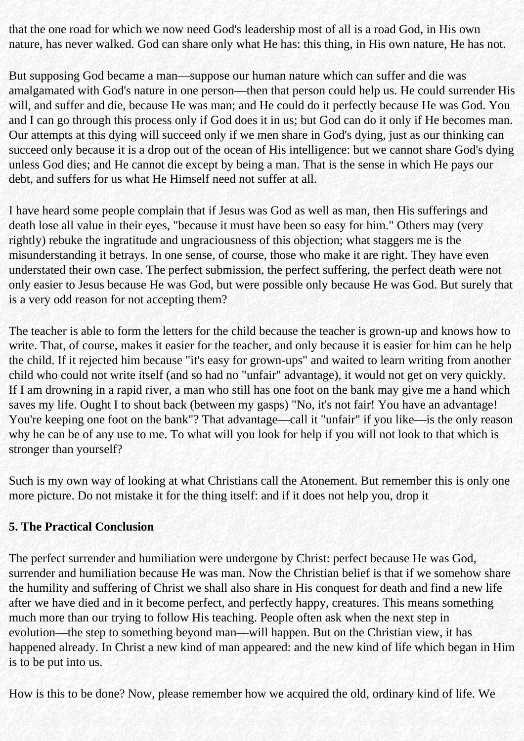that the one road for which we now need God's leadership most of all is a road God, in His own nature, has never walked. God can share only what He has: this thing, in His own nature, He has not.

But supposing God became a man—suppose our human nature which can suffer and die was amalgamated with God's nature in one person—then that person could help us. He could surrender His will, and suffer and die, because He was man; and He could do it perfectly because He was God. You and I can go through this process only if God does it in us; but God can do it only if He becomes man. Our attempts at this dying will succeed only if we men share in God's dying, just as our thinking can succeed only because it is a drop out of the ocean of His intelligence: but we cannot share God's dying unless God dies; and He cannot die except by being a man. That is the sense in which He pays our debt, and suffers for us what He Himself need not suffer at all.

I have heard some people complain that if Jesus was God as well as man, then His sufferings and death lose all value in their eyes, "because it must have been so easy for him." Others may (very rightly) rebuke the ingratitude and ungraciousness of this objection; what staggers me is the misunderstanding it betrays. In one sense, of course, those who make it are right. They have even understated their own case. The perfect submission, the perfect suffering, the perfect death were not only easier to Jesus because He was God, but were possible only because He was God. But surely that is a very odd reason for not accepting them?

The teacher is able to form the letters for the child because the teacher is grown-up and knows how to write. That, of course, makes it easier for the teacher, and only because it is easier for him can he help the child. If it rejected him because "it's easy for grown-ups" and waited to learn writing from another child who could not write itself (and so had no "unfair" advantage), it would not get on very quickly. If I am drowning in a rapid river, a man who still has one foot on the bank may give me a hand which saves my life. Ought I to shout back (between my gasps) "No, it's not fair! You have an advantage! You're keeping one foot on the bank"? That advantage—call it "unfair" if you like—is the only reason why he can be of any use to me. To what will you look for help if you will not look to that which is stronger than yourself?

Such is my own way of looking at what Christians call the Atonement. But remember this is only one more picture. Do not mistake it for the thing itself: and if it does not help you, drop it

# **5. The Practical Conclusion**

The perfect surrender and humiliation were undergone by Christ: perfect because He was God, surrender and humiliation because He was man. Now the Christian belief is that if we somehow share the humility and suffering of Christ we shall also share in His conquest for death and find a new life after we have died and in it become perfect, and perfectly happy, creatures. This means something much more than our trying to follow His teaching. People often ask when the next step in evolution—the step to something beyond man—will happen. But on the Christian view, it has happened already. In Christ a new kind of man appeared: and the new kind of life which began in Him is to be put into us.

How is this to be done? Now, please remember how we acquired the old, ordinary kind of life. We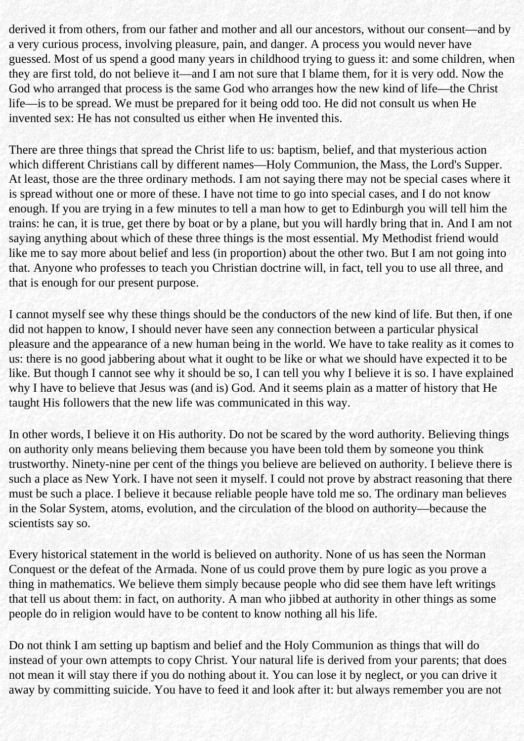derived it from others, from our father and mother and all our ancestors, without our consent—and by a very curious process, involving pleasure, pain, and danger. A process you would never have guessed. Most of us spend a good many years in childhood trying to guess it: and some children, when they are first told, do not believe it—and I am not sure that I blame them, for it is very odd. Now the God who arranged that process is the same God who arranges how the new kind of life—the Christ life—is to be spread. We must be prepared for it being odd too. He did not consult us when He invented sex: He has not consulted us either when He invented this.

There are three things that spread the Christ life to us: baptism, belief, and that mysterious action which different Christians call by different names—Holy Communion, the Mass, the Lord's Supper. At least, those are the three ordinary methods. I am not saying there may not be special cases where it is spread without one or more of these. I have not time to go into special cases, and I do not know enough. If you are trying in a few minutes to tell a man how to get to Edinburgh you will tell him the trains: he can, it is true, get there by boat or by a plane, but you will hardly bring that in. And I am not saying anything about which of these three things is the most essential. My Methodist friend would like me to say more about belief and less (in proportion) about the other two. But I am not going into that. Anyone who professes to teach you Christian doctrine will, in fact, tell you to use all three, and that is enough for our present purpose.

I cannot myself see why these things should be the conductors of the new kind of life. But then, if one did not happen to know, I should never have seen any connection between a particular physical pleasure and the appearance of a new human being in the world. We have to take reality as it comes to us: there is no good jabbering about what it ought to be like or what we should have expected it to be like. But though I cannot see why it should be so, I can tell you why I believe it is so. I have explained why I have to believe that Jesus was (and is) God. And it seems plain as a matter of history that He taught His followers that the new life was communicated in this way.

In other words, I believe it on His authority. Do not be scared by the word authority. Believing things on authority only means believing them because you have been told them by someone you think trustworthy. Ninety-nine per cent of the things you believe are believed on authority. I believe there is such a place as New York. I have not seen it myself. I could not prove by abstract reasoning that there must be such a place. I believe it because reliable people have told me so. The ordinary man believes in the Solar System, atoms, evolution, and the circulation of the blood on authority—because the scientists say so.

Every historical statement in the world is believed on authority. None of us has seen the Norman Conquest or the defeat of the Armada. None of us could prove them by pure logic as you prove a thing in mathematics. We believe them simply because people who did see them have left writings that tell us about them: in fact, on authority. A man who jibbed at authority in other things as some people do in religion would have to be content to know nothing all his life.

Do not think I am setting up baptism and belief and the Holy Communion as things that will do instead of your own attempts to copy Christ. Your natural life is derived from your parents; that does not mean it will stay there if you do nothing about it. You can lose it by neglect, or you can drive it away by committing suicide. You have to feed it and look after it: but always remember you are not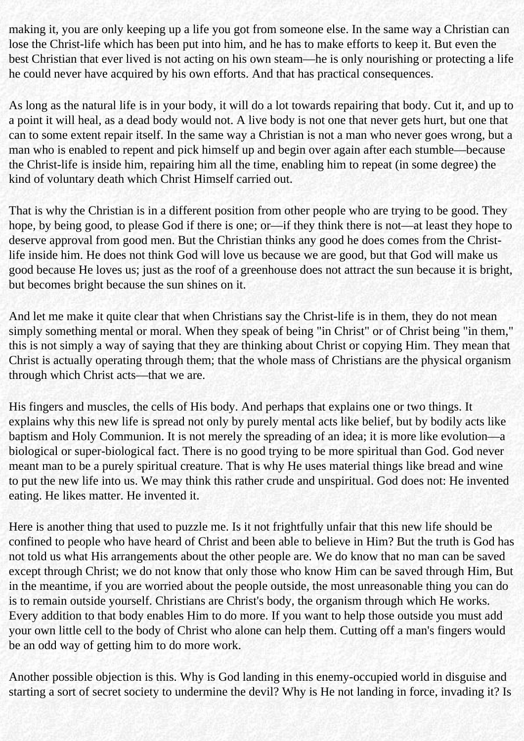making it, you are only keeping up a life you got from someone else. In the same way a Christian can lose the Christ-life which has been put into him, and he has to make efforts to keep it. But even the best Christian that ever lived is not acting on his own steam—he is only nourishing or protecting a life he could never have acquired by his own efforts. And that has practical consequences.

As long as the natural life is in your body, it will do a lot towards repairing that body. Cut it, and up to a point it will heal, as a dead body would not. A live body is not one that never gets hurt, but one that can to some extent repair itself. In the same way a Christian is not a man who never goes wrong, but a man who is enabled to repent and pick himself up and begin over again after each stumble—because the Christ-life is inside him, repairing him all the time, enabling him to repeat (in some degree) the kind of voluntary death which Christ Himself carried out.

That is why the Christian is in a different position from other people who are trying to be good. They hope, by being good, to please God if there is one; or—if they think there is not—at least they hope to deserve approval from good men. But the Christian thinks any good he does comes from the Christlife inside him. He does not think God will love us because we are good, but that God will make us good because He loves us; just as the roof of a greenhouse does not attract the sun because it is bright, but becomes bright because the sun shines on it.

And let me make it quite clear that when Christians say the Christ-life is in them, they do not mean simply something mental or moral. When they speak of being "in Christ" or of Christ being "in them," this is not simply a way of saying that they are thinking about Christ or copying Him. They mean that Christ is actually operating through them; that the whole mass of Christians are the physical organism through which Christ acts—that we are.

His fingers and muscles, the cells of His body. And perhaps that explains one or two things. It explains why this new life is spread not only by purely mental acts like belief, but by bodily acts like baptism and Holy Communion. It is not merely the spreading of an idea; it is more like evolution—a biological or super-biological fact. There is no good trying to be more spiritual than God. God never meant man to be a purely spiritual creature. That is why He uses material things like bread and wine to put the new life into us. We may think this rather crude and unspiritual. God does not: He invented eating. He likes matter. He invented it.

Here is another thing that used to puzzle me. Is it not frightfully unfair that this new life should be confined to people who have heard of Christ and been able to believe in Him? But the truth is God has not told us what His arrangements about the other people are. We do know that no man can be saved except through Christ; we do not know that only those who know Him can be saved through Him, But in the meantime, if you are worried about the people outside, the most unreasonable thing you can do is to remain outside yourself. Christians are Christ's body, the organism through which He works. Every addition to that body enables Him to do more. If you want to help those outside you must add your own little cell to the body of Christ who alone can help them. Cutting off a man's fingers would be an odd way of getting him to do more work.

Another possible objection is this. Why is God landing in this enemy-occupied world in disguise and starting a sort of secret society to undermine the devil? Why is He not landing in force, invading it? Is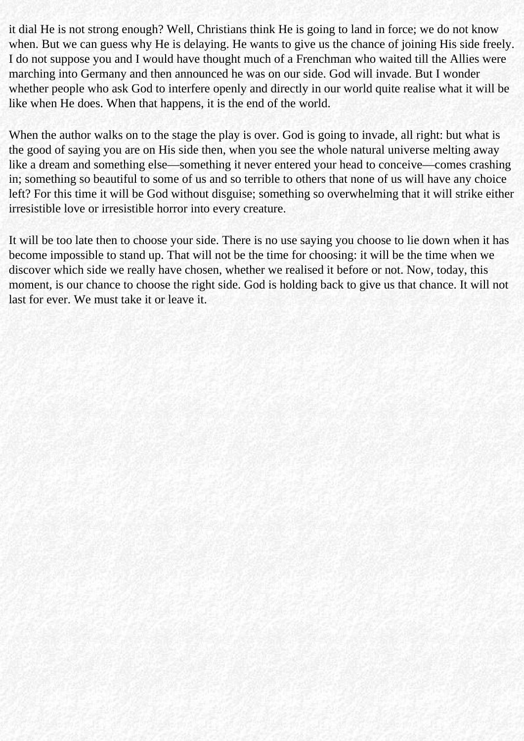it dial He is not strong enough? Well, Christians think He is going to land in force; we do not know when. But we can guess why He is delaying. He wants to give us the chance of joining His side freely. I do not suppose you and I would have thought much of a Frenchman who waited till the Allies were marching into Germany and then announced he was on our side. God will invade. But I wonder whether people who ask God to interfere openly and directly in our world quite realise what it will be like when He does. When that happens, it is the end of the world.

When the author walks on to the stage the play is over. God is going to invade, all right: but what is the good of saying you are on His side then, when you see the whole natural universe melting away like a dream and something else—something it never entered your head to conceive—comes crashing in; something so beautiful to some of us and so terrible to others that none of us will have any choice left? For this time it will be God without disguise; something so overwhelming that it will strike either irresistible love or irresistible horror into every creature.

It will be too late then to choose your side. There is no use saying you choose to lie down when it has become impossible to stand up. That will not be the time for choosing: it will be the time when we discover which side we really have chosen, whether we realised it before or not. Now, today, this moment, is our chance to choose the right side. God is holding back to give us that chance. It will not last for ever. We must take it or leave it.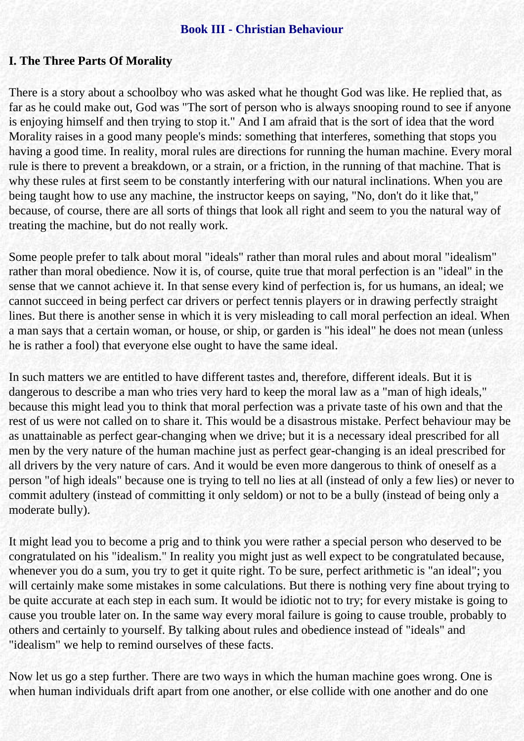#### **Book III - Christian Behaviour**

#### **I. The Three Parts Of Morality**

There is a story about a schoolboy who was asked what he thought God was like. He replied that, as far as he could make out, God was "The sort of person who is always snooping round to see if anyone is enjoying himself and then trying to stop it." And I am afraid that is the sort of idea that the word Morality raises in a good many people's minds: something that interferes, something that stops you having a good time. In reality, moral rules are directions for running the human machine. Every moral rule is there to prevent a breakdown, or a strain, or a friction, in the running of that machine. That is why these rules at first seem to be constantly interfering with our natural inclinations. When you are being taught how to use any machine, the instructor keeps on saying, "No, don't do it like that," because, of course, there are all sorts of things that look all right and seem to you the natural way of treating the machine, but do not really work.

Some people prefer to talk about moral "ideals" rather than moral rules and about moral "idealism" rather than moral obedience. Now it is, of course, quite true that moral perfection is an "ideal" in the sense that we cannot achieve it. In that sense every kind of perfection is, for us humans, an ideal; we cannot succeed in being perfect car drivers or perfect tennis players or in drawing perfectly straight lines. But there is another sense in which it is very misleading to call moral perfection an ideal. When a man says that a certain woman, or house, or ship, or garden is "his ideal" he does not mean (unless he is rather a fool) that everyone else ought to have the same ideal.

In such matters we are entitled to have different tastes and, therefore, different ideals. But it is dangerous to describe a man who tries very hard to keep the moral law as a "man of high ideals," because this might lead you to think that moral perfection was a private taste of his own and that the rest of us were not called on to share it. This would be a disastrous mistake. Perfect behaviour may be as unattainable as perfect gear-changing when we drive; but it is a necessary ideal prescribed for all men by the very nature of the human machine just as perfect gear-changing is an ideal prescribed for all drivers by the very nature of cars. And it would be even more dangerous to think of oneself as a person "of high ideals" because one is trying to tell no lies at all (instead of only a few lies) or never to commit adultery (instead of committing it only seldom) or not to be a bully (instead of being only a moderate bully).

It might lead you to become a prig and to think you were rather a special person who deserved to be congratulated on his "idealism." In reality you might just as well expect to be congratulated because, whenever you do a sum, you try to get it quite right. To be sure, perfect arithmetic is "an ideal"; you will certainly make some mistakes in some calculations. But there is nothing very fine about trying to be quite accurate at each step in each sum. It would be idiotic not to try; for every mistake is going to cause you trouble later on. In the same way every moral failure is going to cause trouble, probably to others and certainly to yourself. By talking about rules and obedience instead of "ideals" and "idealism" we help to remind ourselves of these facts.

Now let us go a step further. There are two ways in which the human machine goes wrong. One is when human individuals drift apart from one another, or else collide with one another and do one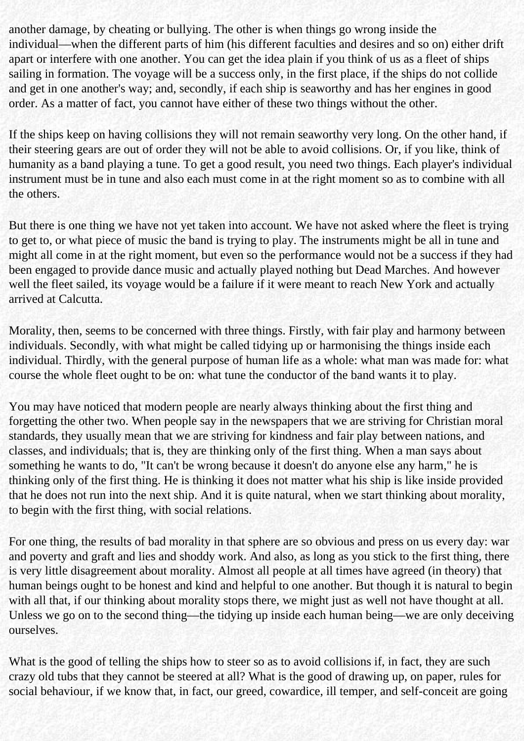another damage, by cheating or bullying. The other is when things go wrong inside the individual—when the different parts of him (his different faculties and desires and so on) either drift apart or interfere with one another. You can get the idea plain if you think of us as a fleet of ships sailing in formation. The voyage will be a success only, in the first place, if the ships do not collide and get in one another's way; and, secondly, if each ship is seaworthy and has her engines in good order. As a matter of fact, you cannot have either of these two things without the other.

If the ships keep on having collisions they will not remain seaworthy very long. On the other hand, if their steering gears are out of order they will not be able to avoid collisions. Or, if you like, think of humanity as a band playing a tune. To get a good result, you need two things. Each player's individual instrument must be in tune and also each must come in at the right moment so as to combine with all the others.

But there is one thing we have not yet taken into account. We have not asked where the fleet is trying to get to, or what piece of music the band is trying to play. The instruments might be all in tune and might all come in at the right moment, but even so the performance would not be a success if they had been engaged to provide dance music and actually played nothing but Dead Marches. And however well the fleet sailed, its voyage would be a failure if it were meant to reach New York and actually arrived at Calcutta.

Morality, then, seems to be concerned with three things. Firstly, with fair play and harmony between individuals. Secondly, with what might be called tidying up or harmonising the things inside each individual. Thirdly, with the general purpose of human life as a whole: what man was made for: what course the whole fleet ought to be on: what tune the conductor of the band wants it to play.

You may have noticed that modern people are nearly always thinking about the first thing and forgetting the other two. When people say in the newspapers that we are striving for Christian moral standards, they usually mean that we are striving for kindness and fair play between nations, and classes, and individuals; that is, they are thinking only of the first thing. When a man says about something he wants to do, "It can't be wrong because it doesn't do anyone else any harm," he is thinking only of the first thing. He is thinking it does not matter what his ship is like inside provided that he does not run into the next ship. And it is quite natural, when we start thinking about morality, to begin with the first thing, with social relations.

For one thing, the results of bad morality in that sphere are so obvious and press on us every day: war and poverty and graft and lies and shoddy work. And also, as long as you stick to the first thing, there is very little disagreement about morality. Almost all people at all times have agreed (in theory) that human beings ought to be honest and kind and helpful to one another. But though it is natural to begin with all that, if our thinking about morality stops there, we might just as well not have thought at all. Unless we go on to the second thing—the tidying up inside each human being—we are only deceiving ourselves.

What is the good of telling the ships how to steer so as to avoid collisions if, in fact, they are such crazy old tubs that they cannot be steered at all? What is the good of drawing up, on paper, rules for social behaviour, if we know that, in fact, our greed, cowardice, ill temper, and self-conceit are going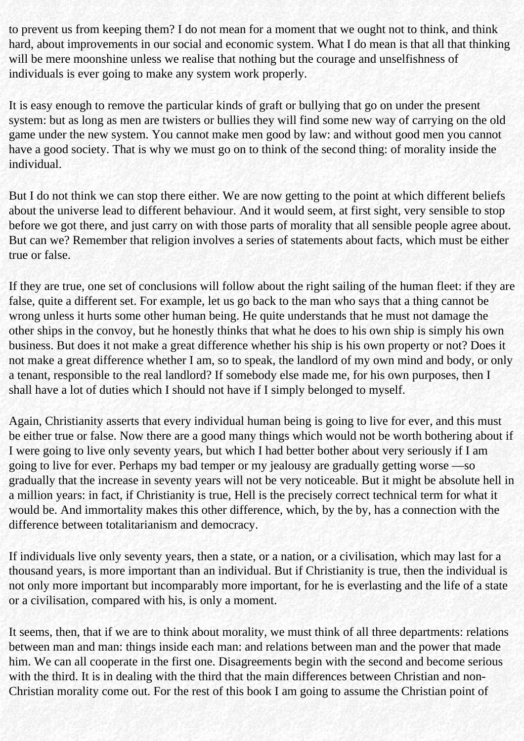to prevent us from keeping them? I do not mean for a moment that we ought not to think, and think hard, about improvements in our social and economic system. What I do mean is that all that thinking will be mere moonshine unless we realise that nothing but the courage and unselfishness of individuals is ever going to make any system work properly.

It is easy enough to remove the particular kinds of graft or bullying that go on under the present system: but as long as men are twisters or bullies they will find some new way of carrying on the old game under the new system. You cannot make men good by law: and without good men you cannot have a good society. That is why we must go on to think of the second thing: of morality inside the individual.

But I do not think we can stop there either. We are now getting to the point at which different beliefs about the universe lead to different behaviour. And it would seem, at first sight, very sensible to stop before we got there, and just carry on with those parts of morality that all sensible people agree about. But can we? Remember that religion involves a series of statements about facts, which must be either true or false.

If they are true, one set of conclusions will follow about the right sailing of the human fleet: if they are false, quite a different set. For example, let us go back to the man who says that a thing cannot be wrong unless it hurts some other human being. He quite understands that he must not damage the other ships in the convoy, but he honestly thinks that what he does to his own ship is simply his own business. But does it not make a great difference whether his ship is his own property or not? Does it not make a great difference whether I am, so to speak, the landlord of my own mind and body, or only a tenant, responsible to the real landlord? If somebody else made me, for his own purposes, then I shall have a lot of duties which I should not have if I simply belonged to myself.

Again, Christianity asserts that every individual human being is going to live for ever, and this must be either true or false. Now there are a good many things which would not be worth bothering about if I were going to live only seventy years, but which I had better bother about very seriously if I am going to live for ever. Perhaps my bad temper or my jealousy are gradually getting worse —so gradually that the increase in seventy years will not be very noticeable. But it might be absolute hell in a million years: in fact, if Christianity is true, Hell is the precisely correct technical term for what it would be. And immortality makes this other difference, which, by the by, has a connection with the difference between totalitarianism and democracy.

If individuals live only seventy years, then a state, or a nation, or a civilisation, which may last for a thousand years, is more important than an individual. But if Christianity is true, then the individual is not only more important but incomparably more important, for he is everlasting and the life of a state or a civilisation, compared with his, is only a moment.

It seems, then, that if we are to think about morality, we must think of all three departments: relations between man and man: things inside each man: and relations between man and the power that made him. We can all cooperate in the first one. Disagreements begin with the second and become serious with the third. It is in dealing with the third that the main differences between Christian and non-Christian morality come out. For the rest of this book I am going to assume the Christian point of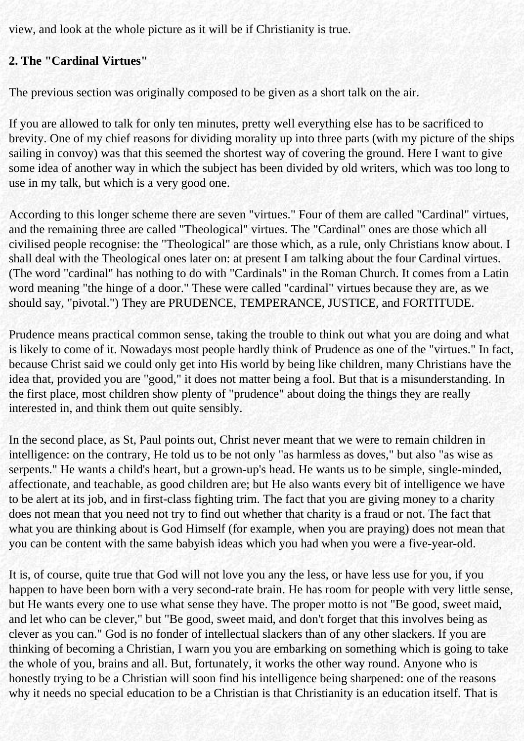view, and look at the whole picture as it will be if Christianity is true.

### **2. The "Cardinal Virtues"**

The previous section was originally composed to be given as a short talk on the air.

If you are allowed to talk for only ten minutes, pretty well everything else has to be sacrificed to brevity. One of my chief reasons for dividing morality up into three parts (with my picture of the ships sailing in convoy) was that this seemed the shortest way of covering the ground. Here I want to give some idea of another way in which the subject has been divided by old writers, which was too long to use in my talk, but which is a very good one.

According to this longer scheme there are seven "virtues." Four of them are called "Cardinal" virtues, and the remaining three are called "Theological" virtues. The "Cardinal" ones are those which all civilised people recognise: the "Theological" are those which, as a rule, only Christians know about. I shall deal with the Theological ones later on: at present I am talking about the four Cardinal virtues. (The word "cardinal" has nothing to do with "Cardinals" in the Roman Church. It comes from a Latin word meaning "the hinge of a door." These were called "cardinal" virtues because they are, as we should say, "pivotal.") They are PRUDENCE, TEMPERANCE, JUSTICE, and FORTITUDE.

Prudence means practical common sense, taking the trouble to think out what you are doing and what is likely to come of it. Nowadays most people hardly think of Prudence as one of the "virtues." In fact, because Christ said we could only get into His world by being like children, many Christians have the idea that, provided you are "good," it does not matter being a fool. But that is a misunderstanding. In the first place, most children show plenty of "prudence" about doing the things they are really interested in, and think them out quite sensibly.

In the second place, as St, Paul points out, Christ never meant that we were to remain children in intelligence: on the contrary, He told us to be not only "as harmless as doves," but also "as wise as serpents." He wants a child's heart, but a grown-up's head. He wants us to be simple, single-minded, affectionate, and teachable, as good children are; but He also wants every bit of intelligence we have to be alert at its job, and in first-class fighting trim. The fact that you are giving money to a charity does not mean that you need not try to find out whether that charity is a fraud or not. The fact that what you are thinking about is God Himself (for example, when you are praying) does not mean that you can be content with the same babyish ideas which you had when you were a five-year-old.

It is, of course, quite true that God will not love you any the less, or have less use for you, if you happen to have been born with a very second-rate brain. He has room for people with very little sense, but He wants every one to use what sense they have. The proper motto is not "Be good, sweet maid, and let who can be clever," but "Be good, sweet maid, and don't forget that this involves being as clever as you can." God is no fonder of intellectual slackers than of any other slackers. If you are thinking of becoming a Christian, I warn you you are embarking on something which is going to take the whole of you, brains and all. But, fortunately, it works the other way round. Anyone who is honestly trying to be a Christian will soon find his intelligence being sharpened: one of the reasons why it needs no special education to be a Christian is that Christianity is an education itself. That is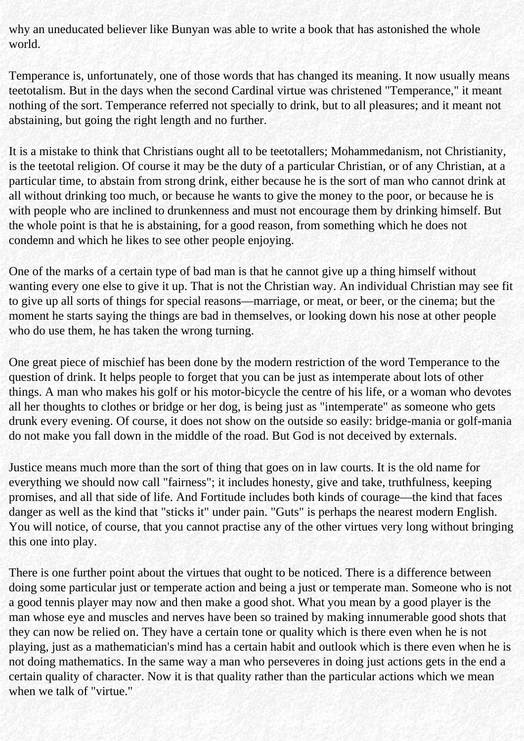why an uneducated believer like Bunyan was able to write a book that has astonished the whole world.

Temperance is, unfortunately, one of those words that has changed its meaning. It now usually means teetotalism. But in the days when the second Cardinal virtue was christened "Temperance," it meant nothing of the sort. Temperance referred not specially to drink, but to all pleasures; and it meant not abstaining, but going the right length and no further.

It is a mistake to think that Christians ought all to be teetotallers; Mohammedanism, not Christianity, is the teetotal religion. Of course it may be the duty of a particular Christian, or of any Christian, at a particular time, to abstain from strong drink, either because he is the sort of man who cannot drink at all without drinking too much, or because he wants to give the money to the poor, or because he is with people who are inclined to drunkenness and must not encourage them by drinking himself. But the whole point is that he is abstaining, for a good reason, from something which he does not condemn and which he likes to see other people enjoying.

One of the marks of a certain type of bad man is that he cannot give up a thing himself without wanting every one else to give it up. That is not the Christian way. An individual Christian may see fit to give up all sorts of things for special reasons—marriage, or meat, or beer, or the cinema; but the moment he starts saying the things are bad in themselves, or looking down his nose at other people who do use them, he has taken the wrong turning.

One great piece of mischief has been done by the modern restriction of the word Temperance to the question of drink. It helps people to forget that you can be just as intemperate about lots of other things. A man who makes his golf or his motor-bicycle the centre of his life, or a woman who devotes all her thoughts to clothes or bridge or her dog, is being just as "intemperate" as someone who gets drunk every evening. Of course, it does not show on the outside so easily: bridge-mania or golf-mania do not make you fall down in the middle of the road. But God is not deceived by externals.

Justice means much more than the sort of thing that goes on in law courts. It is the old name for everything we should now call "fairness"; it includes honesty, give and take, truthfulness, keeping promises, and all that side of life. And Fortitude includes both kinds of courage—the kind that faces danger as well as the kind that "sticks it" under pain. "Guts" is perhaps the nearest modern English. You will notice, of course, that you cannot practise any of the other virtues very long without bringing this one into play.

There is one further point about the virtues that ought to be noticed. There is a difference between doing some particular just or temperate action and being a just or temperate man. Someone who is not a good tennis player may now and then make a good shot. What you mean by a good player is the man whose eye and muscles and nerves have been so trained by making innumerable good shots that they can now be relied on. They have a certain tone or quality which is there even when he is not playing, just as a mathematician's mind has a certain habit and outlook which is there even when he is not doing mathematics. In the same way a man who perseveres in doing just actions gets in the end a certain quality of character. Now it is that quality rather than the particular actions which we mean when we talk of "virtue."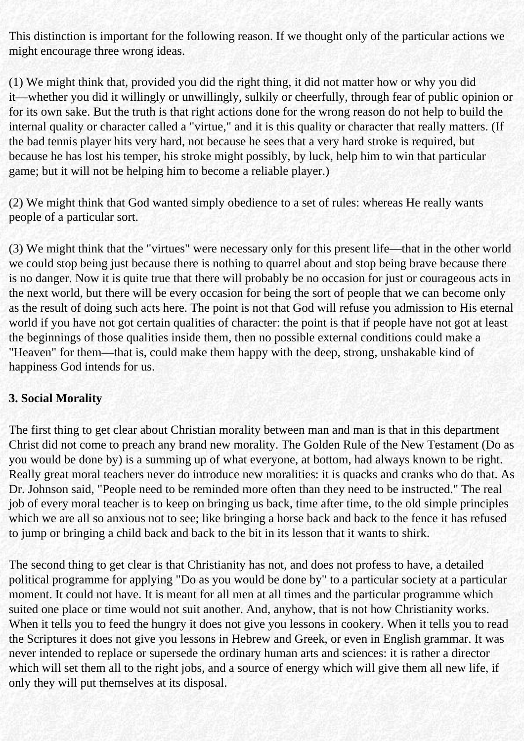This distinction is important for the following reason. If we thought only of the particular actions we might encourage three wrong ideas.

(1) We might think that, provided you did the right thing, it did not matter how or why you did it—whether you did it willingly or unwillingly, sulkily or cheerfully, through fear of public opinion or for its own sake. But the truth is that right actions done for the wrong reason do not help to build the internal quality or character called a "virtue," and it is this quality or character that really matters. (If the bad tennis player hits very hard, not because he sees that a very hard stroke is required, but because he has lost his temper, his stroke might possibly, by luck, help him to win that particular game; but it will not be helping him to become a reliable player.)

(2) We might think that God wanted simply obedience to a set of rules: whereas He really wants people of a particular sort.

(3) We might think that the "virtues" were necessary only for this present life—that in the other world we could stop being just because there is nothing to quarrel about and stop being brave because there is no danger. Now it is quite true that there will probably be no occasion for just or courageous acts in the next world, but there will be every occasion for being the sort of people that we can become only as the result of doing such acts here. The point is not that God will refuse you admission to His eternal world if you have not got certain qualities of character: the point is that if people have not got at least the beginnings of those qualities inside them, then no possible external conditions could make a "Heaven" for them—that is, could make them happy with the deep, strong, unshakable kind of happiness God intends for us.

# **3. Social Morality**

The first thing to get clear about Christian morality between man and man is that in this department Christ did not come to preach any brand new morality. The Golden Rule of the New Testament (Do as you would be done by) is a summing up of what everyone, at bottom, had always known to be right. Really great moral teachers never do introduce new moralities: it is quacks and cranks who do that. As Dr. Johnson said, "People need to be reminded more often than they need to be instructed." The real job of every moral teacher is to keep on bringing us back, time after time, to the old simple principles which we are all so anxious not to see; like bringing a horse back and back to the fence it has refused to jump or bringing a child back and back to the bit in its lesson that it wants to shirk.

The second thing to get clear is that Christianity has not, and does not profess to have, a detailed political programme for applying "Do as you would be done by" to a particular society at a particular moment. It could not have. It is meant for all men at all times and the particular programme which suited one place or time would not suit another. And, anyhow, that is not how Christianity works. When it tells you to feed the hungry it does not give you lessons in cookery. When it tells you to read the Scriptures it does not give you lessons in Hebrew and Greek, or even in English grammar. It was never intended to replace or supersede the ordinary human arts and sciences: it is rather a director which will set them all to the right jobs, and a source of energy which will give them all new life, if only they will put themselves at its disposal.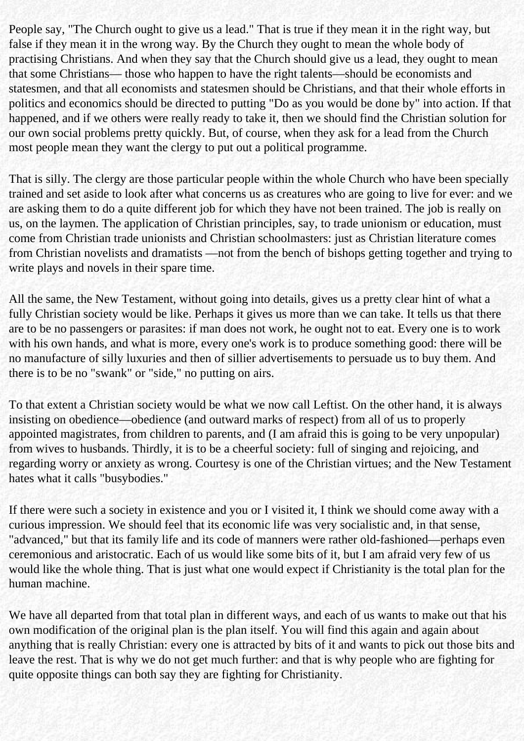People say, "The Church ought to give us a lead." That is true if they mean it in the right way, but false if they mean it in the wrong way. By the Church they ought to mean the whole body of practising Christians. And when they say that the Church should give us a lead, they ought to mean that some Christians— those who happen to have the right talents—should be economists and statesmen, and that all economists and statesmen should be Christians, and that their whole efforts in politics and economics should be directed to putting "Do as you would be done by" into action. If that happened, and if we others were really ready to take it, then we should find the Christian solution for our own social problems pretty quickly. But, of course, when they ask for a lead from the Church most people mean they want the clergy to put out a political programme.

That is silly. The clergy are those particular people within the whole Church who have been specially trained and set aside to look after what concerns us as creatures who are going to live for ever: and we are asking them to do a quite different job for which they have not been trained. The job is really on us, on the laymen. The application of Christian principles, say, to trade unionism or education, must come from Christian trade unionists and Christian schoolmasters: just as Christian literature comes from Christian novelists and dramatists —not from the bench of bishops getting together and trying to write plays and novels in their spare time.

All the same, the New Testament, without going into details, gives us a pretty clear hint of what a fully Christian society would be like. Perhaps it gives us more than we can take. It tells us that there are to be no passengers or parasites: if man does not work, he ought not to eat. Every one is to work with his own hands, and what is more, every one's work is to produce something good: there will be no manufacture of silly luxuries and then of sillier advertisements to persuade us to buy them. And there is to be no "swank" or "side," no putting on airs.

To that extent a Christian society would be what we now call Leftist. On the other hand, it is always insisting on obedience—obedience (and outward marks of respect) from all of us to properly appointed magistrates, from children to parents, and (I am afraid this is going to be very unpopular) from wives to husbands. Thirdly, it is to be a cheerful society: full of singing and rejoicing, and regarding worry or anxiety as wrong. Courtesy is one of the Christian virtues; and the New Testament hates what it calls "busybodies."

If there were such a society in existence and you or I visited it, I think we should come away with a curious impression. We should feel that its economic life was very socialistic and, in that sense, "advanced," but that its family life and its code of manners were rather old-fashioned—perhaps even ceremonious and aristocratic. Each of us would like some bits of it, but I am afraid very few of us would like the whole thing. That is just what one would expect if Christianity is the total plan for the human machine.

We have all departed from that total plan in different ways, and each of us wants to make out that his own modification of the original plan is the plan itself. You will find this again and again about anything that is really Christian: every one is attracted by bits of it and wants to pick out those bits and leave the rest. That is why we do not get much further: and that is why people who are fighting for quite opposite things can both say they are fighting for Christianity.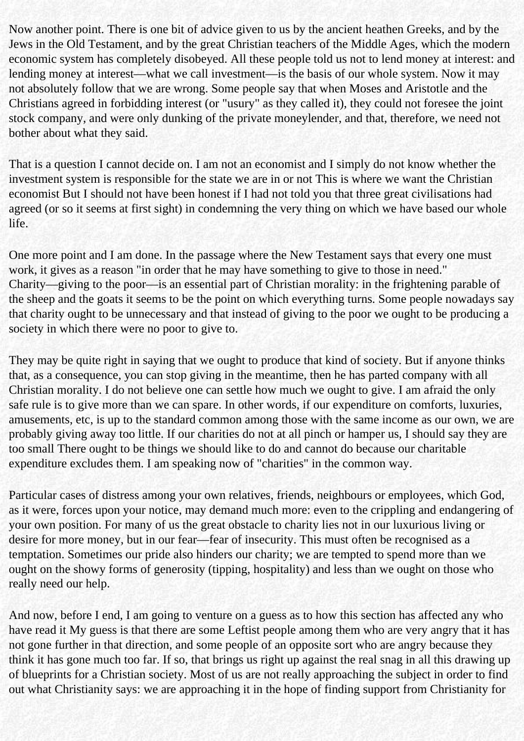Now another point. There is one bit of advice given to us by the ancient heathen Greeks, and by the Jews in the Old Testament, and by the great Christian teachers of the Middle Ages, which the modern economic system has completely disobeyed. All these people told us not to lend money at interest: and lending money at interest—what we call investment—is the basis of our whole system. Now it may not absolutely follow that we are wrong. Some people say that when Moses and Aristotle and the Christians agreed in forbidding interest (or "usury" as they called it), they could not foresee the joint stock company, and were only dunking of the private moneylender, and that, therefore, we need not bother about what they said.

That is a question I cannot decide on. I am not an economist and I simply do not know whether the investment system is responsible for the state we are in or not This is where we want the Christian economist But I should not have been honest if I had not told you that three great civilisations had agreed (or so it seems at first sight) in condemning the very thing on which we have based our whole life.

One more point and I am done. In the passage where the New Testament says that every one must work, it gives as a reason "in order that he may have something to give to those in need." Charity—giving to the poor—is an essential part of Christian morality: in the frightening parable of the sheep and the goats it seems to be the point on which everything turns. Some people nowadays say that charity ought to be unnecessary and that instead of giving to the poor we ought to be producing a society in which there were no poor to give to.

They may be quite right in saying that we ought to produce that kind of society. But if anyone thinks that, as a consequence, you can stop giving in the meantime, then he has parted company with all Christian morality. I do not believe one can settle how much we ought to give. I am afraid the only safe rule is to give more than we can spare. In other words, if our expenditure on comforts, luxuries, amusements, etc, is up to the standard common among those with the same income as our own, we are probably giving away too little. If our charities do not at all pinch or hamper us, I should say they are too small There ought to be things we should like to do and cannot do because our charitable expenditure excludes them. I am speaking now of "charities" in the common way.

Particular cases of distress among your own relatives, friends, neighbours or employees, which God, as it were, forces upon your notice, may demand much more: even to the crippling and endangering of your own position. For many of us the great obstacle to charity lies not in our luxurious living or desire for more money, but in our fear—fear of insecurity. This must often be recognised as a temptation. Sometimes our pride also hinders our charity; we are tempted to spend more than we ought on the showy forms of generosity (tipping, hospitality) and less than we ought on those who really need our help.

And now, before I end, I am going to venture on a guess as to how this section has affected any who have read it My guess is that there are some Leftist people among them who are very angry that it has not gone further in that direction, and some people of an opposite sort who are angry because they think it has gone much too far. If so, that brings us right up against the real snag in all this drawing up of blueprints for a Christian society. Most of us are not really approaching the subject in order to find out what Christianity says: we are approaching it in the hope of finding support from Christianity for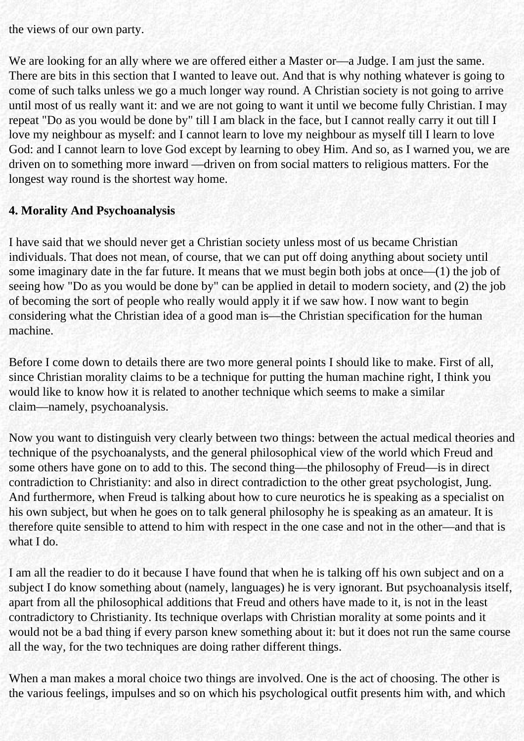the views of our own party.

We are looking for an ally where we are offered either a Master or—a Judge. I am just the same. There are bits in this section that I wanted to leave out. And that is why nothing whatever is going to come of such talks unless we go a much longer way round. A Christian society is not going to arrive until most of us really want it: and we are not going to want it until we become fully Christian. I may repeat "Do as you would be done by" till I am black in the face, but I cannot really carry it out till I love my neighbour as myself: and I cannot learn to love my neighbour as myself till I learn to love God: and I cannot learn to love God except by learning to obey Him. And so, as I warned you, we are driven on to something more inward —driven on from social matters to religious matters. For the longest way round is the shortest way home.

# **4. Morality And Psychoanalysis**

I have said that we should never get a Christian society unless most of us became Christian individuals. That does not mean, of course, that we can put off doing anything about society until some imaginary date in the far future. It means that we must begin both jobs at once—(1) the job of seeing how "Do as you would be done by" can be applied in detail to modern society, and (2) the job of becoming the sort of people who really would apply it if we saw how. I now want to begin considering what the Christian idea of a good man is—the Christian specification for the human machine.

Before I come down to details there are two more general points I should like to make. First of all, since Christian morality claims to be a technique for putting the human machine right, I think you would like to know how it is related to another technique which seems to make a similar claim—namely, psychoanalysis.

Now you want to distinguish very clearly between two things: between the actual medical theories and technique of the psychoanalysts, and the general philosophical view of the world which Freud and some others have gone on to add to this. The second thing—the philosophy of Freud—is in direct contradiction to Christianity: and also in direct contradiction to the other great psychologist, Jung. And furthermore, when Freud is talking about how to cure neurotics he is speaking as a specialist on his own subject, but when he goes on to talk general philosophy he is speaking as an amateur. It is therefore quite sensible to attend to him with respect in the one case and not in the other—and that is what I do.

I am all the readier to do it because I have found that when he is talking off his own subject and on a subject I do know something about (namely, languages) he is very ignorant. But psychoanalysis itself, apart from all the philosophical additions that Freud and others have made to it, is not in the least contradictory to Christianity. Its technique overlaps with Christian morality at some points and it would not be a bad thing if every parson knew something about it: but it does not run the same course all the way, for the two techniques are doing rather different things.

When a man makes a moral choice two things are involved. One is the act of choosing. The other is the various feelings, impulses and so on which his psychological outfit presents him with, and which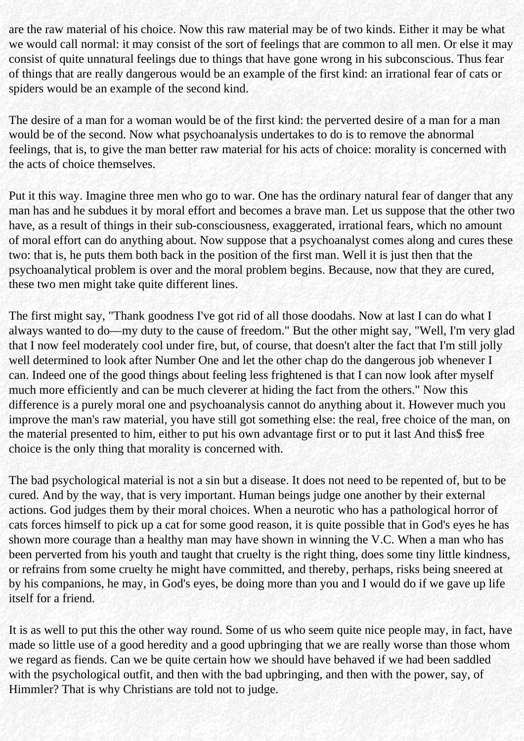are the raw material of his choice. Now this raw material may be of two kinds. Either it may be what we would call normal: it may consist of the sort of feelings that are common to all men. Or else it may consist of quite unnatural feelings due to things that have gone wrong in his subconscious. Thus fear of things that are really dangerous would be an example of the first kind: an irrational fear of cats or spiders would be an example of the second kind.

The desire of a man for a woman would be of the first kind: the perverted desire of a man for a man would be of the second. Now what psychoanalysis undertakes to do is to remove the abnormal feelings, that is, to give the man better raw material for his acts of choice: morality is concerned with the acts of choice themselves.

Put it this way. Imagine three men who go to war. One has the ordinary natural fear of danger that any man has and he subdues it by moral effort and becomes a brave man. Let us suppose that the other two have, as a result of things in their sub-consciousness, exaggerated, irrational fears, which no amount of moral effort can do anything about. Now suppose that a psychoanalyst comes along and cures these two: that is, he puts them both back in the position of the first man. Well it is just then that the psychoanalytical problem is over and the moral problem begins. Because, now that they are cured, these two men might take quite different lines.

The first might say, "Thank goodness I've got rid of all those doodahs. Now at last I can do what I always wanted to do—my duty to the cause of freedom." But the other might say, "Well, I'm very glad that I now feel moderately cool under fire, but, of course, that doesn't alter the fact that I'm still jolly well determined to look after Number One and let the other chap do the dangerous job whenever I can. Indeed one of the good things about feeling less frightened is that I can now look after myself much more efficiently and can be much cleverer at hiding the fact from the others." Now this difference is a purely moral one and psychoanalysis cannot do anything about it. However much you improve the man's raw material, you have still got something else: the real, free choice of the man, on the material presented to him, either to put his own advantage first or to put it last And this\$ free choice is the only thing that morality is concerned with.

The bad psychological material is not a sin but a disease. It does not need to be repented of, but to be cured. And by the way, that is very important. Human beings judge one another by their external actions. God judges them by their moral choices. When a neurotic who has a pathological horror of cats forces himself to pick up a cat for some good reason, it is quite possible that in God's eyes he has shown more courage than a healthy man may have shown in winning the V.C. When a man who has been perverted from his youth and taught that cruelty is the right thing, does some tiny little kindness, or refrains from some cruelty he might have committed, and thereby, perhaps, risks being sneered at by his companions, he may, in God's eyes, be doing more than you and I would do if we gave up life itself for a friend.

It is as well to put this the other way round. Some of us who seem quite nice people may, in fact, have made so little use of a good heredity and a good upbringing that we are really worse than those whom we regard as fiends. Can we be quite certain how we should have behaved if we had been saddled with the psychological outfit, and then with the bad upbringing, and then with the power, say, of Himmler? That is why Christians are told not to judge.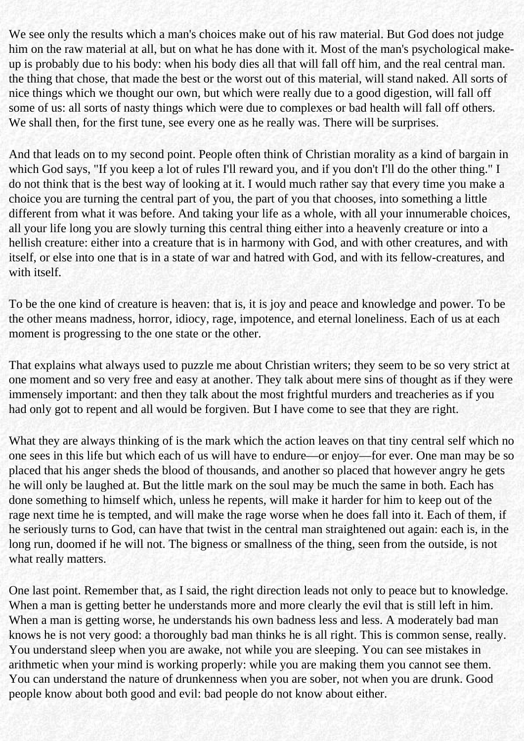We see only the results which a man's choices make out of his raw material. But God does not judge him on the raw material at all, but on what he has done with it. Most of the man's psychological makeup is probably due to his body: when his body dies all that will fall off him, and the real central man. the thing that chose, that made the best or the worst out of this material, will stand naked. All sorts of nice things which we thought our own, but which were really due to a good digestion, will fall off some of us: all sorts of nasty things which were due to complexes or bad health will fall off others. We shall then, for the first tune, see every one as he really was. There will be surprises.

And that leads on to my second point. People often think of Christian morality as a kind of bargain in which God says, "If you keep a lot of rules I'll reward you, and if you don't I'll do the other thing." I do not think that is the best way of looking at it. I would much rather say that every time you make a choice you are turning the central part of you, the part of you that chooses, into something a little different from what it was before. And taking your life as a whole, with all your innumerable choices, all your life long you are slowly turning this central thing either into a heavenly creature or into a hellish creature: either into a creature that is in harmony with God, and with other creatures, and with itself, or else into one that is in a state of war and hatred with God, and with its fellow-creatures, and with itself.

To be the one kind of creature is heaven: that is, it is joy and peace and knowledge and power. To be the other means madness, horror, idiocy, rage, impotence, and eternal loneliness. Each of us at each moment is progressing to the one state or the other.

That explains what always used to puzzle me about Christian writers; they seem to be so very strict at one moment and so very free and easy at another. They talk about mere sins of thought as if they were immensely important: and then they talk about the most frightful murders and treacheries as if you had only got to repent and all would be forgiven. But I have come to see that they are right.

What they are always thinking of is the mark which the action leaves on that tiny central self which no one sees in this life but which each of us will have to endure—or enjoy—for ever. One man may be so placed that his anger sheds the blood of thousands, and another so placed that however angry he gets he will only be laughed at. But the little mark on the soul may be much the same in both. Each has done something to himself which, unless he repents, will make it harder for him to keep out of the rage next time he is tempted, and will make the rage worse when he does fall into it. Each of them, if he seriously turns to God, can have that twist in the central man straightened out again: each is, in the long run, doomed if he will not. The bigness or smallness of the thing, seen from the outside, is not what really matters.

One last point. Remember that, as I said, the right direction leads not only to peace but to knowledge. When a man is getting better he understands more and more clearly the evil that is still left in him. When a man is getting worse, he understands his own badness less and less. A moderately bad man knows he is not very good: a thoroughly bad man thinks he is all right. This is common sense, really. You understand sleep when you are awake, not while you are sleeping. You can see mistakes in arithmetic when your mind is working properly: while you are making them you cannot see them. You can understand the nature of drunkenness when you are sober, not when you are drunk. Good people know about both good and evil: bad people do not know about either.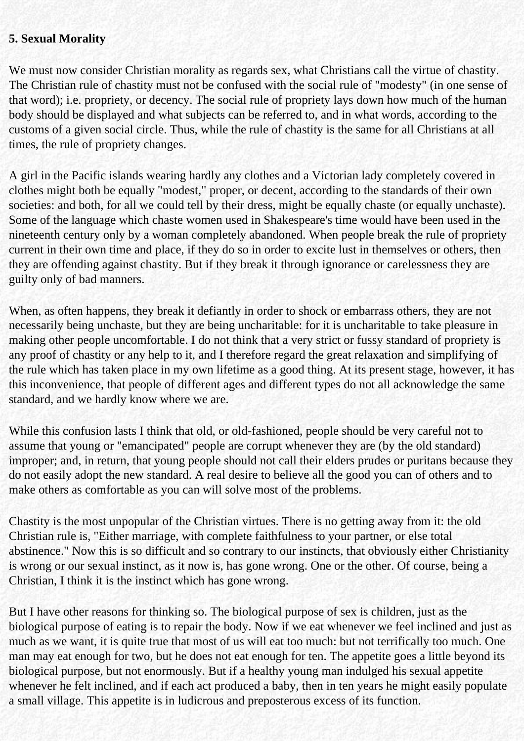#### **5. Sexual Morality**

We must now consider Christian morality as regards sex, what Christians call the virtue of chastity. The Christian rule of chastity must not be confused with the social rule of "modesty" (in one sense of that word); i.e. propriety, or decency. The social rule of propriety lays down how much of the human body should be displayed and what subjects can be referred to, and in what words, according to the customs of a given social circle. Thus, while the rule of chastity is the same for all Christians at all times, the rule of propriety changes.

A girl in the Pacific islands wearing hardly any clothes and a Victorian lady completely covered in clothes might both be equally "modest," proper, or decent, according to the standards of their own societies: and both, for all we could tell by their dress, might be equally chaste (or equally unchaste). Some of the language which chaste women used in Shakespeare's time would have been used in the nineteenth century only by a woman completely abandoned. When people break the rule of propriety current in their own time and place, if they do so in order to excite lust in themselves or others, then they are offending against chastity. But if they break it through ignorance or carelessness they are guilty only of bad manners.

When, as often happens, they break it defiantly in order to shock or embarrass others, they are not necessarily being unchaste, but they are being uncharitable: for it is uncharitable to take pleasure in making other people uncomfortable. I do not think that a very strict or fussy standard of propriety is any proof of chastity or any help to it, and I therefore regard the great relaxation and simplifying of the rule which has taken place in my own lifetime as a good thing. At its present stage, however, it has this inconvenience, that people of different ages and different types do not all acknowledge the same standard, and we hardly know where we are.

While this confusion lasts I think that old, or old-fashioned, people should be very careful not to assume that young or "emancipated" people are corrupt whenever they are (by the old standard) improper; and, in return, that young people should not call their elders prudes or puritans because they do not easily adopt the new standard. A real desire to believe all the good you can of others and to make others as comfortable as you can will solve most of the problems.

Chastity is the most unpopular of the Christian virtues. There is no getting away from it: the old Christian rule is, "Either marriage, with complete faithfulness to your partner, or else total abstinence." Now this is so difficult and so contrary to our instincts, that obviously either Christianity is wrong or our sexual instinct, as it now is, has gone wrong. One or the other. Of course, being a Christian, I think it is the instinct which has gone wrong.

But I have other reasons for thinking so. The biological purpose of sex is children, just as the biological purpose of eating is to repair the body. Now if we eat whenever we feel inclined and just as much as we want, it is quite true that most of us will eat too much: but not terrifically too much. One man may eat enough for two, but he does not eat enough for ten. The appetite goes a little beyond its biological purpose, but not enormously. But if a healthy young man indulged his sexual appetite whenever he felt inclined, and if each act produced a baby, then in ten years he might easily populate a small village. This appetite is in ludicrous and preposterous excess of its function.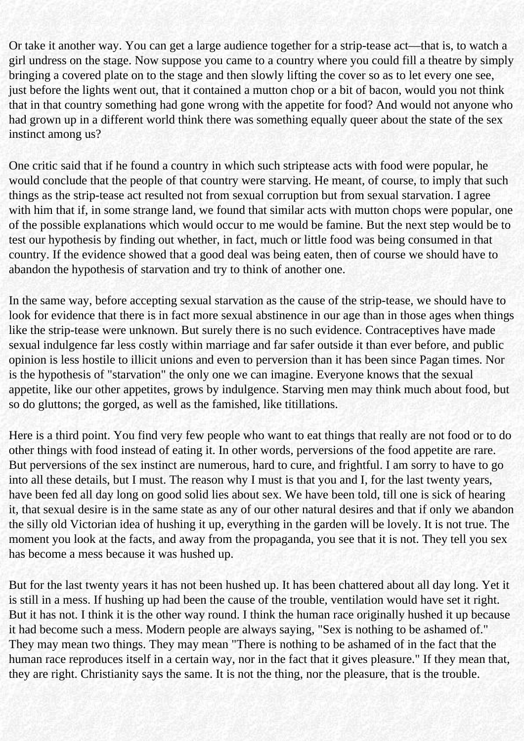Or take it another way. You can get a large audience together for a strip-tease act—that is, to watch a girl undress on the stage. Now suppose you came to a country where you could fill a theatre by simply bringing a covered plate on to the stage and then slowly lifting the cover so as to let every one see, just before the lights went out, that it contained a mutton chop or a bit of bacon, would you not think that in that country something had gone wrong with the appetite for food? And would not anyone who had grown up in a different world think there was something equally queer about the state of the sex instinct among us?

One critic said that if he found a country in which such striptease acts with food were popular, he would conclude that the people of that country were starving. He meant, of course, to imply that such things as the strip-tease act resulted not from sexual corruption but from sexual starvation. I agree with him that if, in some strange land, we found that similar acts with mutton chops were popular, one of the possible explanations which would occur to me would be famine. But the next step would be to test our hypothesis by finding out whether, in fact, much or little food was being consumed in that country. If the evidence showed that a good deal was being eaten, then of course we should have to abandon the hypothesis of starvation and try to think of another one.

In the same way, before accepting sexual starvation as the cause of the strip-tease, we should have to look for evidence that there is in fact more sexual abstinence in our age than in those ages when things like the strip-tease were unknown. But surely there is no such evidence. Contraceptives have made sexual indulgence far less costly within marriage and far safer outside it than ever before, and public opinion is less hostile to illicit unions and even to perversion than it has been since Pagan times. Nor is the hypothesis of "starvation" the only one we can imagine. Everyone knows that the sexual appetite, like our other appetites, grows by indulgence. Starving men may think much about food, but so do gluttons; the gorged, as well as the famished, like titillations.

Here is a third point. You find very few people who want to eat things that really are not food or to do other things with food instead of eating it. In other words, perversions of the food appetite are rare. But perversions of the sex instinct are numerous, hard to cure, and frightful. I am sorry to have to go into all these details, but I must. The reason why I must is that you and I, for the last twenty years, have been fed all day long on good solid lies about sex. We have been told, till one is sick of hearing it, that sexual desire is in the same state as any of our other natural desires and that if only we abandon the silly old Victorian idea of hushing it up, everything in the garden will be lovely. It is not true. The moment you look at the facts, and away from the propaganda, you see that it is not. They tell you sex has become a mess because it was hushed up.

But for the last twenty years it has not been hushed up. It has been chattered about all day long. Yet it is still in a mess. If hushing up had been the cause of the trouble, ventilation would have set it right. But it has not. I think it is the other way round. I think the human race originally hushed it up because it had become such a mess. Modern people are always saying, "Sex is nothing to be ashamed of." They may mean two things. They may mean "There is nothing to be ashamed of in the fact that the human race reproduces itself in a certain way, nor in the fact that it gives pleasure." If they mean that, they are right. Christianity says the same. It is not the thing, nor the pleasure, that is the trouble.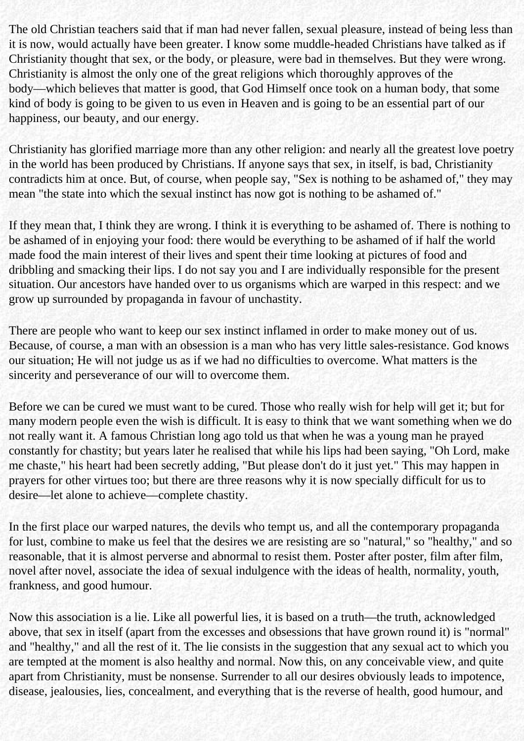The old Christian teachers said that if man had never fallen, sexual pleasure, instead of being less than it is now, would actually have been greater. I know some muddle-headed Christians have talked as if Christianity thought that sex, or the body, or pleasure, were bad in themselves. But they were wrong. Christianity is almost the only one of the great religions which thoroughly approves of the body—which believes that matter is good, that God Himself once took on a human body, that some kind of body is going to be given to us even in Heaven and is going to be an essential part of our happiness, our beauty, and our energy.

Christianity has glorified marriage more than any other religion: and nearly all the greatest love poetry in the world has been produced by Christians. If anyone says that sex, in itself, is bad, Christianity contradicts him at once. But, of course, when people say, "Sex is nothing to be ashamed of," they may mean "the state into which the sexual instinct has now got is nothing to be ashamed of."

If they mean that, I think they are wrong. I think it is everything to be ashamed of. There is nothing to be ashamed of in enjoying your food: there would be everything to be ashamed of if half the world made food the main interest of their lives and spent their time looking at pictures of food and dribbling and smacking their lips. I do not say you and I are individually responsible for the present situation. Our ancestors have handed over to us organisms which are warped in this respect: and we grow up surrounded by propaganda in favour of unchastity.

There are people who want to keep our sex instinct inflamed in order to make money out of us. Because, of course, a man with an obsession is a man who has very little sales-resistance. God knows our situation; He will not judge us as if we had no difficulties to overcome. What matters is the sincerity and perseverance of our will to overcome them.

Before we can be cured we must want to be cured. Those who really wish for help will get it; but for many modern people even the wish is difficult. It is easy to think that we want something when we do not really want it. A famous Christian long ago told us that when he was a young man he prayed constantly for chastity; but years later he realised that while his lips had been saying, "Oh Lord, make me chaste," his heart had been secretly adding, "But please don't do it just yet." This may happen in prayers for other virtues too; but there are three reasons why it is now specially difficult for us to desire—let alone to achieve—complete chastity.

In the first place our warped natures, the devils who tempt us, and all the contemporary propaganda for lust, combine to make us feel that the desires we are resisting are so "natural," so "healthy," and so reasonable, that it is almost perverse and abnormal to resist them. Poster after poster, film after film, novel after novel, associate the idea of sexual indulgence with the ideas of health, normality, youth, frankness, and good humour.

Now this association is a lie. Like all powerful lies, it is based on a truth—the truth, acknowledged above, that sex in itself (apart from the excesses and obsessions that have grown round it) is "normal" and "healthy," and all the rest of it. The lie consists in the suggestion that any sexual act to which you are tempted at the moment is also healthy and normal. Now this, on any conceivable view, and quite apart from Christianity, must be nonsense. Surrender to all our desires obviously leads to impotence, disease, jealousies, lies, concealment, and everything that is the reverse of health, good humour, and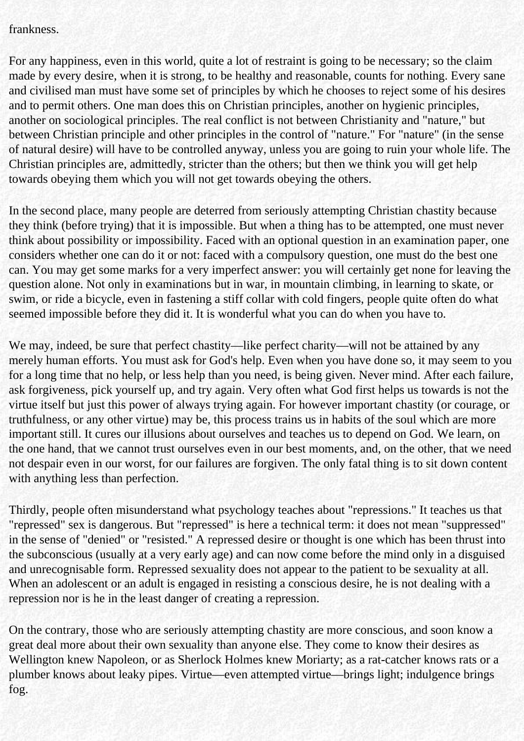frankness.

For any happiness, even in this world, quite a lot of restraint is going to be necessary; so the claim made by every desire, when it is strong, to be healthy and reasonable, counts for nothing. Every sane and civilised man must have some set of principles by which he chooses to reject some of his desires and to permit others. One man does this on Christian principles, another on hygienic principles, another on sociological principles. The real conflict is not between Christianity and "nature," but between Christian principle and other principles in the control of "nature." For "nature" (in the sense of natural desire) will have to be controlled anyway, unless you are going to ruin your whole life. The Christian principles are, admittedly, stricter than the others; but then we think you will get help towards obeying them which you will not get towards obeying the others.

In the second place, many people are deterred from seriously attempting Christian chastity because they think (before trying) that it is impossible. But when a thing has to be attempted, one must never think about possibility or impossibility. Faced with an optional question in an examination paper, one considers whether one can do it or not: faced with a compulsory question, one must do the best one can. You may get some marks for a very imperfect answer: you will certainly get none for leaving the question alone. Not only in examinations but in war, in mountain climbing, in learning to skate, or swim, or ride a bicycle, even in fastening a stiff collar with cold fingers, people quite often do what seemed impossible before they did it. It is wonderful what you can do when you have to.

We may, indeed, be sure that perfect chastity—like perfect charity—will not be attained by any merely human efforts. You must ask for God's help. Even when you have done so, it may seem to you for a long time that no help, or less help than you need, is being given. Never mind. After each failure, ask forgiveness, pick yourself up, and try again. Very often what God first helps us towards is not the virtue itself but just this power of always trying again. For however important chastity (or courage, or truthfulness, or any other virtue) may be, this process trains us in habits of the soul which are more important still. It cures our illusions about ourselves and teaches us to depend on God. We learn, on the one hand, that we cannot trust ourselves even in our best moments, and, on the other, that we need not despair even in our worst, for our failures are forgiven. The only fatal thing is to sit down content with anything less than perfection.

Thirdly, people often misunderstand what psychology teaches about "repressions." It teaches us that "repressed" sex is dangerous. But "repressed" is here a technical term: it does not mean "suppressed" in the sense of "denied" or "resisted." A repressed desire or thought is one which has been thrust into the subconscious (usually at a very early age) and can now come before the mind only in a disguised and unrecognisable form. Repressed sexuality does not appear to the patient to be sexuality at all. When an adolescent or an adult is engaged in resisting a conscious desire, he is not dealing with a repression nor is he in the least danger of creating a repression.

On the contrary, those who are seriously attempting chastity are more conscious, and soon know a great deal more about their own sexuality than anyone else. They come to know their desires as Wellington knew Napoleon, or as Sherlock Holmes knew Moriarty; as a rat-catcher knows rats or a plumber knows about leaky pipes. Virtue—even attempted virtue—brings light; indulgence brings fog.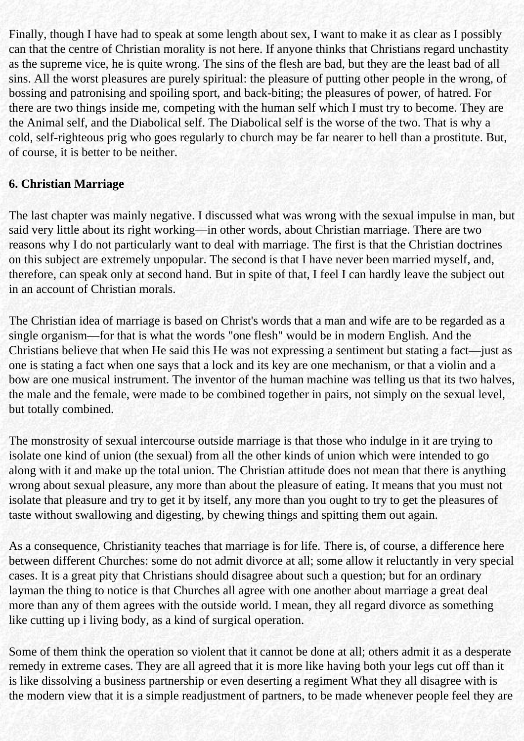Finally, though I have had to speak at some length about sex, I want to make it as clear as I possibly can that the centre of Christian morality is not here. If anyone thinks that Christians regard unchastity as the supreme vice, he is quite wrong. The sins of the flesh are bad, but they are the least bad of all sins. All the worst pleasures are purely spiritual: the pleasure of putting other people in the wrong, of bossing and patronising and spoiling sport, and back-biting; the pleasures of power, of hatred. For there are two things inside me, competing with the human self which I must try to become. They are the Animal self, and the Diabolical self. The Diabolical self is the worse of the two. That is why a cold, self-righteous prig who goes regularly to church may be far nearer to hell than a prostitute. But, of course, it is better to be neither.

# **6. Christian Marriage**

The last chapter was mainly negative. I discussed what was wrong with the sexual impulse in man, but said very little about its right working—in other words, about Christian marriage. There are two reasons why I do not particularly want to deal with marriage. The first is that the Christian doctrines on this subject are extremely unpopular. The second is that I have never been married myself, and, therefore, can speak only at second hand. But in spite of that, I feel I can hardly leave the subject out in an account of Christian morals.

The Christian idea of marriage is based on Christ's words that a man and wife are to be regarded as a single organism—for that is what the words "one flesh" would be in modern English. And the Christians believe that when He said this He was not expressing a sentiment but stating a fact—just as one is stating a fact when one says that a lock and its key are one mechanism, or that a violin and a bow are one musical instrument. The inventor of the human machine was telling us that its two halves, the male and the female, were made to be combined together in pairs, not simply on the sexual level, but totally combined.

The monstrosity of sexual intercourse outside marriage is that those who indulge in it are trying to isolate one kind of union (the sexual) from all the other kinds of union which were intended to go along with it and make up the total union. The Christian attitude does not mean that there is anything wrong about sexual pleasure, any more than about the pleasure of eating. It means that you must not isolate that pleasure and try to get it by itself, any more than you ought to try to get the pleasures of taste without swallowing and digesting, by chewing things and spitting them out again.

As a consequence, Christianity teaches that marriage is for life. There is, of course, a difference here between different Churches: some do not admit divorce at all; some allow it reluctantly in very special cases. It is a great pity that Christians should disagree about such a question; but for an ordinary layman the thing to notice is that Churches all agree with one another about marriage a great deal more than any of them agrees with the outside world. I mean, they all regard divorce as something like cutting up i living body, as a kind of surgical operation.

Some of them think the operation so violent that it cannot be done at all; others admit it as a desperate remedy in extreme cases. They are all agreed that it is more like having both your legs cut off than it is like dissolving a business partnership or even deserting a regiment What they all disagree with is the modern view that it is a simple readjustment of partners, to be made whenever people feel they are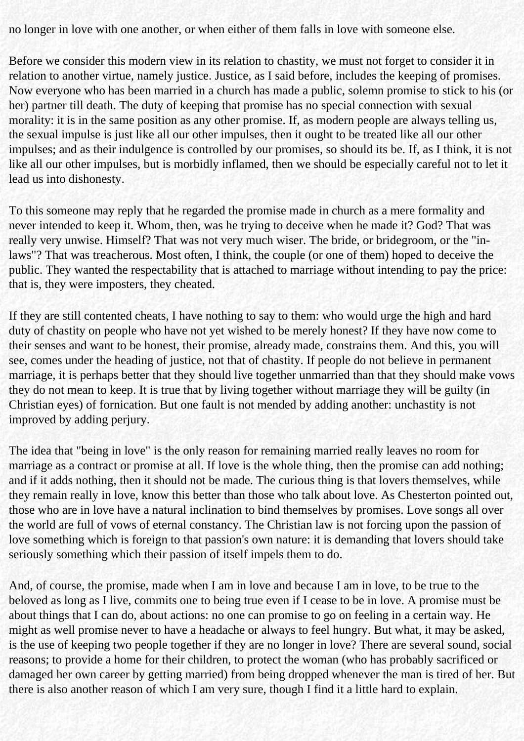no longer in love with one another, or when either of them falls in love with someone else.

Before we consider this modern view in its relation to chastity, we must not forget to consider it in relation to another virtue, namely justice. Justice, as I said before, includes the keeping of promises. Now everyone who has been married in a church has made a public, solemn promise to stick to his (or her) partner till death. The duty of keeping that promise has no special connection with sexual morality: it is in the same position as any other promise. If, as modern people are always telling us, the sexual impulse is just like all our other impulses, then it ought to be treated like all our other impulses; and as their indulgence is controlled by our promises, so should its be. If, as I think, it is not like all our other impulses, but is morbidly inflamed, then we should be especially careful not to let it lead us into dishonesty.

To this someone may reply that he regarded the promise made in church as a mere formality and never intended to keep it. Whom, then, was he trying to deceive when he made it? God? That was really very unwise. Himself? That was not very much wiser. The bride, or bridegroom, or the "inlaws"? That was treacherous. Most often, I think, the couple (or one of them) hoped to deceive the public. They wanted the respectability that is attached to marriage without intending to pay the price: that is, they were imposters, they cheated.

If they are still contented cheats, I have nothing to say to them: who would urge the high and hard duty of chastity on people who have not yet wished to be merely honest? If they have now come to their senses and want to be honest, their promise, already made, constrains them. And this, you will see, comes under the heading of justice, not that of chastity. If people do not believe in permanent marriage, it is perhaps better that they should live together unmarried than that they should make vows they do not mean to keep. It is true that by living together without marriage they will be guilty (in Christian eyes) of fornication. But one fault is not mended by adding another: unchastity is not improved by adding perjury.

The idea that "being in love" is the only reason for remaining married really leaves no room for marriage as a contract or promise at all. If love is the whole thing, then the promise can add nothing; and if it adds nothing, then it should not be made. The curious thing is that lovers themselves, while they remain really in love, know this better than those who talk about love. As Chesterton pointed out, those who are in love have a natural inclination to bind themselves by promises. Love songs all over the world are full of vows of eternal constancy. The Christian law is not forcing upon the passion of love something which is foreign to that passion's own nature: it is demanding that lovers should take seriously something which their passion of itself impels them to do.

And, of course, the promise, made when I am in love and because I am in love, to be true to the beloved as long as I live, commits one to being true even if I cease to be in love. A promise must be about things that I can do, about actions: no one can promise to go on feeling in a certain way. He might as well promise never to have a headache or always to feel hungry. But what, it may be asked, is the use of keeping two people together if they are no longer in love? There are several sound, social reasons; to provide a home for their children, to protect the woman (who has probably sacrificed or damaged her own career by getting married) from being dropped whenever the man is tired of her. But there is also another reason of which I am very sure, though I find it a little hard to explain.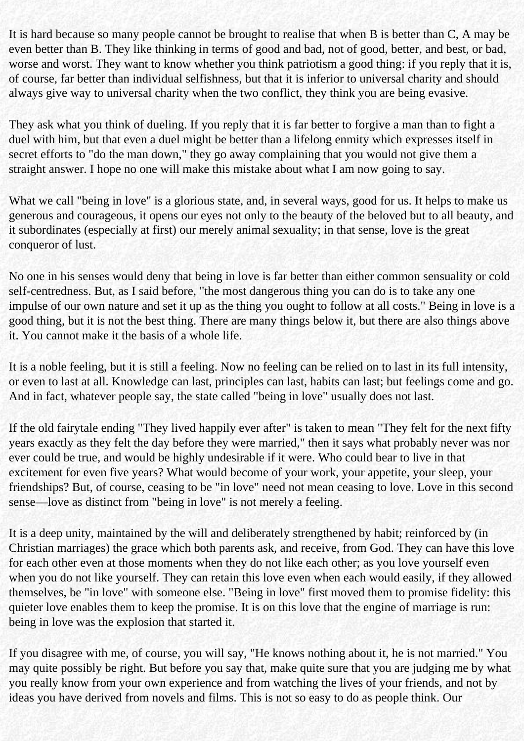It is hard because so many people cannot be brought to realise that when B is better than C, A may be even better than B. They like thinking in terms of good and bad, not of good, better, and best, or bad, worse and worst. They want to know whether you think patriotism a good thing: if you reply that it is, of course, far better than individual selfishness, but that it is inferior to universal charity and should always give way to universal charity when the two conflict, they think you are being evasive.

They ask what you think of dueling. If you reply that it is far better to forgive a man than to fight a duel with him, but that even a duel might be better than a lifelong enmity which expresses itself in secret efforts to "do the man down," they go away complaining that you would not give them a straight answer. I hope no one will make this mistake about what I am now going to say.

What we call "being in love" is a glorious state, and, in several ways, good for us. It helps to make us generous and courageous, it opens our eyes not only to the beauty of the beloved but to all beauty, and it subordinates (especially at first) our merely animal sexuality; in that sense, love is the great conqueror of lust.

No one in his senses would deny that being in love is far better than either common sensuality or cold self-centredness. But, as I said before, "the most dangerous thing you can do is to take any one impulse of our own nature and set it up as the thing you ought to follow at all costs." Being in love is a good thing, but it is not the best thing. There are many things below it, but there are also things above it. You cannot make it the basis of a whole life.

It is a noble feeling, but it is still a feeling. Now no feeling can be relied on to last in its full intensity, or even to last at all. Knowledge can last, principles can last, habits can last; but feelings come and go. And in fact, whatever people say, the state called "being in love" usually does not last.

If the old fairytale ending "They lived happily ever after" is taken to mean "They felt for the next fifty years exactly as they felt the day before they were married," then it says what probably never was nor ever could be true, and would be highly undesirable if it were. Who could bear to live in that excitement for even five years? What would become of your work, your appetite, your sleep, your friendships? But, of course, ceasing to be "in love" need not mean ceasing to love. Love in this second sense—love as distinct from "being in love" is not merely a feeling.

It is a deep unity, maintained by the will and deliberately strengthened by habit; reinforced by (in Christian marriages) the grace which both parents ask, and receive, from God. They can have this love for each other even at those moments when they do not like each other; as you love yourself even when you do not like yourself. They can retain this love even when each would easily, if they allowed themselves, be "in love" with someone else. "Being in love" first moved them to promise fidelity: this quieter love enables them to keep the promise. It is on this love that the engine of marriage is run: being in love was the explosion that started it.

If you disagree with me, of course, you will say, "He knows nothing about it, he is not married." You may quite possibly be right. But before you say that, make quite sure that you are judging me by what you really know from your own experience and from watching the lives of your friends, and not by ideas you have derived from novels and films. This is not so easy to do as people think. Our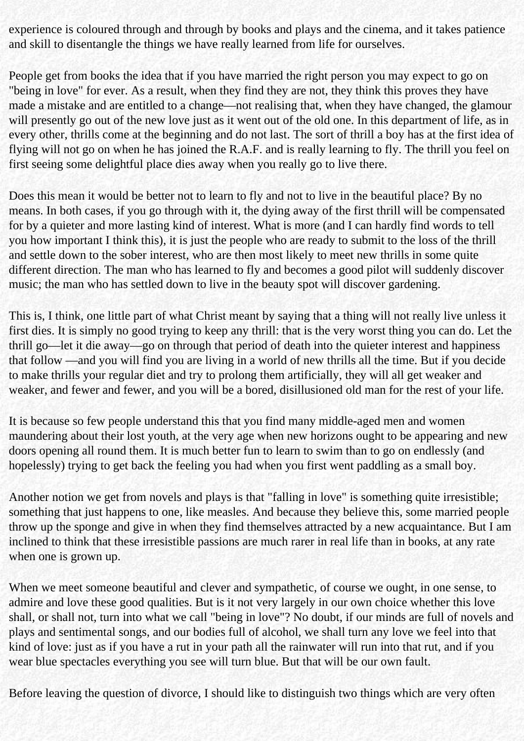experience is coloured through and through by books and plays and the cinema, and it takes patience and skill to disentangle the things we have really learned from life for ourselves.

People get from books the idea that if you have married the right person you may expect to go on "being in love" for ever. As a result, when they find they are not, they think this proves they have made a mistake and are entitled to a change—not realising that, when they have changed, the glamour will presently go out of the new love just as it went out of the old one. In this department of life, as in every other, thrills come at the beginning and do not last. The sort of thrill a boy has at the first idea of flying will not go on when he has joined the R.A.F. and is really learning to fly. The thrill you feel on first seeing some delightful place dies away when you really go to live there.

Does this mean it would be better not to learn to fly and not to live in the beautiful place? By no means. In both cases, if you go through with it, the dying away of the first thrill will be compensated for by a quieter and more lasting kind of interest. What is more (and I can hardly find words to tell you how important I think this), it is just the people who are ready to submit to the loss of the thrill and settle down to the sober interest, who are then most likely to meet new thrills in some quite different direction. The man who has learned to fly and becomes a good pilot will suddenly discover music; the man who has settled down to live in the beauty spot will discover gardening.

This is, I think, one little part of what Christ meant by saying that a thing will not really live unless it first dies. It is simply no good trying to keep any thrill: that is the very worst thing you can do. Let the thrill go—let it die away—go on through that period of death into the quieter interest and happiness that follow —and you will find you are living in a world of new thrills all the time. But if you decide to make thrills your regular diet and try to prolong them artificially, they will all get weaker and weaker, and fewer and fewer, and you will be a bored, disillusioned old man for the rest of your life.

It is because so few people understand this that you find many middle-aged men and women maundering about their lost youth, at the very age when new horizons ought to be appearing and new doors opening all round them. It is much better fun to learn to swim than to go on endlessly (and hopelessly) trying to get back the feeling you had when you first went paddling as a small boy.

Another notion we get from novels and plays is that "falling in love" is something quite irresistible; something that just happens to one, like measles. And because they believe this, some married people throw up the sponge and give in when they find themselves attracted by a new acquaintance. But I am inclined to think that these irresistible passions are much rarer in real life than in books, at any rate when one is grown up.

When we meet someone beautiful and clever and sympathetic, of course we ought, in one sense, to admire and love these good qualities. But is it not very largely in our own choice whether this love shall, or shall not, turn into what we call "being in love"? No doubt, if our minds are full of novels and plays and sentimental songs, and our bodies full of alcohol, we shall turn any love we feel into that kind of love: just as if you have a rut in your path all the rainwater will run into that rut, and if you wear blue spectacles everything you see will turn blue. But that will be our own fault.

Before leaving the question of divorce, I should like to distinguish two things which are very often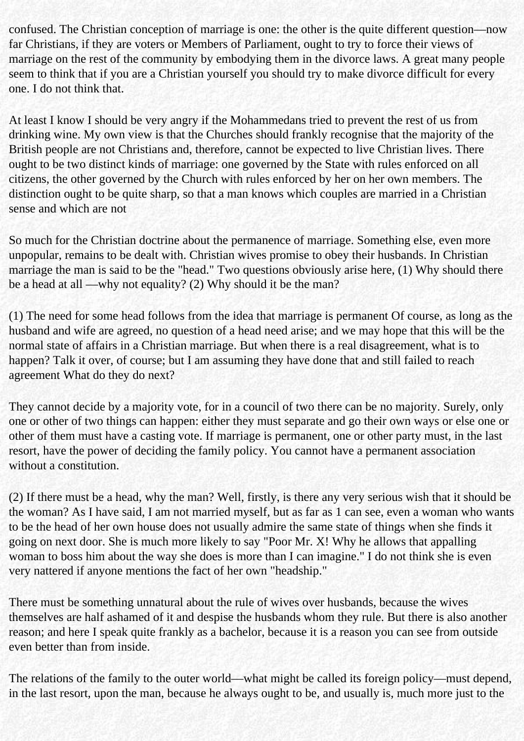confused. The Christian conception of marriage is one: the other is the quite different question—now far Christians, if they are voters or Members of Parliament, ought to try to force their views of marriage on the rest of the community by embodying them in the divorce laws. A great many people seem to think that if you are a Christian yourself you should try to make divorce difficult for every one. I do not think that.

At least I know I should be very angry if the Mohammedans tried to prevent the rest of us from drinking wine. My own view is that the Churches should frankly recognise that the majority of the British people are not Christians and, therefore, cannot be expected to live Christian lives. There ought to be two distinct kinds of marriage: one governed by the State with rules enforced on all citizens, the other governed by the Church with rules enforced by her on her own members. The distinction ought to be quite sharp, so that a man knows which couples are married in a Christian sense and which are not

So much for the Christian doctrine about the permanence of marriage. Something else, even more unpopular, remains to be dealt with. Christian wives promise to obey their husbands. In Christian marriage the man is said to be the "head." Two questions obviously arise here, (1) Why should there be a head at all —why not equality? (2) Why should it be the man?

(1) The need for some head follows from the idea that marriage is permanent Of course, as long as the husband and wife are agreed, no question of a head need arise; and we may hope that this will be the normal state of affairs in a Christian marriage. But when there is a real disagreement, what is to happen? Talk it over, of course; but I am assuming they have done that and still failed to reach agreement What do they do next?

They cannot decide by a majority vote, for in a council of two there can be no majority. Surely, only one or other of two things can happen: either they must separate and go their own ways or else one or other of them must have a casting vote. If marriage is permanent, one or other party must, in the last resort, have the power of deciding the family policy. You cannot have a permanent association without a constitution.

(2) If there must be a head, why the man? Well, firstly, is there any very serious wish that it should be the woman? As I have said, I am not married myself, but as far as 1 can see, even a woman who wants to be the head of her own house does not usually admire the same state of things when she finds it going on next door. She is much more likely to say "Poor Mr. X! Why he allows that appalling woman to boss him about the way she does is more than I can imagine." I do not think she is even very nattered if anyone mentions the fact of her own "headship."

There must be something unnatural about the rule of wives over husbands, because the wives themselves are half ashamed of it and despise the husbands whom they rule. But there is also another reason; and here I speak quite frankly as a bachelor, because it is a reason you can see from outside even better than from inside.

The relations of the family to the outer world—what might be called its foreign policy—must depend, in the last resort, upon the man, because he always ought to be, and usually is, much more just to the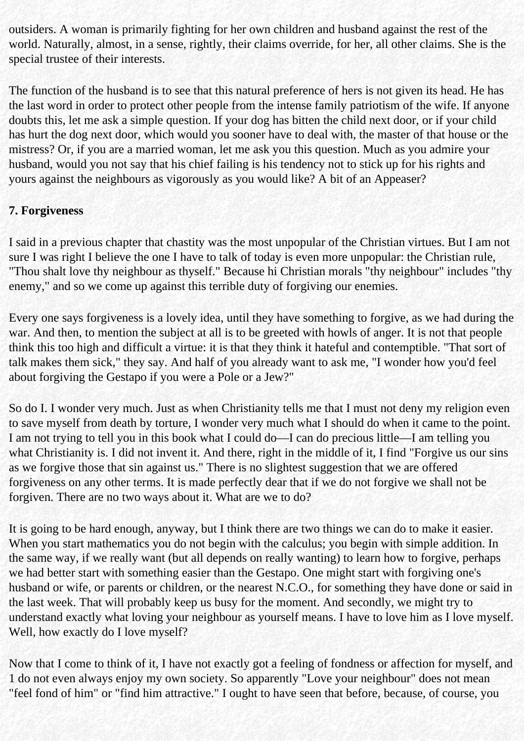outsiders. A woman is primarily fighting for her own children and husband against the rest of the world. Naturally, almost, in a sense, rightly, their claims override, for her, all other claims. She is the special trustee of their interests.

The function of the husband is to see that this natural preference of hers is not given its head. He has the last word in order to protect other people from the intense family patriotism of the wife. If anyone doubts this, let me ask a simple question. If your dog has bitten the child next door, or if your child has hurt the dog next door, which would you sooner have to deal with, the master of that house or the mistress? Or, if you are a married woman, let me ask you this question. Much as you admire your husband, would you not say that his chief failing is his tendency not to stick up for his rights and yours against the neighbours as vigorously as you would like? A bit of an Appeaser?

### **7. Forgiveness**

I said in a previous chapter that chastity was the most unpopular of the Christian virtues. But I am not sure I was right I believe the one I have to talk of today is even more unpopular: the Christian rule, "Thou shalt love thy neighbour as thyself." Because hi Christian morals "thy neighbour" includes "thy enemy," and so we come up against this terrible duty of forgiving our enemies.

Every one says forgiveness is a lovely idea, until they have something to forgive, as we had during the war. And then, to mention the subject at all is to be greeted with howls of anger. It is not that people think this too high and difficult a virtue: it is that they think it hateful and contemptible. "That sort of talk makes them sick," they say. And half of you already want to ask me, "I wonder how you'd feel about forgiving the Gestapo if you were a Pole or a Jew?"

So do I. I wonder very much. Just as when Christianity tells me that I must not deny my religion even to save myself from death by torture, I wonder very much what I should do when it came to the point. I am not trying to tell you in this book what I could do—I can do precious little—I am telling you what Christianity is. I did not invent it. And there, right in the middle of it, I find "Forgive us our sins as we forgive those that sin against us." There is no slightest suggestion that we are offered forgiveness on any other terms. It is made perfectly dear that if we do not forgive we shall not be forgiven. There are no two ways about it. What are we to do?

It is going to be hard enough, anyway, but I think there are two things we can do to make it easier. When you start mathematics you do not begin with the calculus; you begin with simple addition. In the same way, if we really want (but all depends on really wanting) to learn how to forgive, perhaps we had better start with something easier than the Gestapo. One might start with forgiving one's husband or wife, or parents or children, or the nearest N.C.O., for something they have done or said in the last week. That will probably keep us busy for the moment. And secondly, we might try to understand exactly what loving your neighbour as yourself means. I have to love him as I love myself. Well, how exactly do I love myself?

Now that I come to think of it, I have not exactly got a feeling of fondness or affection for myself, and 1 do not even always enjoy my own society. So apparently "Love your neighbour" does not mean "feel fond of him" or "find him attractive." I ought to have seen that before, because, of course, you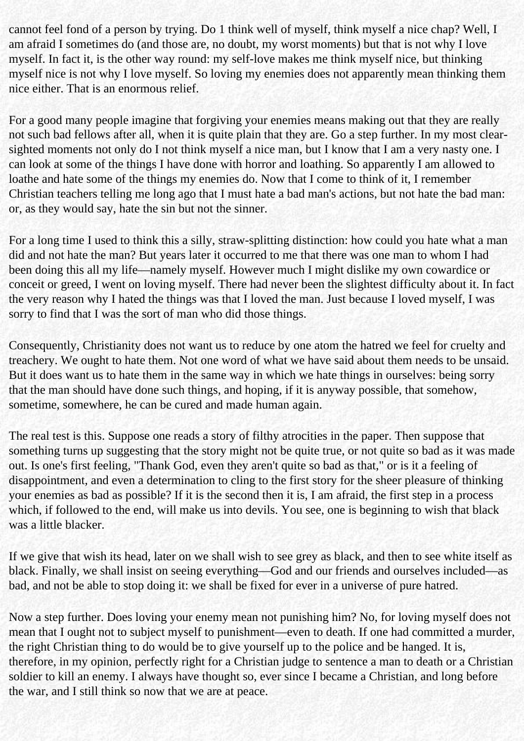cannot feel fond of a person by trying. Do 1 think well of myself, think myself a nice chap? Well, I am afraid I sometimes do (and those are, no doubt, my worst moments) but that is not why I love myself. In fact it, is the other way round: my self-love makes me think myself nice, but thinking myself nice is not why I love myself. So loving my enemies does not apparently mean thinking them nice either. That is an enormous relief.

For a good many people imagine that forgiving your enemies means making out that they are really not such bad fellows after all, when it is quite plain that they are. Go a step further. In my most clearsighted moments not only do I not think myself a nice man, but I know that I am a very nasty one. I can look at some of the things I have done with horror and loathing. So apparently I am allowed to loathe and hate some of the things my enemies do. Now that I come to think of it, I remember Christian teachers telling me long ago that I must hate a bad man's actions, but not hate the bad man: or, as they would say, hate the sin but not the sinner.

For a long time I used to think this a silly, straw-splitting distinction: how could you hate what a man did and not hate the man? But years later it occurred to me that there was one man to whom I had been doing this all my life—namely myself. However much I might dislike my own cowardice or conceit or greed, I went on loving myself. There had never been the slightest difficulty about it. In fact the very reason why I hated the things was that I loved the man. Just because I loved myself, I was sorry to find that I was the sort of man who did those things.

Consequently, Christianity does not want us to reduce by one atom the hatred we feel for cruelty and treachery. We ought to hate them. Not one word of what we have said about them needs to be unsaid. But it does want us to hate them in the same way in which we hate things in ourselves: being sorry that the man should have done such things, and hoping, if it is anyway possible, that somehow, sometime, somewhere, he can be cured and made human again.

The real test is this. Suppose one reads a story of filthy atrocities in the paper. Then suppose that something turns up suggesting that the story might not be quite true, or not quite so bad as it was made out. Is one's first feeling, "Thank God, even they aren't quite so bad as that," or is it a feeling of disappointment, and even a determination to cling to the first story for the sheer pleasure of thinking your enemies as bad as possible? If it is the second then it is, I am afraid, the first step in a process which, if followed to the end, will make us into devils. You see, one is beginning to wish that black was a little blacker.

If we give that wish its head, later on we shall wish to see grey as black, and then to see white itself as black. Finally, we shall insist on seeing everything—God and our friends and ourselves included—as bad, and not be able to stop doing it: we shall be fixed for ever in a universe of pure hatred.

Now a step further. Does loving your enemy mean not punishing him? No, for loving myself does not mean that I ought not to subject myself to punishment—even to death. If one had committed a murder, the right Christian thing to do would be to give yourself up to the police and be hanged. It is, therefore, in my opinion, perfectly right for a Christian judge to sentence a man to death or a Christian soldier to kill an enemy. I always have thought so, ever since I became a Christian, and long before the war, and I still think so now that we are at peace.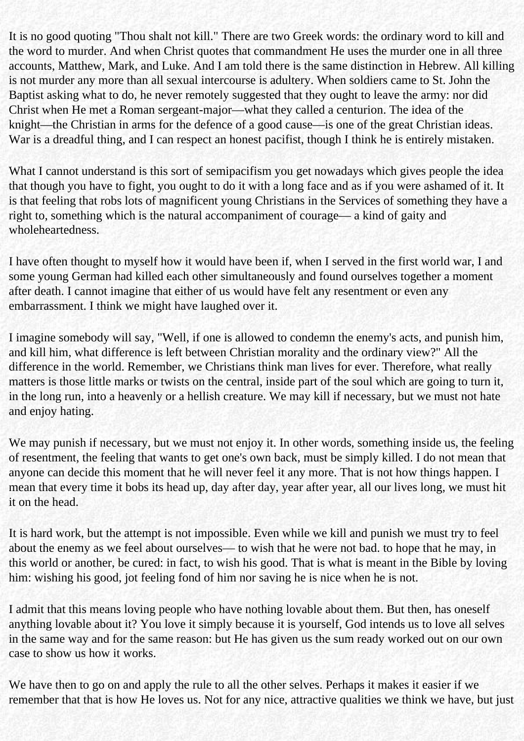It is no good quoting "Thou shalt not kill." There are two Greek words: the ordinary word to kill and the word to murder. And when Christ quotes that commandment He uses the murder one in all three accounts, Matthew, Mark, and Luke. And I am told there is the same distinction in Hebrew. All killing is not murder any more than all sexual intercourse is adultery. When soldiers came to St. John the Baptist asking what to do, he never remotely suggested that they ought to leave the army: nor did Christ when He met a Roman sergeant-major—what they called a centurion. The idea of the knight—the Christian in arms for the defence of a good cause—is one of the great Christian ideas. War is a dreadful thing, and I can respect an honest pacifist, though I think he is entirely mistaken.

What I cannot understand is this sort of semipacifism you get nowadays which gives people the idea that though you have to fight, you ought to do it with a long face and as if you were ashamed of it. It is that feeling that robs lots of magnificent young Christians in the Services of something they have a right to, something which is the natural accompaniment of courage— a kind of gaity and wholeheartedness.

I have often thought to myself how it would have been if, when I served in the first world war, I and some young German had killed each other simultaneously and found ourselves together a moment after death. I cannot imagine that either of us would have felt any resentment or even any embarrassment. I think we might have laughed over it.

I imagine somebody will say, "Well, if one is allowed to condemn the enemy's acts, and punish him, and kill him, what difference is left between Christian morality and the ordinary view?" All the difference in the world. Remember, we Christians think man lives for ever. Therefore, what really matters is those little marks or twists on the central, inside part of the soul which are going to turn it, in the long run, into a heavenly or a hellish creature. We may kill if necessary, but we must not hate and enjoy hating.

We may punish if necessary, but we must not enjoy it. In other words, something inside us, the feeling of resentment, the feeling that wants to get one's own back, must be simply killed. I do not mean that anyone can decide this moment that he will never feel it any more. That is not how things happen. I mean that every time it bobs its head up, day after day, year after year, all our lives long, we must hit it on the head.

It is hard work, but the attempt is not impossible. Even while we kill and punish we must try to feel about the enemy as we feel about ourselves— to wish that he were not bad. to hope that he may, in this world or another, be cured: in fact, to wish his good. That is what is meant in the Bible by loving him: wishing his good, jot feeling fond of him nor saving he is nice when he is not.

I admit that this means loving people who have nothing lovable about them. But then, has oneself anything lovable about it? You love it simply because it is yourself, God intends us to love all selves in the same way and for the same reason: but He has given us the sum ready worked out on our own case to show us how it works.

We have then to go on and apply the rule to all the other selves. Perhaps it makes it easier if we remember that that is how He loves us. Not for any nice, attractive qualities we think we have, but just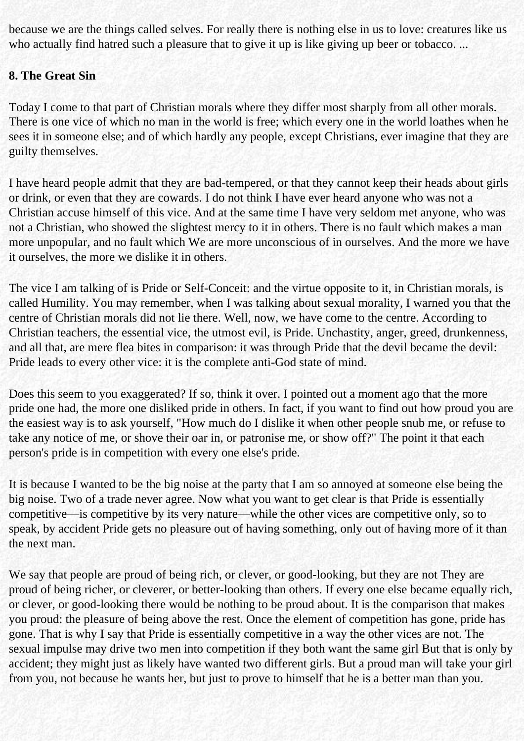because we are the things called selves. For really there is nothing else in us to love: creatures like us who actually find hatred such a pleasure that to give it up is like giving up beer or tobacco...

#### **8. The Great Sin**

Today I come to that part of Christian morals where they differ most sharply from all other morals. There is one vice of which no man in the world is free; which every one in the world loathes when he sees it in someone else; and of which hardly any people, except Christians, ever imagine that they are guilty themselves.

I have heard people admit that they are bad-tempered, or that they cannot keep their heads about girls or drink, or even that they are cowards. I do not think I have ever heard anyone who was not a Christian accuse himself of this vice. And at the same time I have very seldom met anyone, who was not a Christian, who showed the slightest mercy to it in others. There is no fault which makes a man more unpopular, and no fault which We are more unconscious of in ourselves. And the more we have it ourselves, the more we dislike it in others.

The vice I am talking of is Pride or Self-Conceit: and the virtue opposite to it, in Christian morals, is called Humility. You may remember, when I was talking about sexual morality, I warned you that the centre of Christian morals did not lie there. Well, now, we have come to the centre. According to Christian teachers, the essential vice, the utmost evil, is Pride. Unchastity, anger, greed, drunkenness, and all that, are mere flea bites in comparison: it was through Pride that the devil became the devil: Pride leads to every other vice: it is the complete anti-God state of mind.

Does this seem to you exaggerated? If so, think it over. I pointed out a moment ago that the more pride one had, the more one disliked pride in others. In fact, if you want to find out how proud you are the easiest way is to ask yourself, "How much do I dislike it when other people snub me, or refuse to take any notice of me, or shove their oar in, or patronise me, or show off?" The point it that each person's pride is in competition with every one else's pride.

It is because I wanted to be the big noise at the party that I am so annoyed at someone else being the big noise. Two of a trade never agree. Now what you want to get clear is that Pride is essentially competitive—is competitive by its very nature—while the other vices are competitive only, so to speak, by accident Pride gets no pleasure out of having something, only out of having more of it than the next man.

We say that people are proud of being rich, or clever, or good-looking, but they are not They are proud of being richer, or cleverer, or better-looking than others. If every one else became equally rich, or clever, or good-looking there would be nothing to be proud about. It is the comparison that makes you proud: the pleasure of being above the rest. Once the element of competition has gone, pride has gone. That is why I say that Pride is essentially competitive in a way the other vices are not. The sexual impulse may drive two men into competition if they both want the same girl But that is only by accident; they might just as likely have wanted two different girls. But a proud man will take your girl from you, not because he wants her, but just to prove to himself that he is a better man than you.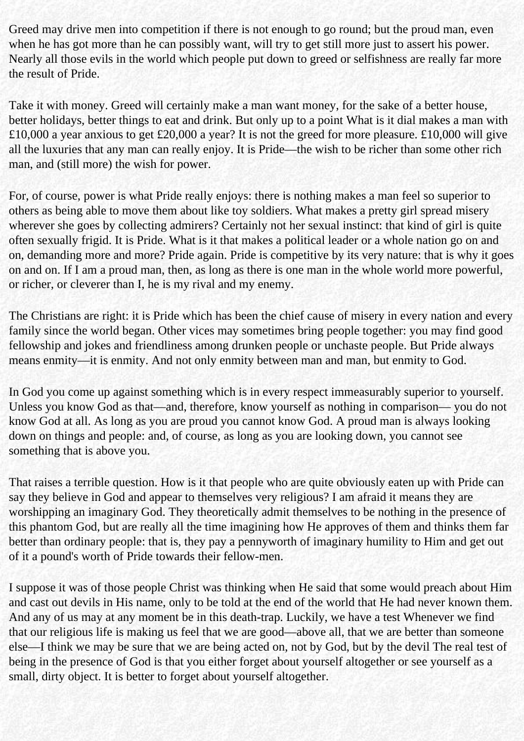Greed may drive men into competition if there is not enough to go round; but the proud man, even when he has got more than he can possibly want, will try to get still more just to assert his power. Nearly all those evils in the world which people put down to greed or selfishness are really far more the result of Pride.

Take it with money. Greed will certainly make a man want money, for the sake of a better house, better holidays, better things to eat and drink. But only up to a point What is it dial makes a man with £10,000 a year anxious to get £20,000 a year? It is not the greed for more pleasure. £10,000 will give all the luxuries that any man can really enjoy. It is Pride—the wish to be richer than some other rich man, and (still more) the wish for power.

For, of course, power is what Pride really enjoys: there is nothing makes a man feel so superior to others as being able to move them about like toy soldiers. What makes a pretty girl spread misery wherever she goes by collecting admirers? Certainly not her sexual instinct: that kind of girl is quite often sexually frigid. It is Pride. What is it that makes a political leader or a whole nation go on and on, demanding more and more? Pride again. Pride is competitive by its very nature: that is why it goes on and on. If I am a proud man, then, as long as there is one man in the whole world more powerful, or richer, or cleverer than I, he is my rival and my enemy.

The Christians are right: it is Pride which has been the chief cause of misery in every nation and every family since the world began. Other vices may sometimes bring people together: you may find good fellowship and jokes and friendliness among drunken people or unchaste people. But Pride always means enmity—it is enmity. And not only enmity between man and man, but enmity to God.

In God you come up against something which is in every respect immeasurably superior to yourself. Unless you know God as that—and, therefore, know yourself as nothing in comparison— you do not know God at all. As long as you are proud you cannot know God. A proud man is always looking down on things and people: and, of course, as long as you are looking down, you cannot see something that is above you.

That raises a terrible question. How is it that people who are quite obviously eaten up with Pride can say they believe in God and appear to themselves very religious? I am afraid it means they are worshipping an imaginary God. They theoretically admit themselves to be nothing in the presence of this phantom God, but are really all the time imagining how He approves of them and thinks them far better than ordinary people: that is, they pay a pennyworth of imaginary humility to Him and get out of it a pound's worth of Pride towards their fellow-men.

I suppose it was of those people Christ was thinking when He said that some would preach about Him and cast out devils in His name, only to be told at the end of the world that He had never known them. And any of us may at any moment be in this death-trap. Luckily, we have a test Whenever we find that our religious life is making us feel that we are good—above all, that we are better than someone else—I think we may be sure that we are being acted on, not by God, but by the devil The real test of being in the presence of God is that you either forget about yourself altogether or see yourself as a small, dirty object. It is better to forget about yourself altogether.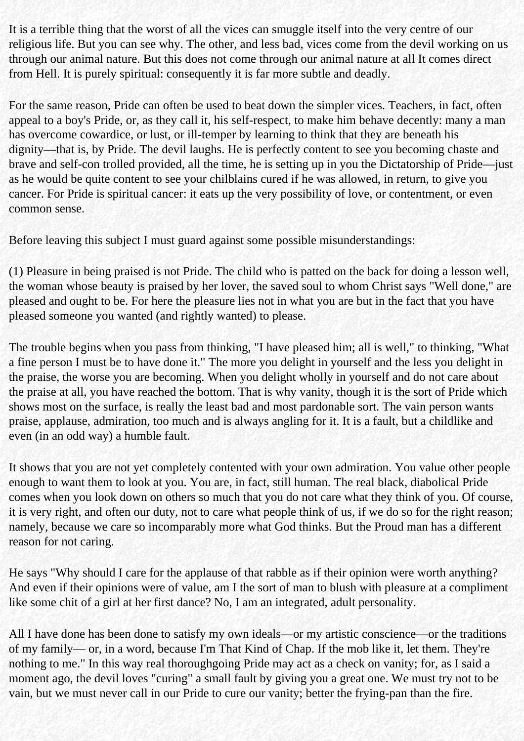It is a terrible thing that the worst of all the vices can smuggle itself into the very centre of our religious life. But you can see why. The other, and less bad, vices come from the devil working on us through our animal nature. But this does not come through our animal nature at all It comes direct from Hell. It is purely spiritual: consequently it is far more subtle and deadly.

For the same reason, Pride can often be used to beat down the simpler vices. Teachers, in fact, often appeal to a boy's Pride, or, as they call it, his self-respect, to make him behave decently: many a man has overcome cowardice, or lust, or ill-temper by learning to think that they are beneath his dignity—that is, by Pride. The devil laughs. He is perfectly content to see you becoming chaste and brave and self-con trolled provided, all the time, he is setting up in you the Dictatorship of Pride—just as he would be quite content to see your chilblains cured if he was allowed, in return, to give you cancer. For Pride is spiritual cancer: it eats up the very possibility of love, or contentment, or even common sense.

Before leaving this subject I must guard against some possible misunderstandings:

(1) Pleasure in being praised is not Pride. The child who is patted on the back for doing a lesson well, the woman whose beauty is praised by her lover, the saved soul to whom Christ says "Well done," are pleased and ought to be. For here the pleasure lies not in what you are but in the fact that you have pleased someone you wanted (and rightly wanted) to please.

The trouble begins when you pass from thinking, "I have pleased him; all is well," to thinking, "What a fine person I must be to have done it." The more you delight in yourself and the less you delight in the praise, the worse you are becoming. When you delight wholly in yourself and do not care about the praise at all, you have reached the bottom. That is why vanity, though it is the sort of Pride which shows most on the surface, is really the least bad and most pardonable sort. The vain person wants praise, applause, admiration, too much and is always angling for it. It is a fault, but a childlike and even (in an odd way) a humble fault.

It shows that you are not yet completely contented with your own admiration. You value other people enough to want them to look at you. You are, in fact, still human. The real black, diabolical Pride comes when you look down on others so much that you do not care what they think of you. Of course, it is very right, and often our duty, not to care what people think of us, if we do so for the right reason; namely, because we care so incomparably more what God thinks. But the Proud man has a different reason for not caring.

He says "Why should I care for the applause of that rabble as if their opinion were worth anything? And even if their opinions were of value, am I the sort of man to blush with pleasure at a compliment like some chit of a girl at her first dance? No, I am an integrated, adult personality.

All I have done has been done to satisfy my own ideals—or my artistic conscience—or the traditions of my family— or, in a word, because I'm That Kind of Chap. If the mob like it, let them. They're nothing to me." In this way real thoroughgoing Pride may act as a check on vanity; for, as I said a moment ago, the devil loves "curing" a small fault by giving you a great one. We must try not to be vain, but we must never call in our Pride to cure our vanity; better the frying-pan than the fire.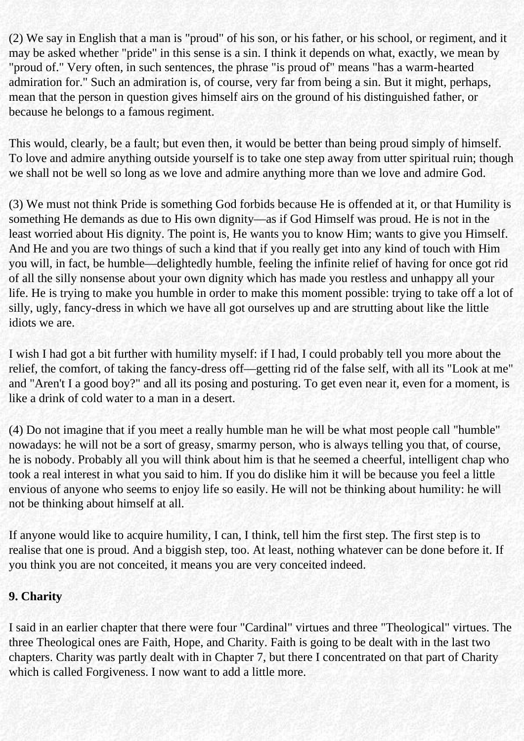(2) We say in English that a man is "proud" of his son, or his father, or his school, or regiment, and it may be asked whether "pride" in this sense is a sin. I think it depends on what, exactly, we mean by "proud of." Very often, in such sentences, the phrase "is proud of" means "has a warm-hearted admiration for." Such an admiration is, of course, very far from being a sin. But it might, perhaps, mean that the person in question gives himself airs on the ground of his distinguished father, or because he belongs to a famous regiment.

This would, clearly, be a fault; but even then, it would be better than being proud simply of himself. To love and admire anything outside yourself is to take one step away from utter spiritual ruin; though we shall not be well so long as we love and admire anything more than we love and admire God.

(3) We must not think Pride is something God forbids because He is offended at it, or that Humility is something He demands as due to His own dignity—as if God Himself was proud. He is not in the least worried about His dignity. The point is, He wants you to know Him; wants to give you Himself. And He and you are two things of such a kind that if you really get into any kind of touch with Him you will, in fact, be humble—delightedly humble, feeling the infinite relief of having for once got rid of all the silly nonsense about your own dignity which has made you restless and unhappy all your life. He is trying to make you humble in order to make this moment possible: trying to take off a lot of silly, ugly, fancy-dress in which we have all got ourselves up and are strutting about like the little idiots we are.

I wish I had got a bit further with humility myself: if I had, I could probably tell you more about the relief, the comfort, of taking the fancy-dress off—getting rid of the false self, with all its "Look at me" and "Aren't I a good boy?" and all its posing and posturing. To get even near it, even for a moment, is like a drink of cold water to a man in a desert.

(4) Do not imagine that if you meet a really humble man he will be what most people call "humble" nowadays: he will not be a sort of greasy, smarmy person, who is always telling you that, of course, he is nobody. Probably all you will think about him is that he seemed a cheerful, intelligent chap who took a real interest in what you said to him. If you do dislike him it will be because you feel a little envious of anyone who seems to enjoy life so easily. He will not be thinking about humility: he will not be thinking about himself at all.

If anyone would like to acquire humility, I can, I think, tell him the first step. The first step is to realise that one is proud. And a biggish step, too. At least, nothing whatever can be done before it. If you think you are not conceited, it means you are very conceited indeed.

# **9. Charity**

I said in an earlier chapter that there were four "Cardinal" virtues and three "Theological" virtues. The three Theological ones are Faith, Hope, and Charity. Faith is going to be dealt with in the last two chapters. Charity was partly dealt with in Chapter 7, but there I concentrated on that part of Charity which is called Forgiveness. I now want to add a little more.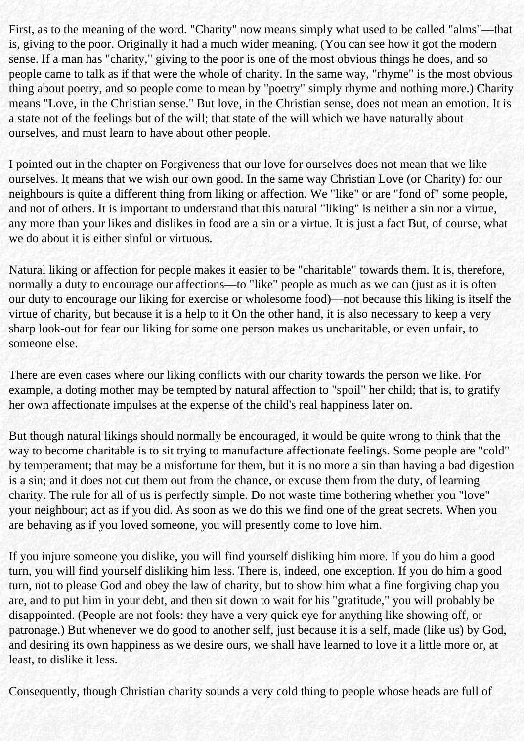First, as to the meaning of the word. "Charity" now means simply what used to be called "alms"—that is, giving to the poor. Originally it had a much wider meaning. (You can see how it got the modern sense. If a man has "charity," giving to the poor is one of the most obvious things he does, and so people came to talk as if that were the whole of charity. In the same way, "rhyme" is the most obvious thing about poetry, and so people come to mean by "poetry" simply rhyme and nothing more.) Charity means "Love, in the Christian sense." But love, in the Christian sense, does not mean an emotion. It is a state not of the feelings but of the will; that state of the will which we have naturally about ourselves, and must learn to have about other people.

I pointed out in the chapter on Forgiveness that our love for ourselves does not mean that we like ourselves. It means that we wish our own good. In the same way Christian Love (or Charity) for our neighbours is quite a different thing from liking or affection. We "like" or are "fond of" some people, and not of others. It is important to understand that this natural "liking" is neither a sin nor a virtue, any more than your likes and dislikes in food are a sin or a virtue. It is just a fact But, of course, what we do about it is either sinful or virtuous.

Natural liking or affection for people makes it easier to be "charitable" towards them. It is, therefore, normally a duty to encourage our affections—to "like" people as much as we can (just as it is often our duty to encourage our liking for exercise or wholesome food)—not because this liking is itself the virtue of charity, but because it is a help to it On the other hand, it is also necessary to keep a very sharp look-out for fear our liking for some one person makes us uncharitable, or even unfair, to someone else.

There are even cases where our liking conflicts with our charity towards the person we like. For example, a doting mother may be tempted by natural affection to "spoil" her child; that is, to gratify her own affectionate impulses at the expense of the child's real happiness later on.

But though natural likings should normally be encouraged, it would be quite wrong to think that the way to become charitable is to sit trying to manufacture affectionate feelings. Some people are "cold" by temperament; that may be a misfortune for them, but it is no more a sin than having a bad digestion is a sin; and it does not cut them out from the chance, or excuse them from the duty, of learning charity. The rule for all of us is perfectly simple. Do not waste time bothering whether you "love" your neighbour; act as if you did. As soon as we do this we find one of the great secrets. When you are behaving as if you loved someone, you will presently come to love him.

If you injure someone you dislike, you will find yourself disliking him more. If you do him a good turn, you will find yourself disliking him less. There is, indeed, one exception. If you do him a good turn, not to please God and obey the law of charity, but to show him what a fine forgiving chap you are, and to put him in your debt, and then sit down to wait for his "gratitude," you will probably be disappointed. (People are not fools: they have a very quick eye for anything like showing off, or patronage.) But whenever we do good to another self, just because it is a self, made (like us) by God, and desiring its own happiness as we desire ours, we shall have learned to love it a little more or, at least, to dislike it less.

Consequently, though Christian charity sounds a very cold thing to people whose heads are full of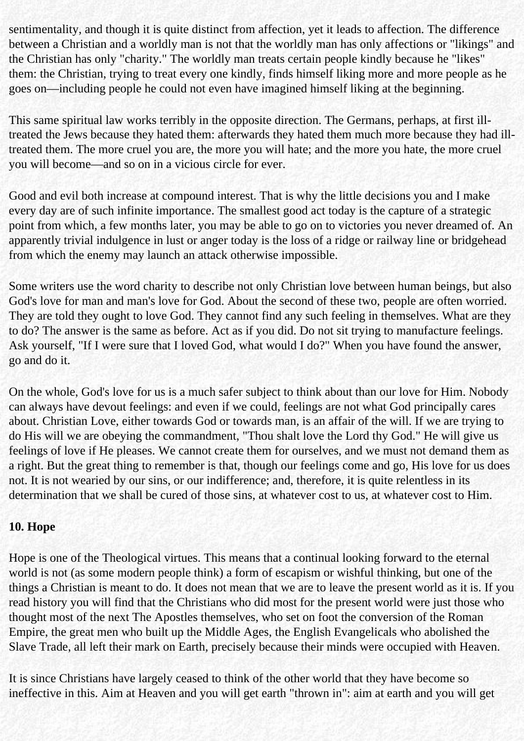sentimentality, and though it is quite distinct from affection, yet it leads to affection. The difference between a Christian and a worldly man is not that the worldly man has only affections or "likings" and the Christian has only "charity." The worldly man treats certain people kindly because he "likes" them: the Christian, trying to treat every one kindly, finds himself liking more and more people as he goes on—including people he could not even have imagined himself liking at the beginning.

This same spiritual law works terribly in the opposite direction. The Germans, perhaps, at first illtreated the Jews because they hated them: afterwards they hated them much more because they had illtreated them. The more cruel you are, the more you will hate; and the more you hate, the more cruel you will become—and so on in a vicious circle for ever.

Good and evil both increase at compound interest. That is why the little decisions you and I make every day are of such infinite importance. The smallest good act today is the capture of a strategic point from which, a few months later, you may be able to go on to victories you never dreamed of. An apparently trivial indulgence in lust or anger today is the loss of a ridge or railway line or bridgehead from which the enemy may launch an attack otherwise impossible.

Some writers use the word charity to describe not only Christian love between human beings, but also God's love for man and man's love for God. About the second of these two, people are often worried. They are told they ought to love God. They cannot find any such feeling in themselves. What are they to do? The answer is the same as before. Act as if you did. Do not sit trying to manufacture feelings. Ask yourself, "If I were sure that I loved God, what would I do?" When you have found the answer, go and do it.

On the whole, God's love for us is a much safer subject to think about than our love for Him. Nobody can always have devout feelings: and even if we could, feelings are not what God principally cares about. Christian Love, either towards God or towards man, is an affair of the will. If we are trying to do His will we are obeying the commandment, "Thou shalt love the Lord thy God." He will give us feelings of love if He pleases. We cannot create them for ourselves, and we must not demand them as a right. But the great thing to remember is that, though our feelings come and go, His love for us does not. It is not wearied by our sins, or our indifference; and, therefore, it is quite relentless in its determination that we shall be cured of those sins, at whatever cost to us, at whatever cost to Him.

#### **10. Hope**

Hope is one of the Theological virtues. This means that a continual looking forward to the eternal world is not (as some modern people think) a form of escapism or wishful thinking, but one of the things a Christian is meant to do. It does not mean that we are to leave the present world as it is. If you read history you will find that the Christians who did most for the present world were just those who thought most of the next The Apostles themselves, who set on foot the conversion of the Roman Empire, the great men who built up the Middle Ages, the English Evangelicals who abolished the Slave Trade, all left their mark on Earth, precisely because their minds were occupied with Heaven.

It is since Christians have largely ceased to think of the other world that they have become so ineffective in this. Aim at Heaven and you will get earth "thrown in": aim at earth and you will get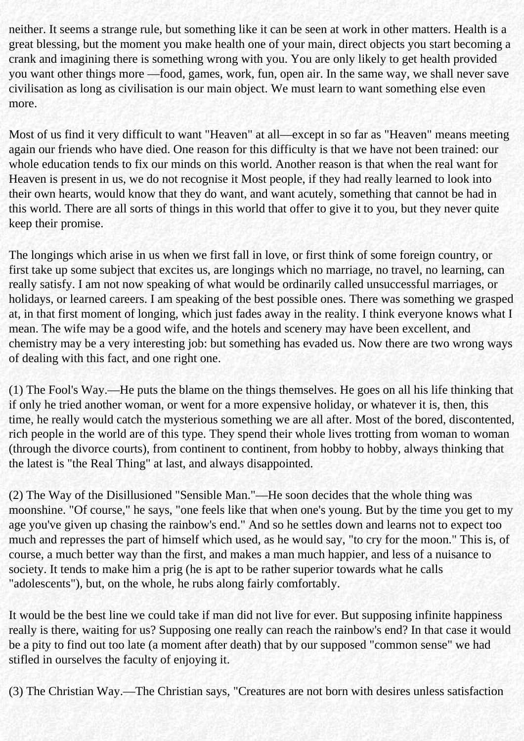neither. It seems a strange rule, but something like it can be seen at work in other matters. Health is a great blessing, but the moment you make health one of your main, direct objects you start becoming a crank and imagining there is something wrong with you. You are only likely to get health provided you want other things more —food, games, work, fun, open air. In the same way, we shall never save civilisation as long as civilisation is our main object. We must learn to want something else even more.

Most of us find it very difficult to want "Heaven" at all—except in so far as "Heaven" means meeting again our friends who have died. One reason for this difficulty is that we have not been trained: our whole education tends to fix our minds on this world. Another reason is that when the real want for Heaven is present in us, we do not recognise it Most people, if they had really learned to look into their own hearts, would know that they do want, and want acutely, something that cannot be had in this world. There are all sorts of things in this world that offer to give it to you, but they never quite keep their promise.

The longings which arise in us when we first fall in love, or first think of some foreign country, or first take up some subject that excites us, are longings which no marriage, no travel, no learning, can really satisfy. I am not now speaking of what would be ordinarily called unsuccessful marriages, or holidays, or learned careers. I am speaking of the best possible ones. There was something we grasped at, in that first moment of longing, which just fades away in the reality. I think everyone knows what I mean. The wife may be a good wife, and the hotels and scenery may have been excellent, and chemistry may be a very interesting job: but something has evaded us. Now there are two wrong ways of dealing with this fact, and one right one.

(1) The Fool's Way.—He puts the blame on the things themselves. He goes on all his life thinking that if only he tried another woman, or went for a more expensive holiday, or whatever it is, then, this time, he really would catch the mysterious something we are all after. Most of the bored, discontented, rich people in the world are of this type. They spend their whole lives trotting from woman to woman (through the divorce courts), from continent to continent, from hobby to hobby, always thinking that the latest is "the Real Thing" at last, and always disappointed.

(2) The Way of the Disillusioned "Sensible Man."—He soon decides that the whole thing was moonshine. "Of course," he says, "one feels like that when one's young. But by the time you get to my age you've given up chasing the rainbow's end." And so he settles down and learns not to expect too much and represses the part of himself which used, as he would say, "to cry for the moon." This is, of course, a much better way than the first, and makes a man much happier, and less of a nuisance to society. It tends to make him a prig (he is apt to be rather superior towards what he calls "adolescents"), but, on the whole, he rubs along fairly comfortably.

It would be the best line we could take if man did not live for ever. But supposing infinite happiness really is there, waiting for us? Supposing one really can reach the rainbow's end? In that case it would be a pity to find out too late (a moment after death) that by our supposed "common sense" we had stifled in ourselves the faculty of enjoying it.

(3) The Christian Way.—The Christian says, "Creatures are not born with desires unless satisfaction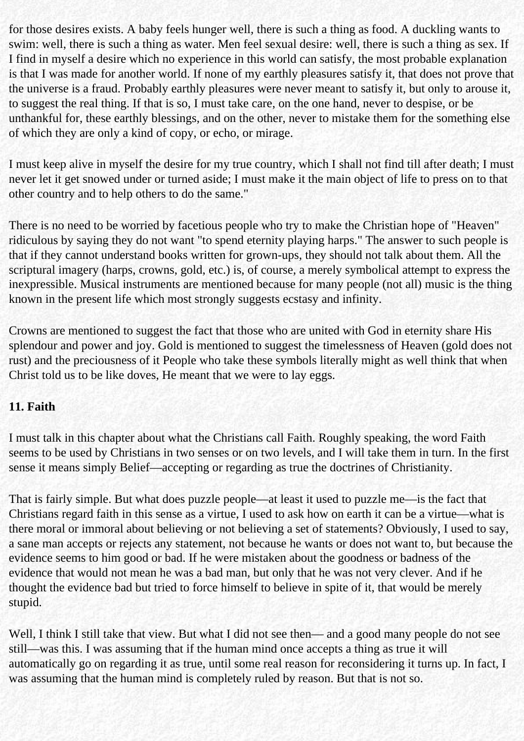for those desires exists. A baby feels hunger well, there is such a thing as food. A duckling wants to swim: well, there is such a thing as water. Men feel sexual desire: well, there is such a thing as sex. If I find in myself a desire which no experience in this world can satisfy, the most probable explanation is that I was made for another world. If none of my earthly pleasures satisfy it, that does not prove that the universe is a fraud. Probably earthly pleasures were never meant to satisfy it, but only to arouse it, to suggest the real thing. If that is so, I must take care, on the one hand, never to despise, or be unthankful for, these earthly blessings, and on the other, never to mistake them for the something else of which they are only a kind of copy, or echo, or mirage.

I must keep alive in myself the desire for my true country, which I shall not find till after death; I must never let it get snowed under or turned aside; I must make it the main object of life to press on to that other country and to help others to do the same."

There is no need to be worried by facetious people who try to make the Christian hope of "Heaven" ridiculous by saying they do not want "to spend eternity playing harps." The answer to such people is that if they cannot understand books written for grown-ups, they should not talk about them. All the scriptural imagery (harps, crowns, gold, etc.) is, of course, a merely symbolical attempt to express the inexpressible. Musical instruments are mentioned because for many people (not all) music is the thing known in the present life which most strongly suggests ecstasy and infinity.

Crowns are mentioned to suggest the fact that those who are united with God in eternity share His splendour and power and joy. Gold is mentioned to suggest the timelessness of Heaven (gold does not rust) and the preciousness of it People who take these symbols literally might as well think that when Christ told us to be like doves, He meant that we were to lay eggs.

#### **11. Faith**

I must talk in this chapter about what the Christians call Faith. Roughly speaking, the word Faith seems to be used by Christians in two senses or on two levels, and I will take them in turn. In the first sense it means simply Belief—accepting or regarding as true the doctrines of Christianity.

That is fairly simple. But what does puzzle people—at least it used to puzzle me—is the fact that Christians regard faith in this sense as a virtue, I used to ask how on earth it can be a virtue—what is there moral or immoral about believing or not believing a set of statements? Obviously, I used to say, a sane man accepts or rejects any statement, not because he wants or does not want to, but because the evidence seems to him good or bad. If he were mistaken about the goodness or badness of the evidence that would not mean he was a bad man, but only that he was not very clever. And if he thought the evidence bad but tried to force himself to believe in spite of it, that would be merely stupid.

Well, I think I still take that view. But what I did not see then— and a good many people do not see still—was this. I was assuming that if the human mind once accepts a thing as true it will automatically go on regarding it as true, until some real reason for reconsidering it turns up. In fact, I was assuming that the human mind is completely ruled by reason. But that is not so.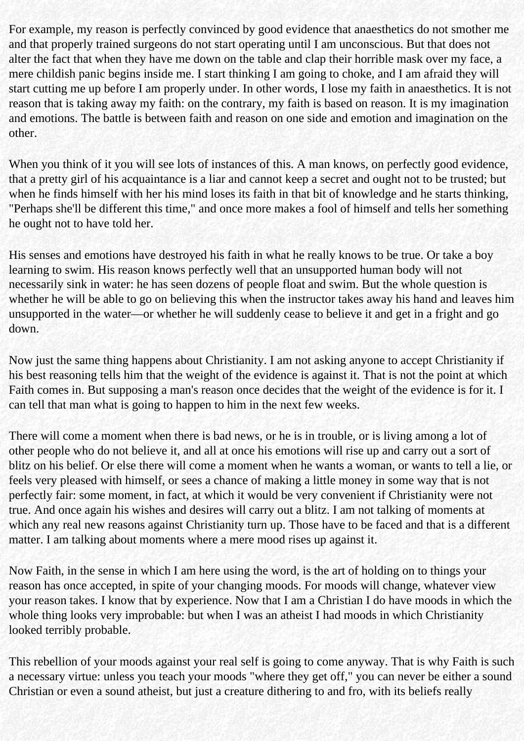For example, my reason is perfectly convinced by good evidence that anaesthetics do not smother me and that properly trained surgeons do not start operating until I am unconscious. But that does not alter the fact that when they have me down on the table and clap their horrible mask over my face, a mere childish panic begins inside me. I start thinking I am going to choke, and I am afraid they will start cutting me up before I am properly under. In other words, I lose my faith in anaesthetics. It is not reason that is taking away my faith: on the contrary, my faith is based on reason. It is my imagination and emotions. The battle is between faith and reason on one side and emotion and imagination on the other.

When you think of it you will see lots of instances of this. A man knows, on perfectly good evidence, that a pretty girl of his acquaintance is a liar and cannot keep a secret and ought not to be trusted; but when he finds himself with her his mind loses its faith in that bit of knowledge and he starts thinking, "Perhaps she'll be different this time," and once more makes a fool of himself and tells her something he ought not to have told her.

His senses and emotions have destroyed his faith in what he really knows to be true. Or take a boy learning to swim. His reason knows perfectly well that an unsupported human body will not necessarily sink in water: he has seen dozens of people float and swim. But the whole question is whether he will be able to go on believing this when the instructor takes away his hand and leaves him unsupported in the water—or whether he will suddenly cease to believe it and get in a fright and go down.

Now just the same thing happens about Christianity. I am not asking anyone to accept Christianity if his best reasoning tells him that the weight of the evidence is against it. That is not the point at which Faith comes in. But supposing a man's reason once decides that the weight of the evidence is for it. I can tell that man what is going to happen to him in the next few weeks.

There will come a moment when there is bad news, or he is in trouble, or is living among a lot of other people who do not believe it, and all at once his emotions will rise up and carry out a sort of blitz on his belief. Or else there will come a moment when he wants a woman, or wants to tell a lie, or feels very pleased with himself, or sees a chance of making a little money in some way that is not perfectly fair: some moment, in fact, at which it would be very convenient if Christianity were not true. And once again his wishes and desires will carry out a blitz. I am not talking of moments at which any real new reasons against Christianity turn up. Those have to be faced and that is a different matter. I am talking about moments where a mere mood rises up against it.

Now Faith, in the sense in which I am here using the word, is the art of holding on to things your reason has once accepted, in spite of your changing moods. For moods will change, whatever view your reason takes. I know that by experience. Now that I am a Christian I do have moods in which the whole thing looks very improbable: but when I was an atheist I had moods in which Christianity looked terribly probable.

This rebellion of your moods against your real self is going to come anyway. That is why Faith is such a necessary virtue: unless you teach your moods "where they get off," you can never be either a sound Christian or even a sound atheist, but just a creature dithering to and fro, with its beliefs really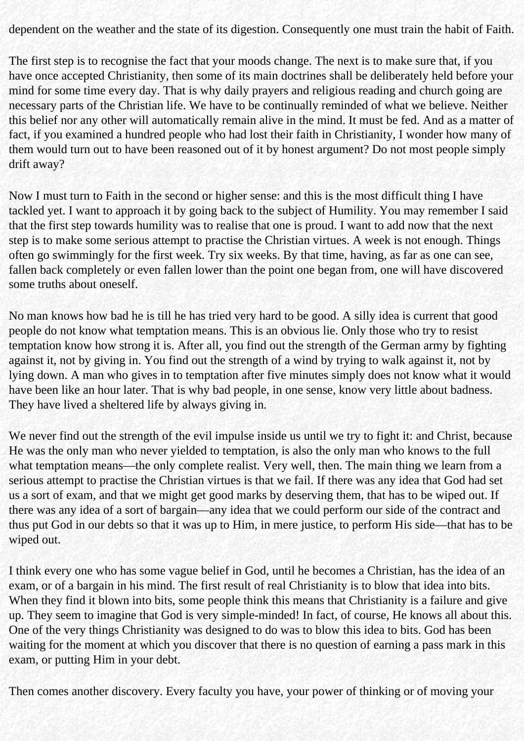dependent on the weather and the state of its digestion. Consequently one must train the habit of Faith.

The first step is to recognise the fact that your moods change. The next is to make sure that, if you have once accepted Christianity, then some of its main doctrines shall be deliberately held before your mind for some time every day. That is why daily prayers and religious reading and church going are necessary parts of the Christian life. We have to be continually reminded of what we believe. Neither this belief nor any other will automatically remain alive in the mind. It must be fed. And as a matter of fact, if you examined a hundred people who had lost their faith in Christianity, I wonder how many of them would turn out to have been reasoned out of it by honest argument? Do not most people simply drift away?

Now I must turn to Faith in the second or higher sense: and this is the most difficult thing I have tackled yet. I want to approach it by going back to the subject of Humility. You may remember I said that the first step towards humility was to realise that one is proud. I want to add now that the next step is to make some serious attempt to practise the Christian virtues. A week is not enough. Things often go swimmingly for the first week. Try six weeks. By that time, having, as far as one can see, fallen back completely or even fallen lower than the point one began from, one will have discovered some truths about oneself.

No man knows how bad he is till he has tried very hard to be good. A silly idea is current that good people do not know what temptation means. This is an obvious lie. Only those who try to resist temptation know how strong it is. After all, you find out the strength of the German army by fighting against it, not by giving in. You find out the strength of a wind by trying to walk against it, not by lying down. A man who gives in to temptation after five minutes simply does not know what it would have been like an hour later. That is why bad people, in one sense, know very little about badness. They have lived a sheltered life by always giving in.

We never find out the strength of the evil impulse inside us until we try to fight it: and Christ, because He was the only man who never yielded to temptation, is also the only man who knows to the full what temptation means—the only complete realist. Very well, then. The main thing we learn from a serious attempt to practise the Christian virtues is that we fail. If there was any idea that God had set us a sort of exam, and that we might get good marks by deserving them, that has to be wiped out. If there was any idea of a sort of bargain—any idea that we could perform our side of the contract and thus put God in our debts so that it was up to Him, in mere justice, to perform His side—that has to be wiped out.

I think every one who has some vague belief in God, until he becomes a Christian, has the idea of an exam, or of a bargain in his mind. The first result of real Christianity is to blow that idea into bits. When they find it blown into bits, some people think this means that Christianity is a failure and give up. They seem to imagine that God is very simple-minded! In fact, of course, He knows all about this. One of the very things Christianity was designed to do was to blow this idea to bits. God has been waiting for the moment at which you discover that there is no question of earning a pass mark in this exam, or putting Him in your debt.

Then comes another discovery. Every faculty you have, your power of thinking or of moving your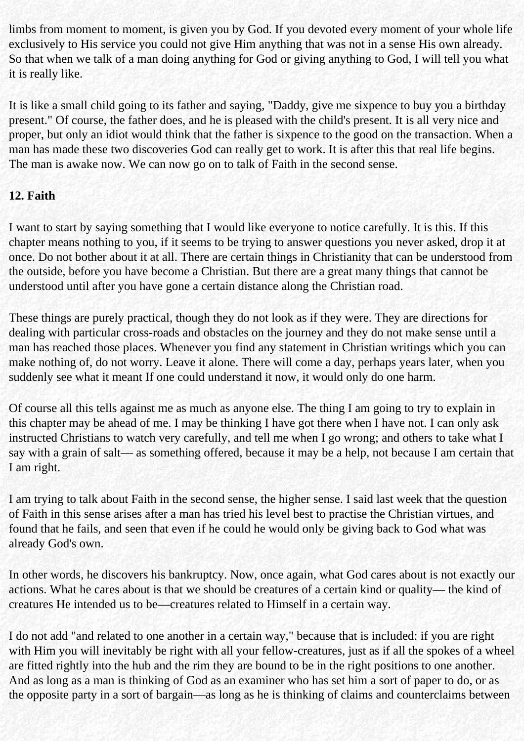limbs from moment to moment, is given you by God. If you devoted every moment of your whole life exclusively to His service you could not give Him anything that was not in a sense His own already. So that when we talk of a man doing anything for God or giving anything to God, I will tell you what it is really like.

It is like a small child going to its father and saying, "Daddy, give me sixpence to buy you a birthday present." Of course, the father does, and he is pleased with the child's present. It is all very nice and proper, but only an idiot would think that the father is sixpence to the good on the transaction. When a man has made these two discoveries God can really get to work. It is after this that real life begins. The man is awake now. We can now go on to talk of Faith in the second sense.

# **12. Faith**

I want to start by saying something that I would like everyone to notice carefully. It is this. If this chapter means nothing to you, if it seems to be trying to answer questions you never asked, drop it at once. Do not bother about it at all. There are certain things in Christianity that can be understood from the outside, before you have become a Christian. But there are a great many things that cannot be understood until after you have gone a certain distance along the Christian road.

These things are purely practical, though they do not look as if they were. They are directions for dealing with particular cross-roads and obstacles on the journey and they do not make sense until a man has reached those places. Whenever you find any statement in Christian writings which you can make nothing of, do not worry. Leave it alone. There will come a day, perhaps years later, when you suddenly see what it meant If one could understand it now, it would only do one harm.

Of course all this tells against me as much as anyone else. The thing I am going to try to explain in this chapter may be ahead of me. I may be thinking I have got there when I have not. I can only ask instructed Christians to watch very carefully, and tell me when I go wrong; and others to take what I say with a grain of salt— as something offered, because it may be a help, not because I am certain that I am right.

I am trying to talk about Faith in the second sense, the higher sense. I said last week that the question of Faith in this sense arises after a man has tried his level best to practise the Christian virtues, and found that he fails, and seen that even if he could he would only be giving back to God what was already God's own.

In other words, he discovers his bankruptcy. Now, once again, what God cares about is not exactly our actions. What he cares about is that we should be creatures of a certain kind or quality— the kind of creatures He intended us to be—creatures related to Himself in a certain way.

I do not add "and related to one another in a certain way," because that is included: if you are right with Him you will inevitably be right with all your fellow-creatures, just as if all the spokes of a wheel are fitted rightly into the hub and the rim they are bound to be in the right positions to one another. And as long as a man is thinking of God as an examiner who has set him a sort of paper to do, or as the opposite party in a sort of bargain—as long as he is thinking of claims and counterclaims between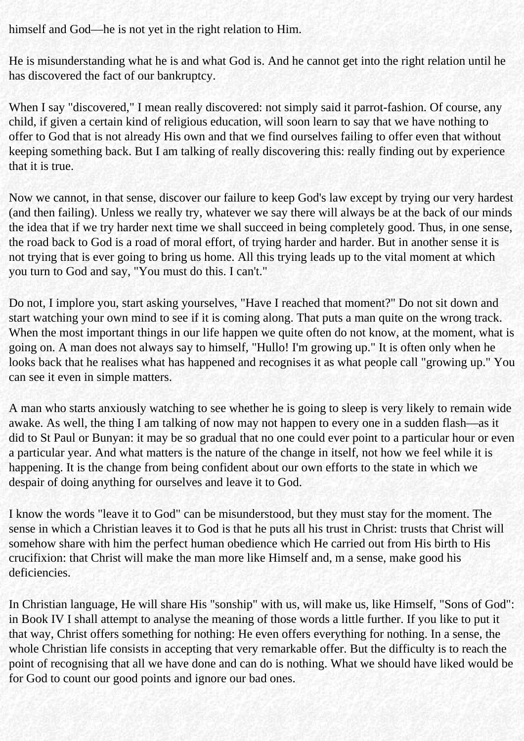himself and God—he is not yet in the right relation to Him.

He is misunderstanding what he is and what God is. And he cannot get into the right relation until he has discovered the fact of our bankruptcy.

When I say "discovered," I mean really discovered: not simply said it parrot-fashion. Of course, any child, if given a certain kind of religious education, will soon learn to say that we have nothing to offer to God that is not already His own and that we find ourselves failing to offer even that without keeping something back. But I am talking of really discovering this: really finding out by experience that it is true.

Now we cannot, in that sense, discover our failure to keep God's law except by trying our very hardest (and then failing). Unless we really try, whatever we say there will always be at the back of our minds the idea that if we try harder next time we shall succeed in being completely good. Thus, in one sense, the road back to God is a road of moral effort, of trying harder and harder. But in another sense it is not trying that is ever going to bring us home. All this trying leads up to the vital moment at which you turn to God and say, "You must do this. I can't."

Do not, I implore you, start asking yourselves, "Have I reached that moment?" Do not sit down and start watching your own mind to see if it is coming along. That puts a man quite on the wrong track. When the most important things in our life happen we quite often do not know, at the moment, what is going on. A man does not always say to himself, "Hullo! I'm growing up." It is often only when he looks back that he realises what has happened and recognises it as what people call "growing up." You can see it even in simple matters.

A man who starts anxiously watching to see whether he is going to sleep is very likely to remain wide awake. As well, the thing I am talking of now may not happen to every one in a sudden flash—as it did to St Paul or Bunyan: it may be so gradual that no one could ever point to a particular hour or even a particular year. And what matters is the nature of the change in itself, not how we feel while it is happening. It is the change from being confident about our own efforts to the state in which we despair of doing anything for ourselves and leave it to God.

I know the words "leave it to God" can be misunderstood, but they must stay for the moment. The sense in which a Christian leaves it to God is that he puts all his trust in Christ: trusts that Christ will somehow share with him the perfect human obedience which He carried out from His birth to His crucifixion: that Christ will make the man more like Himself and, m a sense, make good his deficiencies.

In Christian language, He will share His "sonship" with us, will make us, like Himself, "Sons of God": in Book IV I shall attempt to analyse the meaning of those words a little further. If you like to put it that way, Christ offers something for nothing: He even offers everything for nothing. In a sense, the whole Christian life consists in accepting that very remarkable offer. But the difficulty is to reach the point of recognising that all we have done and can do is nothing. What we should have liked would be for God to count our good points and ignore our bad ones.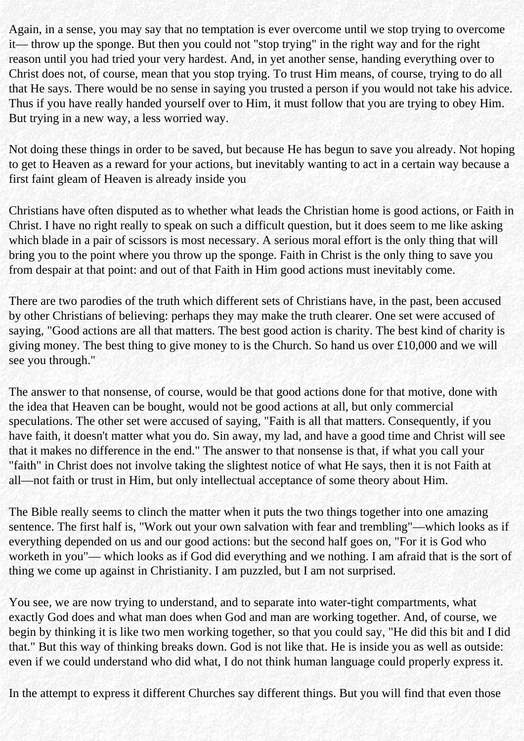Again, in a sense, you may say that no temptation is ever overcome until we stop trying to overcome it— throw up the sponge. But then you could not "stop trying" in the right way and for the right reason until you had tried your very hardest. And, in yet another sense, handing everything over to Christ does not, of course, mean that you stop trying. To trust Him means, of course, trying to do all that He says. There would be no sense in saying you trusted a person if you would not take his advice. Thus if you have really handed yourself over to Him, it must follow that you are trying to obey Him. But trying in a new way, a less worried way.

Not doing these things in order to be saved, but because He has begun to save you already. Not hoping to get to Heaven as a reward for your actions, but inevitably wanting to act in a certain way because a first faint gleam of Heaven is already inside you

Christians have often disputed as to whether what leads the Christian home is good actions, or Faith in Christ. I have no right really to speak on such a difficult question, but it does seem to me like asking which blade in a pair of scissors is most necessary. A serious moral effort is the only thing that will bring you to the point where you throw up the sponge. Faith in Christ is the only thing to save you from despair at that point: and out of that Faith in Him good actions must inevitably come.

There are two parodies of the truth which different sets of Christians have, in the past, been accused by other Christians of believing: perhaps they may make the truth clearer. One set were accused of saying, "Good actions are all that matters. The best good action is charity. The best kind of charity is giving money. The best thing to give money to is the Church. So hand us over £10,000 and we will see you through."

The answer to that nonsense, of course, would be that good actions done for that motive, done with the idea that Heaven can be bought, would not be good actions at all, but only commercial speculations. The other set were accused of saying, "Faith is all that matters. Consequently, if you have faith, it doesn't matter what you do. Sin away, my lad, and have a good time and Christ will see that it makes no difference in the end." The answer to that nonsense is that, if what you call your "faith" in Christ does not involve taking the slightest notice of what He says, then it is not Faith at all—not faith or trust in Him, but only intellectual acceptance of some theory about Him.

The Bible really seems to clinch the matter when it puts the two things together into one amazing sentence. The first half is, "Work out your own salvation with fear and trembling"—which looks as if everything depended on us and our good actions: but the second half goes on, "For it is God who worketh in you"— which looks as if God did everything and we nothing. I am afraid that is the sort of thing we come up against in Christianity. I am puzzled, but I am not surprised.

You see, we are now trying to understand, and to separate into water-tight compartments, what exactly God does and what man does when God and man are working together. And, of course, we begin by thinking it is like two men working together, so that you could say, "He did this bit and I did that." But this way of thinking breaks down. God is not like that. He is inside you as well as outside: even if we could understand who did what, I do not think human language could properly express it.

In the attempt to express it different Churches say different things. But you will find that even those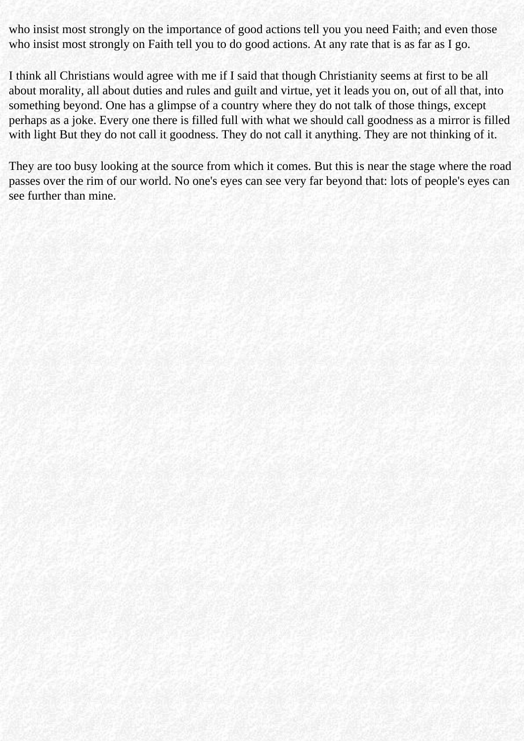who insist most strongly on the importance of good actions tell you you need Faith; and even those who insist most strongly on Faith tell you to do good actions. At any rate that is as far as I go.

I think all Christians would agree with me if I said that though Christianity seems at first to be all about morality, all about duties and rules and guilt and virtue, yet it leads you on, out of all that, into something beyond. One has a glimpse of a country where they do not talk of those things, except perhaps as a joke. Every one there is filled full with what we should call goodness as a mirror is filled with light But they do not call it goodness. They do not call it anything. They are not thinking of it.

They are too busy looking at the source from which it comes. But this is near the stage where the road passes over the rim of our world. No one's eyes can see very far beyond that: lots of people's eyes can see further than mine.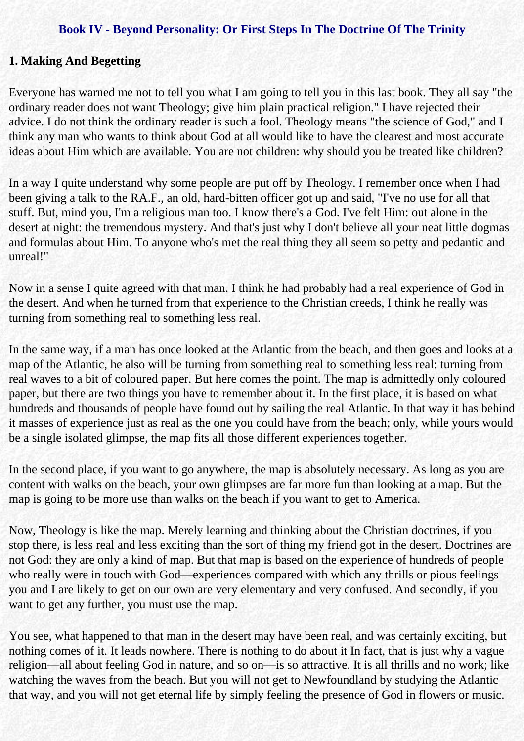#### **Book IV - Beyond Personality: Or First Steps In The Doctrine Of The Trinity**

#### **1. Making And Begetting**

Everyone has warned me not to tell you what I am going to tell you in this last book. They all say "the ordinary reader does not want Theology; give him plain practical religion." I have rejected their advice. I do not think the ordinary reader is such a fool. Theology means "the science of God," and I think any man who wants to think about God at all would like to have the clearest and most accurate ideas about Him which are available. You are not children: why should you be treated like children?

In a way I quite understand why some people are put off by Theology. I remember once when I had been giving a talk to the RA.F., an old, hard-bitten officer got up and said, "I've no use for all that stuff. But, mind you, I'm a religious man too. I know there's a God. I've felt Him: out alone in the desert at night: the tremendous mystery. And that's just why I don't believe all your neat little dogmas and formulas about Him. To anyone who's met the real thing they all seem so petty and pedantic and unreal!"

Now in a sense I quite agreed with that man. I think he had probably had a real experience of God in the desert. And when he turned from that experience to the Christian creeds, I think he really was turning from something real to something less real.

In the same way, if a man has once looked at the Atlantic from the beach, and then goes and looks at a map of the Atlantic, he also will be turning from something real to something less real: turning from real waves to a bit of coloured paper. But here comes the point. The map is admittedly only coloured paper, but there are two things you have to remember about it. In the first place, it is based on what hundreds and thousands of people have found out by sailing the real Atlantic. In that way it has behind it masses of experience just as real as the one you could have from the beach; only, while yours would be a single isolated glimpse, the map fits all those different experiences together.

In the second place, if you want to go anywhere, the map is absolutely necessary. As long as you are content with walks on the beach, your own glimpses are far more fun than looking at a map. But the map is going to be more use than walks on the beach if you want to get to America.

Now, Theology is like the map. Merely learning and thinking about the Christian doctrines, if you stop there, is less real and less exciting than the sort of thing my friend got in the desert. Doctrines are not God: they are only a kind of map. But that map is based on the experience of hundreds of people who really were in touch with God—experiences compared with which any thrills or pious feelings you and I are likely to get on our own are very elementary and very confused. And secondly, if you want to get any further, you must use the map.

You see, what happened to that man in the desert may have been real, and was certainly exciting, but nothing comes of it. It leads nowhere. There is nothing to do about it In fact, that is just why a vague religion—all about feeling God in nature, and so on—is so attractive. It is all thrills and no work; like watching the waves from the beach. But you will not get to Newfoundland by studying the Atlantic that way, and you will not get eternal life by simply feeling the presence of God in flowers or music.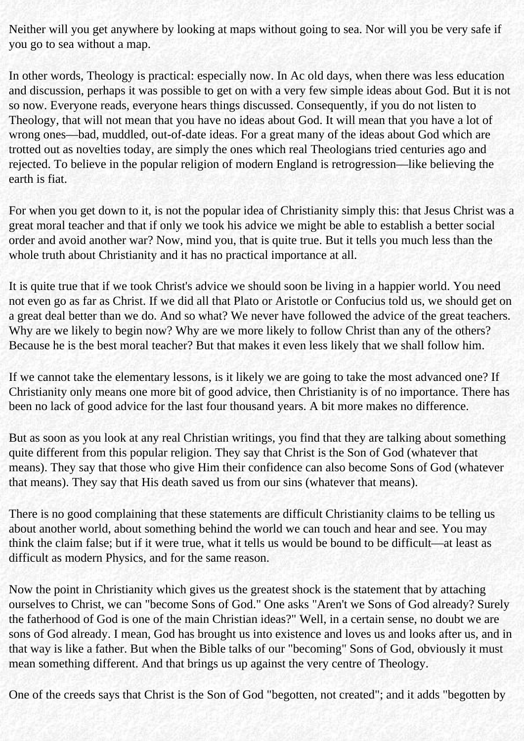Neither will you get anywhere by looking at maps without going to sea. Nor will you be very safe if you go to sea without a map.

In other words, Theology is practical: especially now. In Ac old days, when there was less education and discussion, perhaps it was possible to get on with a very few simple ideas about God. But it is not so now. Everyone reads, everyone hears things discussed. Consequently, if you do not listen to Theology, that will not mean that you have no ideas about God. It will mean that you have a lot of wrong ones—bad, muddled, out-of-date ideas. For a great many of the ideas about God which are trotted out as novelties today, are simply the ones which real Theologians tried centuries ago and rejected. To believe in the popular religion of modern England is retrogression—like believing the earth is fiat.

For when you get down to it, is not the popular idea of Christianity simply this: that Jesus Christ was a great moral teacher and that if only we took his advice we might be able to establish a better social order and avoid another war? Now, mind you, that is quite true. But it tells you much less than the whole truth about Christianity and it has no practical importance at all.

It is quite true that if we took Christ's advice we should soon be living in a happier world. You need not even go as far as Christ. If we did all that Plato or Aristotle or Confucius told us, we should get on a great deal better than we do. And so what? We never have followed the advice of the great teachers. Why are we likely to begin now? Why are we more likely to follow Christ than any of the others? Because he is the best moral teacher? But that makes it even less likely that we shall follow him.

If we cannot take the elementary lessons, is it likely we are going to take the most advanced one? If Christianity only means one more bit of good advice, then Christianity is of no importance. There has been no lack of good advice for the last four thousand years. A bit more makes no difference.

But as soon as you look at any real Christian writings, you find that they are talking about something quite different from this popular religion. They say that Christ is the Son of God (whatever that means). They say that those who give Him their confidence can also become Sons of God (whatever that means). They say that His death saved us from our sins (whatever that means).

There is no good complaining that these statements are difficult Christianity claims to be telling us about another world, about something behind the world we can touch and hear and see. You may think the claim false; but if it were true, what it tells us would be bound to be difficult—at least as difficult as modern Physics, and for the same reason.

Now the point in Christianity which gives us the greatest shock is the statement that by attaching ourselves to Christ, we can "become Sons of God." One asks "Aren't we Sons of God already? Surely the fatherhood of God is one of the main Christian ideas?" Well, in a certain sense, no doubt we are sons of God already. I mean, God has brought us into existence and loves us and looks after us, and in that way is like a father. But when the Bible talks of our "becoming" Sons of God, obviously it must mean something different. And that brings us up against the very centre of Theology.

One of the creeds says that Christ is the Son of God "begotten, not created"; and it adds "begotten by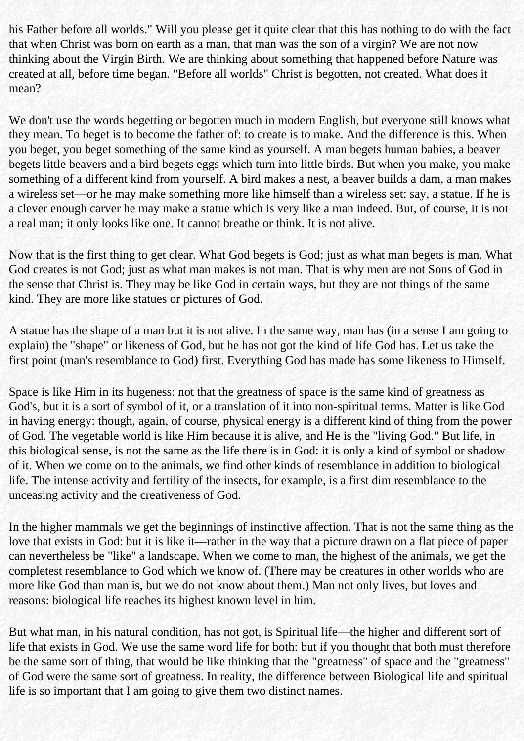his Father before all worlds." Will you please get it quite clear that this has nothing to do with the fact that when Christ was born on earth as a man, that man was the son of a virgin? We are not now thinking about the Virgin Birth. We are thinking about something that happened before Nature was created at all, before time began. "Before all worlds" Christ is begotten, not created. What does it mean?

We don't use the words begetting or begotten much in modern English, but everyone still knows what they mean. To beget is to become the father of: to create is to make. And the difference is this. When you beget, you beget something of the same kind as yourself. A man begets human babies, a beaver begets little beavers and a bird begets eggs which turn into little birds. But when you make, you make something of a different kind from yourself. A bird makes a nest, a beaver builds a dam, a man makes a wireless set—or he may make something more like himself than a wireless set: say, a statue. If he is a clever enough carver he may make a statue which is very like a man indeed. But, of course, it is not a real man; it only looks like one. It cannot breathe or think. It is not alive.

Now that is the first thing to get clear. What God begets is God; just as what man begets is man. What God creates is not God; just as what man makes is not man. That is why men are not Sons of God in the sense that Christ is. They may be like God in certain ways, but they are not things of the same kind. They are more like statues or pictures of God.

A statue has the shape of a man but it is not alive. In the same way, man has (in a sense I am going to explain) the "shape" or likeness of God, but he has not got the kind of life God has. Let us take the first point (man's resemblance to God) first. Everything God has made has some likeness to Himself.

Space is like Him in its hugeness: not that the greatness of space is the same kind of greatness as God's, but it is a sort of symbol of it, or a translation of it into non-spiritual terms. Matter is like God in having energy: though, again, of course, physical energy is a different kind of thing from the power of God. The vegetable world is like Him because it is alive, and He is the "living God." But life, in this biological sense, is not the same as the life there is in God: it is only a kind of symbol or shadow of it. When we come on to the animals, we find other kinds of resemblance in addition to biological life. The intense activity and fertility of the insects, for example, is a first dim resemblance to the unceasing activity and the creativeness of God.

In the higher mammals we get the beginnings of instinctive affection. That is not the same thing as the love that exists in God: but it is like it—rather in the way that a picture drawn on a flat piece of paper can nevertheless be "like" a landscape. When we come to man, the highest of the animals, we get the completest resemblance to God which we know of. (There may be creatures in other worlds who are more like God than man is, but we do not know about them.) Man not only lives, but loves and reasons: biological life reaches its highest known level in him.

But what man, in his natural condition, has not got, is Spiritual life—the higher and different sort of life that exists in God. We use the same word life for both: but if you thought that both must therefore be the same sort of thing, that would be like thinking that the "greatness" of space and the "greatness" of God were the same sort of greatness. In reality, the difference between Biological life and spiritual life is so important that I am going to give them two distinct names.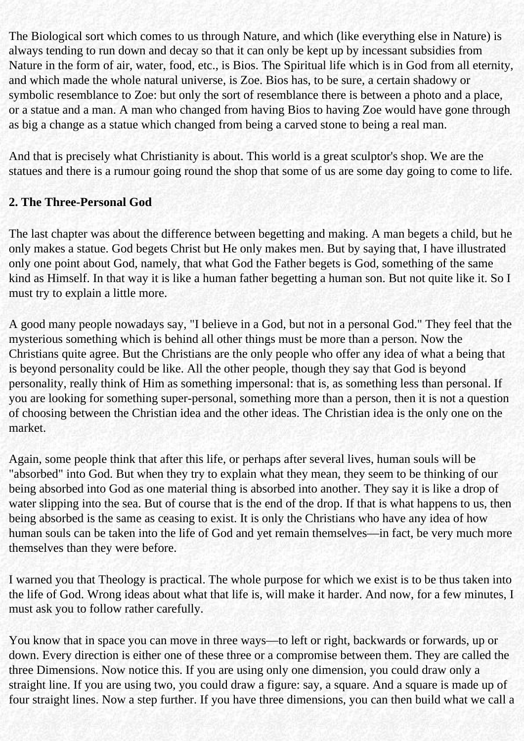The Biological sort which comes to us through Nature, and which (like everything else in Nature) is always tending to run down and decay so that it can only be kept up by incessant subsidies from Nature in the form of air, water, food, etc., is Bios. The Spiritual life which is in God from all eternity, and which made the whole natural universe, is Zoe. Bios has, to be sure, a certain shadowy or symbolic resemblance to Zoe: but only the sort of resemblance there is between a photo and a place, or a statue and a man. A man who changed from having Bios to having Zoe would have gone through as big a change as a statue which changed from being a carved stone to being a real man.

And that is precisely what Christianity is about. This world is a great sculptor's shop. We are the statues and there is a rumour going round the shop that some of us are some day going to come to life.

### **2. The Three-Personal God**

The last chapter was about the difference between begetting and making. A man begets a child, but he only makes a statue. God begets Christ but He only makes men. But by saying that, I have illustrated only one point about God, namely, that what God the Father begets is God, something of the same kind as Himself. In that way it is like a human father begetting a human son. But not quite like it. So I must try to explain a little more.

A good many people nowadays say, "I believe in a God, but not in a personal God." They feel that the mysterious something which is behind all other things must be more than a person. Now the Christians quite agree. But the Christians are the only people who offer any idea of what a being that is beyond personality could be like. All the other people, though they say that God is beyond personality, really think of Him as something impersonal: that is, as something less than personal. If you are looking for something super-personal, something more than a person, then it is not a question of choosing between the Christian idea and the other ideas. The Christian idea is the only one on the market.

Again, some people think that after this life, or perhaps after several lives, human souls will be "absorbed" into God. But when they try to explain what they mean, they seem to be thinking of our being absorbed into God as one material thing is absorbed into another. They say it is like a drop of water slipping into the sea. But of course that is the end of the drop. If that is what happens to us, then being absorbed is the same as ceasing to exist. It is only the Christians who have any idea of how human souls can be taken into the life of God and yet remain themselves—in fact, be very much more themselves than they were before.

I warned you that Theology is practical. The whole purpose for which we exist is to be thus taken into the life of God. Wrong ideas about what that life is, will make it harder. And now, for a few minutes, I must ask you to follow rather carefully.

You know that in space you can move in three ways—to left or right, backwards or forwards, up or down. Every direction is either one of these three or a compromise between them. They are called the three Dimensions. Now notice this. If you are using only one dimension, you could draw only a straight line. If you are using two, you could draw a figure: say, a square. And a square is made up of four straight lines. Now a step further. If you have three dimensions, you can then build what we call a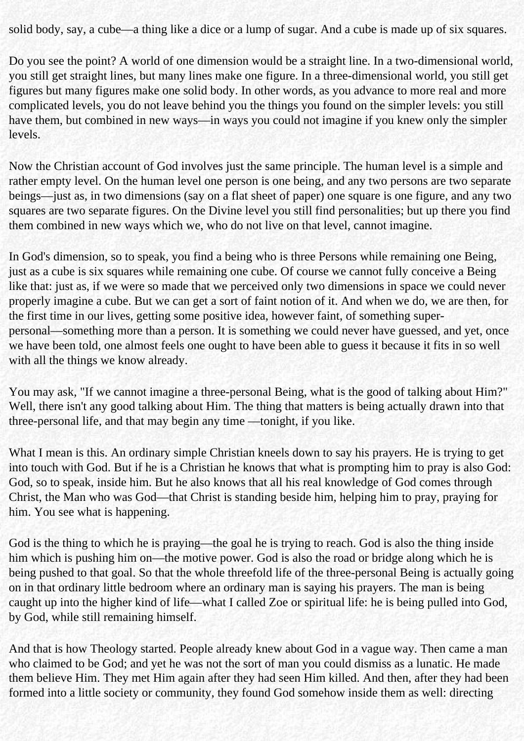solid body, say, a cube—a thing like a dice or a lump of sugar. And a cube is made up of six squares.

Do you see the point? A world of one dimension would be a straight line. In a two-dimensional world, you still get straight lines, but many lines make one figure. In a three-dimensional world, you still get figures but many figures make one solid body. In other words, as you advance to more real and more complicated levels, you do not leave behind you the things you found on the simpler levels: you still have them, but combined in new ways—in ways you could not imagine if you knew only the simpler levels.

Now the Christian account of God involves just the same principle. The human level is a simple and rather empty level. On the human level one person is one being, and any two persons are two separate beings—just as, in two dimensions (say on a flat sheet of paper) one square is one figure, and any two squares are two separate figures. On the Divine level you still find personalities; but up there you find them combined in new ways which we, who do not live on that level, cannot imagine.

In God's dimension, so to speak, you find a being who is three Persons while remaining one Being, just as a cube is six squares while remaining one cube. Of course we cannot fully conceive a Being like that: just as, if we were so made that we perceived only two dimensions in space we could never properly imagine a cube. But we can get a sort of faint notion of it. And when we do, we are then, for the first time in our lives, getting some positive idea, however faint, of something superpersonal—something more than a person. It is something we could never have guessed, and yet, once we have been told, one almost feels one ought to have been able to guess it because it fits in so well with all the things we know already.

You may ask, "If we cannot imagine a three-personal Being, what is the good of talking about Him?" Well, there isn't any good talking about Him. The thing that matters is being actually drawn into that three-personal life, and that may begin any time —tonight, if you like.

What I mean is this. An ordinary simple Christian kneels down to say his prayers. He is trying to get into touch with God. But if he is a Christian he knows that what is prompting him to pray is also God: God, so to speak, inside him. But he also knows that all his real knowledge of God comes through Christ, the Man who was God—that Christ is standing beside him, helping him to pray, praying for him. You see what is happening.

God is the thing to which he is praying—the goal he is trying to reach. God is also the thing inside him which is pushing him on—the motive power. God is also the road or bridge along which he is being pushed to that goal. So that the whole threefold life of the three-personal Being is actually going on in that ordinary little bedroom where an ordinary man is saying his prayers. The man is being caught up into the higher kind of life—what I called Zoe or spiritual life: he is being pulled into God, by God, while still remaining himself.

And that is how Theology started. People already knew about God in a vague way. Then came a man who claimed to be God; and yet he was not the sort of man you could dismiss as a lunatic. He made them believe Him. They met Him again after they had seen Him killed. And then, after they had been formed into a little society or community, they found God somehow inside them as well: directing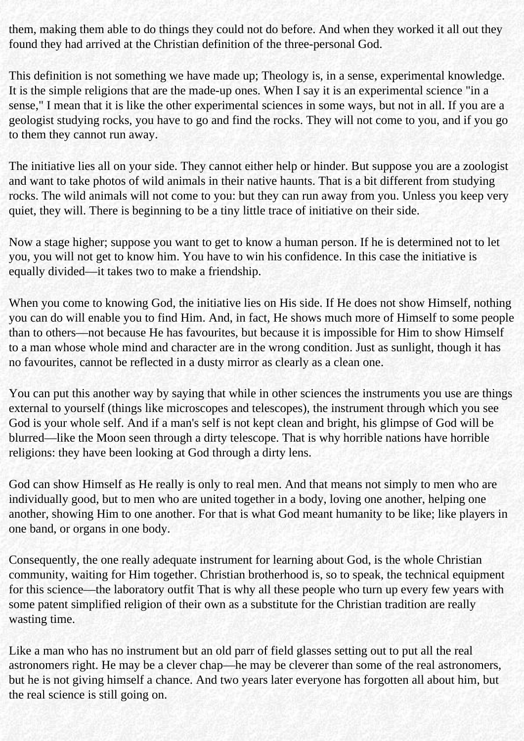them, making them able to do things they could not do before. And when they worked it all out they found they had arrived at the Christian definition of the three-personal God.

This definition is not something we have made up; Theology is, in a sense, experimental knowledge. It is the simple religions that are the made-up ones. When I say it is an experimental science "in a sense," I mean that it is like the other experimental sciences in some ways, but not in all. If you are a geologist studying rocks, you have to go and find the rocks. They will not come to you, and if you go to them they cannot run away.

The initiative lies all on your side. They cannot either help or hinder. But suppose you are a zoologist and want to take photos of wild animals in their native haunts. That is a bit different from studying rocks. The wild animals will not come to you: but they can run away from you. Unless you keep very quiet, they will. There is beginning to be a tiny little trace of initiative on their side.

Now a stage higher; suppose you want to get to know a human person. If he is determined not to let you, you will not get to know him. You have to win his confidence. In this case the initiative is equally divided—it takes two to make a friendship.

When you come to knowing God, the initiative lies on His side. If He does not show Himself, nothing you can do will enable you to find Him. And, in fact, He shows much more of Himself to some people than to others—not because He has favourites, but because it is impossible for Him to show Himself to a man whose whole mind and character are in the wrong condition. Just as sunlight, though it has no favourites, cannot be reflected in a dusty mirror as clearly as a clean one.

You can put this another way by saying that while in other sciences the instruments you use are things external to yourself (things like microscopes and telescopes), the instrument through which you see God is your whole self. And if a man's self is not kept clean and bright, his glimpse of God will be blurred—like the Moon seen through a dirty telescope. That is why horrible nations have horrible religions: they have been looking at God through a dirty lens.

God can show Himself as He really is only to real men. And that means not simply to men who are individually good, but to men who are united together in a body, loving one another, helping one another, showing Him to one another. For that is what God meant humanity to be like; like players in one band, or organs in one body.

Consequently, the one really adequate instrument for learning about God, is the whole Christian community, waiting for Him together. Christian brotherhood is, so to speak, the technical equipment for this science—the laboratory outfit That is why all these people who turn up every few years with some patent simplified religion of their own as a substitute for the Christian tradition are really wasting time.

Like a man who has no instrument but an old parr of field glasses setting out to put all the real astronomers right. He may be a clever chap—he may be cleverer than some of the real astronomers, but he is not giving himself a chance. And two years later everyone has forgotten all about him, but the real science is still going on.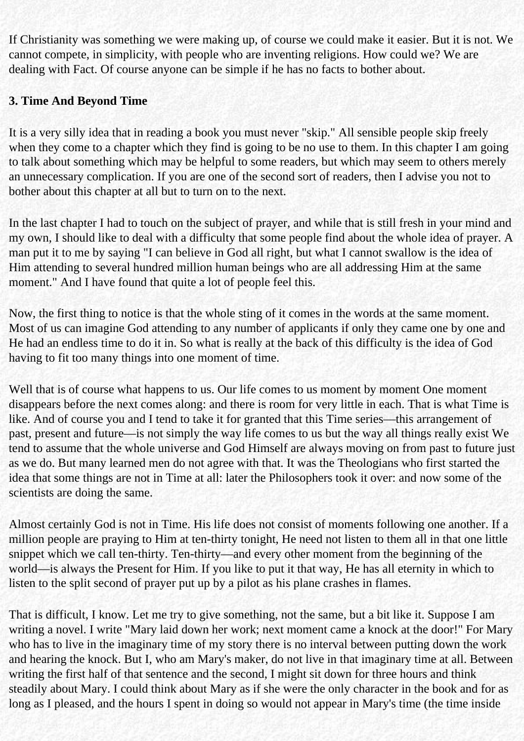If Christianity was something we were making up, of course we could make it easier. But it is not. We cannot compete, in simplicity, with people who are inventing religions. How could we? We are dealing with Fact. Of course anyone can be simple if he has no facts to bother about.

### **3. Time And Beyond Time**

It is a very silly idea that in reading a book you must never "skip." All sensible people skip freely when they come to a chapter which they find is going to be no use to them. In this chapter I am going to talk about something which may be helpful to some readers, but which may seem to others merely an unnecessary complication. If you are one of the second sort of readers, then I advise you not to bother about this chapter at all but to turn on to the next.

In the last chapter I had to touch on the subject of prayer, and while that is still fresh in your mind and my own, I should like to deal with a difficulty that some people find about the whole idea of prayer. A man put it to me by saying "I can believe in God all right, but what I cannot swallow is the idea of Him attending to several hundred million human beings who are all addressing Him at the same moment." And I have found that quite a lot of people feel this.

Now, the first thing to notice is that the whole sting of it comes in the words at the same moment. Most of us can imagine God attending to any number of applicants if only they came one by one and He had an endless time to do it in. So what is really at the back of this difficulty is the idea of God having to fit too many things into one moment of time.

Well that is of course what happens to us. Our life comes to us moment by moment One moment disappears before the next comes along: and there is room for very little in each. That is what Time is like. And of course you and I tend to take it for granted that this Time series—this arrangement of past, present and future—is not simply the way life comes to us but the way all things really exist We tend to assume that the whole universe and God Himself are always moving on from past to future just as we do. But many learned men do not agree with that. It was the Theologians who first started the idea that some things are not in Time at all: later the Philosophers took it over: and now some of the scientists are doing the same.

Almost certainly God is not in Time. His life does not consist of moments following one another. If a million people are praying to Him at ten-thirty tonight, He need not listen to them all in that one little snippet which we call ten-thirty. Ten-thirty—and every other moment from the beginning of the world—is always the Present for Him. If you like to put it that way, He has all eternity in which to listen to the split second of prayer put up by a pilot as his plane crashes in flames.

That is difficult, I know. Let me try to give something, not the same, but a bit like it. Suppose I am writing a novel. I write "Mary laid down her work; next moment came a knock at the door!" For Mary who has to live in the imaginary time of my story there is no interval between putting down the work and hearing the knock. But I, who am Mary's maker, do not live in that imaginary time at all. Between writing the first half of that sentence and the second, I might sit down for three hours and think steadily about Mary. I could think about Mary as if she were the only character in the book and for as long as I pleased, and the hours I spent in doing so would not appear in Mary's time (the time inside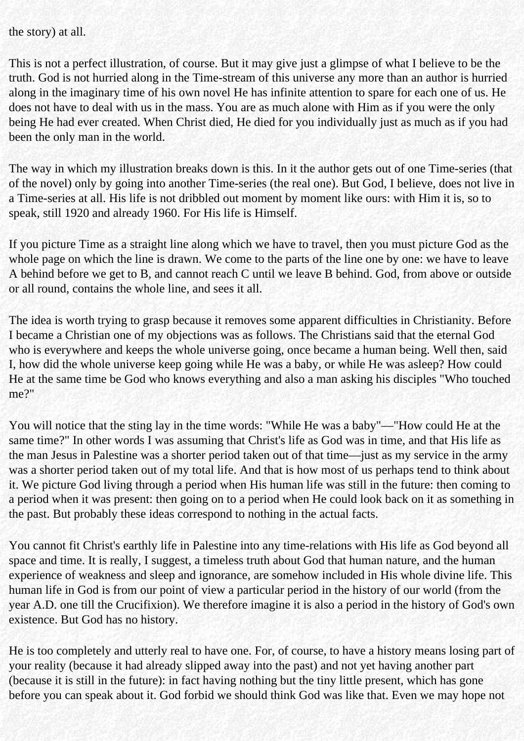the story) at all.

This is not a perfect illustration, of course. But it may give just a glimpse of what I believe to be the truth. God is not hurried along in the Time-stream of this universe any more than an author is hurried along in the imaginary time of his own novel He has infinite attention to spare for each one of us. He does not have to deal with us in the mass. You are as much alone with Him as if you were the only being He had ever created. When Christ died, He died for you individually just as much as if you had been the only man in the world.

The way in which my illustration breaks down is this. In it the author gets out of one Time-series (that of the novel) only by going into another Time-series (the real one). But God, I believe, does not live in a Time-series at all. His life is not dribbled out moment by moment like ours: with Him it is, so to speak, still 1920 and already 1960. For His life is Himself.

If you picture Time as a straight line along which we have to travel, then you must picture God as the whole page on which the line is drawn. We come to the parts of the line one by one: we have to leave A behind before we get to B, and cannot reach C until we leave B behind. God, from above or outside or all round, contains the whole line, and sees it all.

The idea is worth trying to grasp because it removes some apparent difficulties in Christianity. Before I became a Christian one of my objections was as follows. The Christians said that the eternal God who is everywhere and keeps the whole universe going, once became a human being. Well then, said I, how did the whole universe keep going while He was a baby, or while He was asleep? How could He at the same time be God who knows everything and also a man asking his disciples "Who touched me?"

You will notice that the sting lay in the time words: "While He was a baby"—"How could He at the same time?" In other words I was assuming that Christ's life as God was in time, and that His life as the man Jesus in Palestine was a shorter period taken out of that time—just as my service in the army was a shorter period taken out of my total life. And that is how most of us perhaps tend to think about it. We picture God living through a period when His human life was still in the future: then coming to a period when it was present: then going on to a period when He could look back on it as something in the past. But probably these ideas correspond to nothing in the actual facts.

You cannot fit Christ's earthly life in Palestine into any time-relations with His life as God beyond all space and time. It is really, I suggest, a timeless truth about God that human nature, and the human experience of weakness and sleep and ignorance, are somehow included in His whole divine life. This human life in God is from our point of view a particular period in the history of our world (from the year A.D. one till the Crucifixion). We therefore imagine it is also a period in the history of God's own existence. But God has no history.

He is too completely and utterly real to have one. For, of course, to have a history means losing part of your reality (because it had already slipped away into the past) and not yet having another part (because it is still in the future): in fact having nothing but the tiny little present, which has gone before you can speak about it. God forbid we should think God was like that. Even we may hope not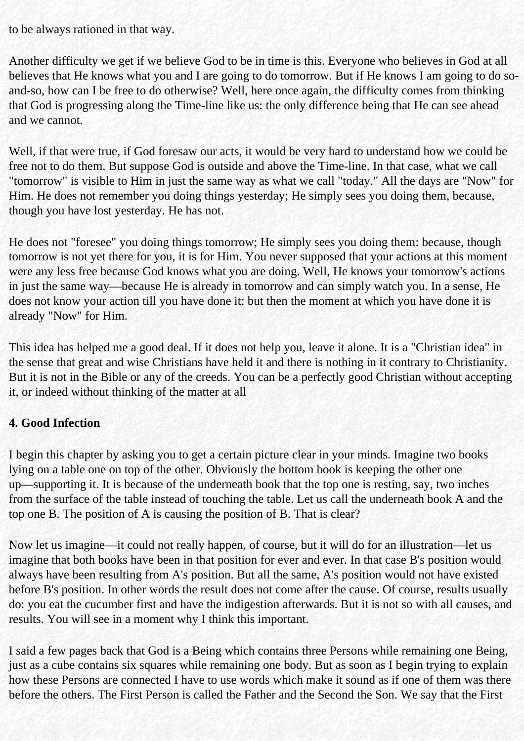to be always rationed in that way.

Another difficulty we get if we believe God to be in time is this. Everyone who believes in God at all believes that He knows what you and I are going to do tomorrow. But if He knows I am going to do soand-so, how can I be free to do otherwise? Well, here once again, the difficulty comes from thinking that God is progressing along the Time-line like us: the only difference being that He can see ahead and we cannot.

Well, if that were true, if God foresaw our acts, it would be very hard to understand how we could be free not to do them. But suppose God is outside and above the Time-line. In that case, what we call "tomorrow" is visible to Him in just the same way as what we call "today." All the days are "Now" for Him. He does not remember you doing things yesterday; He simply sees you doing them, because, though you have lost yesterday. He has not.

He does not "foresee" you doing things tomorrow; He simply sees you doing them: because, though tomorrow is not yet there for you, it is for Him. You never supposed that your actions at this moment were any less free because God knows what you are doing. Well, He knows your tomorrow's actions in just the same way—because He is already in tomorrow and can simply watch you. In a sense, He does not know your action till you have done it: but then the moment at which you have done it is already "Now" for Him.

This idea has helped me a good deal. If it does not help you, leave it alone. It is a "Christian idea" in the sense that great and wise Christians have held it and there is nothing in it contrary to Christianity. But it is not in the Bible or any of the creeds. You can be a perfectly good Christian without accepting it, or indeed without thinking of the matter at all

# **4. Good Infection**

I begin this chapter by asking you to get a certain picture clear in your minds. Imagine two books lying on a table one on top of the other. Obviously the bottom book is keeping the other one up—supporting it. It is because of the underneath book that the top one is resting, say, two inches from the surface of the table instead of touching the table. Let us call the underneath book A and the top one B. The position of A is causing the position of B. That is clear?

Now let us imagine—it could not really happen, of course, but it will do for an illustration—let us imagine that both books have been in that position for ever and ever. In that case B's position would always have been resulting from A's position. But all the same, A's position would not have existed before B's position. In other words the result does not come after the cause. Of course, results usually do: you eat the cucumber first and have the indigestion afterwards. But it is not so with all causes, and results. You will see in a moment why I think this important.

I said a few pages back that God is a Being which contains three Persons while remaining one Being, just as a cube contains six squares while remaining one body. But as soon as I begin trying to explain how these Persons are connected I have to use words which make it sound as if one of them was there before the others. The First Person is called the Father and the Second the Son. We say that the First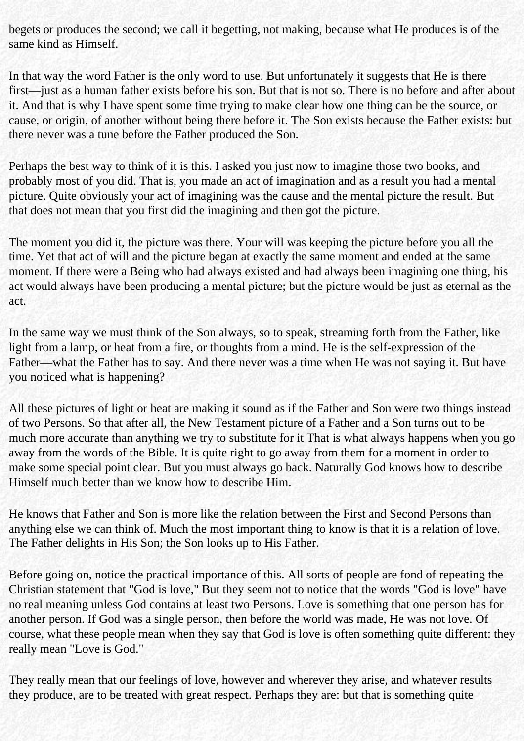begets or produces the second; we call it begetting, not making, because what He produces is of the same kind as Himself.

In that way the word Father is the only word to use. But unfortunately it suggests that He is there first—just as a human father exists before his son. But that is not so. There is no before and after about it. And that is why I have spent some time trying to make clear how one thing can be the source, or cause, or origin, of another without being there before it. The Son exists because the Father exists: but there never was a tune before the Father produced the Son.

Perhaps the best way to think of it is this. I asked you just now to imagine those two books, and probably most of you did. That is, you made an act of imagination and as a result you had a mental picture. Quite obviously your act of imagining was the cause and the mental picture the result. But that does not mean that you first did the imagining and then got the picture.

The moment you did it, the picture was there. Your will was keeping the picture before you all the time. Yet that act of will and the picture began at exactly the same moment and ended at the same moment. If there were a Being who had always existed and had always been imagining one thing, his act would always have been producing a mental picture; but the picture would be just as eternal as the act.

In the same way we must think of the Son always, so to speak, streaming forth from the Father, like light from a lamp, or heat from a fire, or thoughts from a mind. He is the self-expression of the Father—what the Father has to say. And there never was a time when He was not saying it. But have you noticed what is happening?

All these pictures of light or heat are making it sound as if the Father and Son were two things instead of two Persons. So that after all, the New Testament picture of a Father and a Son turns out to be much more accurate than anything we try to substitute for it That is what always happens when you go away from the words of the Bible. It is quite right to go away from them for a moment in order to make some special point clear. But you must always go back. Naturally God knows how to describe Himself much better than we know how to describe Him.

He knows that Father and Son is more like the relation between the First and Second Persons than anything else we can think of. Much the most important thing to know is that it is a relation of love. The Father delights in His Son; the Son looks up to His Father.

Before going on, notice the practical importance of this. All sorts of people are fond of repeating the Christian statement that "God is love," But they seem not to notice that the words "God is love" have no real meaning unless God contains at least two Persons. Love is something that one person has for another person. If God was a single person, then before the world was made, He was not love. Of course, what these people mean when they say that God is love is often something quite different: they really mean "Love is God."

They really mean that our feelings of love, however and wherever they arise, and whatever results they produce, are to be treated with great respect. Perhaps they are: but that is something quite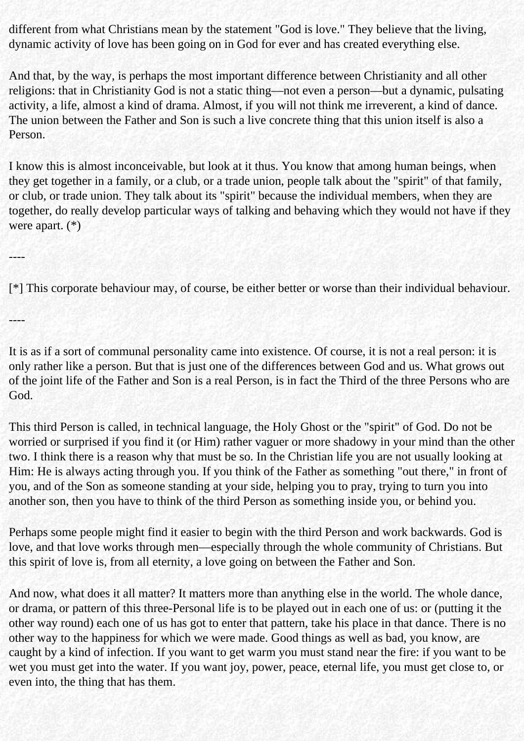different from what Christians mean by the statement "God is love." They believe that the living, dynamic activity of love has been going on in God for ever and has created everything else.

And that, by the way, is perhaps the most important difference between Christianity and all other religions: that in Christianity God is not a static thing—not even a person—but a dynamic, pulsating activity, a life, almost a kind of drama. Almost, if you will not think me irreverent, a kind of dance. The union between the Father and Son is such a live concrete thing that this union itself is also a Person.

I know this is almost inconceivable, but look at it thus. You know that among human beings, when they get together in a family, or a club, or a trade union, people talk about the "spirit" of that family, or club, or trade union. They talk about its "spirit" because the individual members, when they are together, do really develop particular ways of talking and behaving which they would not have if they were apart. (\*)

----

[\*] This corporate behaviour may, of course, be either better or worse than their individual behaviour.

----

It is as if a sort of communal personality came into existence. Of course, it is not a real person: it is only rather like a person. But that is just one of the differences between God and us. What grows out of the joint life of the Father and Son is a real Person, is in fact the Third of the three Persons who are God.

This third Person is called, in technical language, the Holy Ghost or the "spirit" of God. Do not be worried or surprised if you find it (or Him) rather vaguer or more shadowy in your mind than the other two. I think there is a reason why that must be so. In the Christian life you are not usually looking at Him: He is always acting through you. If you think of the Father as something "out there," in front of you, and of the Son as someone standing at your side, helping you to pray, trying to turn you into another son, then you have to think of the third Person as something inside you, or behind you.

Perhaps some people might find it easier to begin with the third Person and work backwards. God is love, and that love works through men—especially through the whole community of Christians. But this spirit of love is, from all eternity, a love going on between the Father and Son.

And now, what does it all matter? It matters more than anything else in the world. The whole dance, or drama, or pattern of this three-Personal life is to be played out in each one of us: or (putting it the other way round) each one of us has got to enter that pattern, take his place in that dance. There is no other way to the happiness for which we were made. Good things as well as bad, you know, are caught by a kind of infection. If you want to get warm you must stand near the fire: if you want to be wet you must get into the water. If you want joy, power, peace, eternal life, you must get close to, or even into, the thing that has them.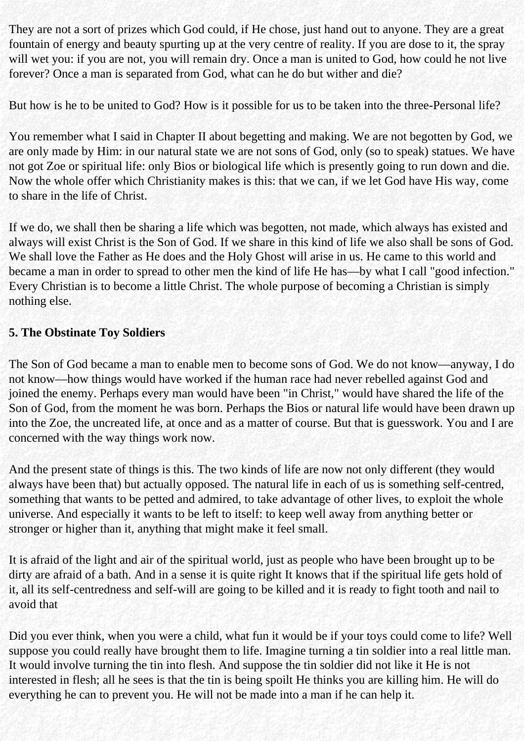They are not a sort of prizes which God could, if He chose, just hand out to anyone. They are a great fountain of energy and beauty spurting up at the very centre of reality. If you are dose to it, the spray will wet you: if you are not, you will remain dry. Once a man is united to God, how could he not live forever? Once a man is separated from God, what can he do but wither and die?

But how is he to be united to God? How is it possible for us to be taken into the three-Personal life?

You remember what I said in Chapter II about begetting and making. We are not begotten by God, we are only made by Him: in our natural state we are not sons of God, only (so to speak) statues. We have not got Zoe or spiritual life: only Bios or biological life which is presently going to run down and die. Now the whole offer which Christianity makes is this: that we can, if we let God have His way, come to share in the life of Christ.

If we do, we shall then be sharing a life which was begotten, not made, which always has existed and always will exist Christ is the Son of God. If we share in this kind of life we also shall be sons of God. We shall love the Father as He does and the Holy Ghost will arise in us. He came to this world and became a man in order to spread to other men the kind of life He has—by what I call "good infection." Every Christian is to become a little Christ. The whole purpose of becoming a Christian is simply nothing else.

### **5. The Obstinate Toy Soldiers**

The Son of God became a man to enable men to become sons of God. We do not know—anyway, I do not know—how things would have worked if the human race had never rebelled against God and joined the enemy. Perhaps every man would have been "in Christ," would have shared the life of the Son of God, from the moment he was born. Perhaps the Bios or natural life would have been drawn up into the Zoe, the uncreated life, at once and as a matter of course. But that is guesswork. You and I are concerned with the way things work now.

And the present state of things is this. The two kinds of life are now not only different (they would always have been that) but actually opposed. The natural life in each of us is something self-centred, something that wants to be petted and admired, to take advantage of other lives, to exploit the whole universe. And especially it wants to be left to itself: to keep well away from anything better or stronger or higher than it, anything that might make it feel small.

It is afraid of the light and air of the spiritual world, just as people who have been brought up to be dirty are afraid of a bath. And in a sense it is quite right It knows that if the spiritual life gets hold of it, all its self-centredness and self-will are going to be killed and it is ready to fight tooth and nail to avoid that

Did you ever think, when you were a child, what fun it would be if your toys could come to life? Well suppose you could really have brought them to life. Imagine turning a tin soldier into a real little man. It would involve turning the tin into flesh. And suppose the tin soldier did not like it He is not interested in flesh; all he sees is that the tin is being spoilt He thinks you are killing him. He will do everything he can to prevent you. He will not be made into a man if he can help it.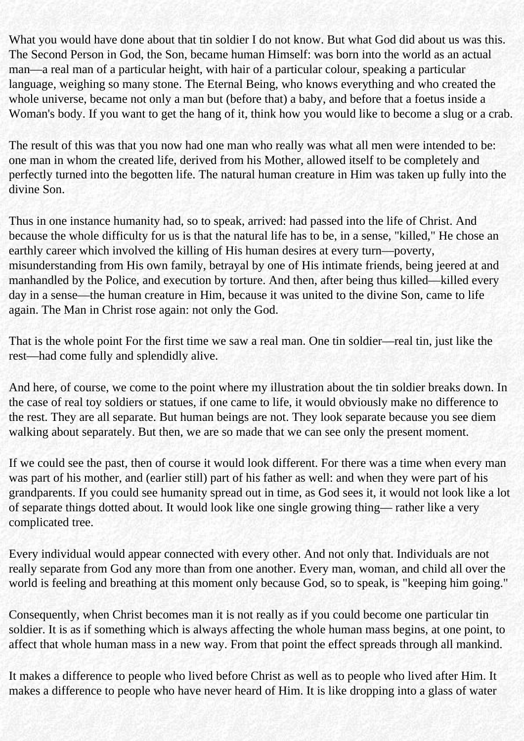What you would have done about that tin soldier I do not know. But what God did about us was this. The Second Person in God, the Son, became human Himself: was born into the world as an actual man—a real man of a particular height, with hair of a particular colour, speaking a particular language, weighing so many stone. The Eternal Being, who knows everything and who created the whole universe, became not only a man but (before that) a baby, and before that a foetus inside a Woman's body. If you want to get the hang of it, think how you would like to become a slug or a crab.

The result of this was that you now had one man who really was what all men were intended to be: one man in whom the created life, derived from his Mother, allowed itself to be completely and perfectly turned into the begotten life. The natural human creature in Him was taken up fully into the divine Son.

Thus in one instance humanity had, so to speak, arrived: had passed into the life of Christ. And because the whole difficulty for us is that the natural life has to be, in a sense, "killed," He chose an earthly career which involved the killing of His human desires at every turn—poverty, misunderstanding from His own family, betrayal by one of His intimate friends, being jeered at and manhandled by the Police, and execution by torture. And then, after being thus killed—killed every day in a sense—the human creature in Him, because it was united to the divine Son, came to life again. The Man in Christ rose again: not only the God.

That is the whole point For the first time we saw a real man. One tin soldier—real tin, just like the rest—had come fully and splendidly alive.

And here, of course, we come to the point where my illustration about the tin soldier breaks down. In the case of real toy soldiers or statues, if one came to life, it would obviously make no difference to the rest. They are all separate. But human beings are not. They look separate because you see diem walking about separately. But then, we are so made that we can see only the present moment.

If we could see the past, then of course it would look different. For there was a time when every man was part of his mother, and (earlier still) part of his father as well: and when they were part of his grandparents. If you could see humanity spread out in time, as God sees it, it would not look like a lot of separate things dotted about. It would look like one single growing thing— rather like a very complicated tree.

Every individual would appear connected with every other. And not only that. Individuals are not really separate from God any more than from one another. Every man, woman, and child all over the world is feeling and breathing at this moment only because God, so to speak, is "keeping him going."

Consequently, when Christ becomes man it is not really as if you could become one particular tin soldier. It is as if something which is always affecting the whole human mass begins, at one point, to affect that whole human mass in a new way. From that point the effect spreads through all mankind.

It makes a difference to people who lived before Christ as well as to people who lived after Him. It makes a difference to people who have never heard of Him. It is like dropping into a glass of water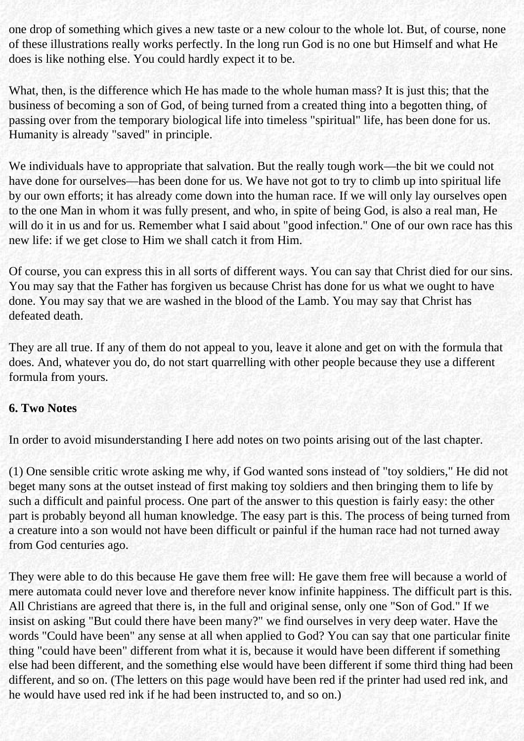one drop of something which gives a new taste or a new colour to the whole lot. But, of course, none of these illustrations really works perfectly. In the long run God is no one but Himself and what He does is like nothing else. You could hardly expect it to be.

What, then, is the difference which He has made to the whole human mass? It is just this; that the business of becoming a son of God, of being turned from a created thing into a begotten thing, of passing over from the temporary biological life into timeless "spiritual" life, has been done for us. Humanity is already "saved" in principle.

We individuals have to appropriate that salvation. But the really tough work—the bit we could not have done for ourselves—has been done for us. We have not got to try to climb up into spiritual life by our own efforts; it has already come down into the human race. If we will only lay ourselves open to the one Man in whom it was fully present, and who, in spite of being God, is also a real man, He will do it in us and for us. Remember what I said about "good infection." One of our own race has this new life: if we get close to Him we shall catch it from Him.

Of course, you can express this in all sorts of different ways. You can say that Christ died for our sins. You may say that the Father has forgiven us because Christ has done for us what we ought to have done. You may say that we are washed in the blood of the Lamb. You may say that Christ has defeated death.

They are all true. If any of them do not appeal to you, leave it alone and get on with the formula that does. And, whatever you do, do not start quarrelling with other people because they use a different formula from yours.

### **6. Two Notes**

In order to avoid misunderstanding I here add notes on two points arising out of the last chapter.

(1) One sensible critic wrote asking me why, if God wanted sons instead of "toy soldiers," He did not beget many sons at the outset instead of first making toy soldiers and then bringing them to life by such a difficult and painful process. One part of the answer to this question is fairly easy: the other part is probably beyond all human knowledge. The easy part is this. The process of being turned from a creature into a son would not have been difficult or painful if the human race had not turned away from God centuries ago.

They were able to do this because He gave them free will: He gave them free will because a world of mere automata could never love and therefore never know infinite happiness. The difficult part is this. All Christians are agreed that there is, in the full and original sense, only one "Son of God." If we insist on asking "But could there have been many?" we find ourselves in very deep water. Have the words "Could have been" any sense at all when applied to God? You can say that one particular finite thing "could have been" different from what it is, because it would have been different if something else had been different, and the something else would have been different if some third thing had been different, and so on. (The letters on this page would have been red if the printer had used red ink, and he would have used red ink if he had been instructed to, and so on.)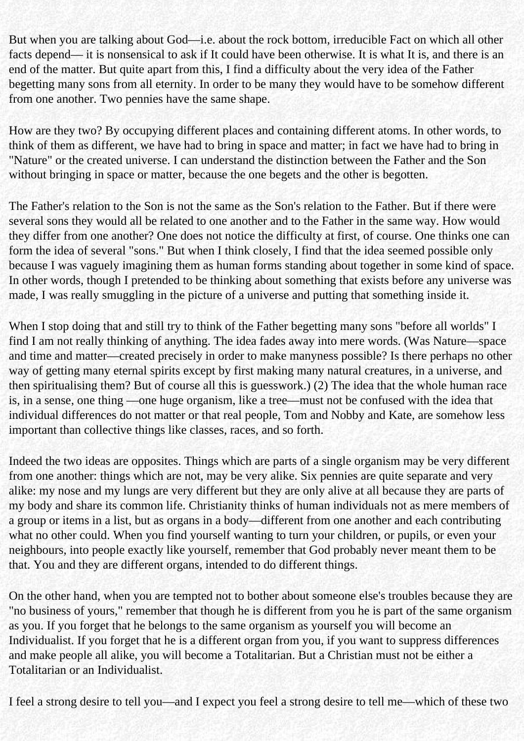But when you are talking about God—i.e. about the rock bottom, irreducible Fact on which all other facts depend— it is nonsensical to ask if It could have been otherwise. It is what It is, and there is an end of the matter. But quite apart from this, I find a difficulty about the very idea of the Father begetting many sons from all eternity. In order to be many they would have to be somehow different from one another. Two pennies have the same shape.

How are they two? By occupying different places and containing different atoms. In other words, to think of them as different, we have had to bring in space and matter; in fact we have had to bring in "Nature" or the created universe. I can understand the distinction between the Father and the Son without bringing in space or matter, because the one begets and the other is begotten.

The Father's relation to the Son is not the same as the Son's relation to the Father. But if there were several sons they would all be related to one another and to the Father in the same way. How would they differ from one another? One does not notice the difficulty at first, of course. One thinks one can form the idea of several "sons." But when I think closely, I find that the idea seemed possible only because I was vaguely imagining them as human forms standing about together in some kind of space. In other words, though I pretended to be thinking about something that exists before any universe was made, I was really smuggling in the picture of a universe and putting that something inside it.

When I stop doing that and still try to think of the Father begetting many sons "before all worlds" I find I am not really thinking of anything. The idea fades away into mere words. (Was Nature—space and time and matter—created precisely in order to make manyness possible? Is there perhaps no other way of getting many eternal spirits except by first making many natural creatures, in a universe, and then spiritualising them? But of course all this is guesswork.) (2) The idea that the whole human race is, in a sense, one thing —one huge organism, like a tree—must not be confused with the idea that individual differences do not matter or that real people, Tom and Nobby and Kate, are somehow less important than collective things like classes, races, and so forth.

Indeed the two ideas are opposites. Things which are parts of a single organism may be very different from one another: things which are not, may be very alike. Six pennies are quite separate and very alike: my nose and my lungs are very different but they are only alive at all because they are parts of my body and share its common life. Christianity thinks of human individuals not as mere members of a group or items in a list, but as organs in a body—different from one another and each contributing what no other could. When you find yourself wanting to turn your children, or pupils, or even your neighbours, into people exactly like yourself, remember that God probably never meant them to be that. You and they are different organs, intended to do different things.

On the other hand, when you are tempted not to bother about someone else's troubles because they are "no business of yours," remember that though he is different from you he is part of the same organism as you. If you forget that he belongs to the same organism as yourself you will become an Individualist. If you forget that he is a different organ from you, if you want to suppress differences and make people all alike, you will become a Totalitarian. But a Christian must not be either a Totalitarian or an Individualist.

I feel a strong desire to tell you—and I expect you feel a strong desire to tell me—which of these two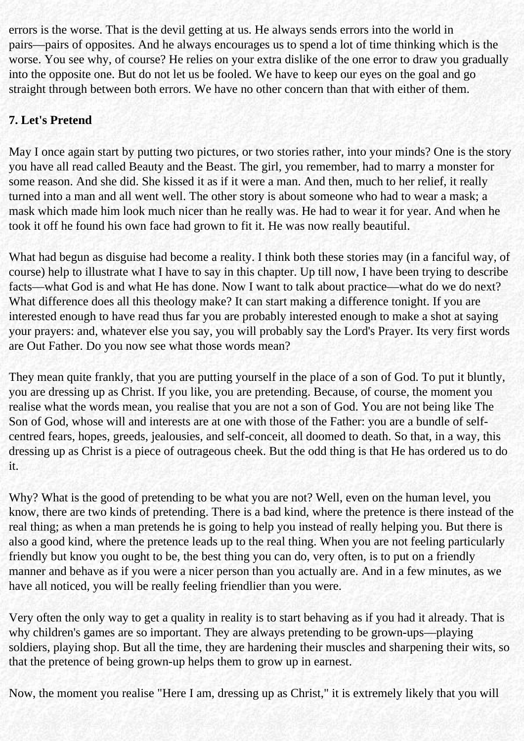errors is the worse. That is the devil getting at us. He always sends errors into the world in pairs—pairs of opposites. And he always encourages us to spend a lot of time thinking which is the worse. You see why, of course? He relies on your extra dislike of the one error to draw you gradually into the opposite one. But do not let us be fooled. We have to keep our eyes on the goal and go straight through between both errors. We have no other concern than that with either of them.

### **7. Let's Pretend**

May I once again start by putting two pictures, or two stories rather, into your minds? One is the story you have all read called Beauty and the Beast. The girl, you remember, had to marry a monster for some reason. And she did. She kissed it as if it were a man. And then, much to her relief, it really turned into a man and all went well. The other story is about someone who had to wear a mask; a mask which made him look much nicer than he really was. He had to wear it for year. And when he took it off he found his own face had grown to fit it. He was now really beautiful.

What had begun as disguise had become a reality. I think both these stories may (in a fanciful way, of course) help to illustrate what I have to say in this chapter. Up till now, I have been trying to describe facts—what God is and what He has done. Now I want to talk about practice—what do we do next? What difference does all this theology make? It can start making a difference tonight. If you are interested enough to have read thus far you are probably interested enough to make a shot at saying your prayers: and, whatever else you say, you will probably say the Lord's Prayer. Its very first words are Out Father. Do you now see what those words mean?

They mean quite frankly, that you are putting yourself in the place of a son of God. To put it bluntly, you are dressing up as Christ. If you like, you are pretending. Because, of course, the moment you realise what the words mean, you realise that you are not a son of God. You are not being like The Son of God, whose will and interests are at one with those of the Father: you are a bundle of selfcentred fears, hopes, greeds, jealousies, and self-conceit, all doomed to death. So that, in a way, this dressing up as Christ is a piece of outrageous cheek. But the odd thing is that He has ordered us to do it.

Why? What is the good of pretending to be what you are not? Well, even on the human level, you know, there are two kinds of pretending. There is a bad kind, where the pretence is there instead of the real thing; as when a man pretends he is going to help you instead of really helping you. But there is also a good kind, where the pretence leads up to the real thing. When you are not feeling particularly friendly but know you ought to be, the best thing you can do, very often, is to put on a friendly manner and behave as if you were a nicer person than you actually are. And in a few minutes, as we have all noticed, you will be really feeling friendlier than you were.

Very often the only way to get a quality in reality is to start behaving as if you had it already. That is why children's games are so important. They are always pretending to be grown-ups—playing soldiers, playing shop. But all the time, they are hardening their muscles and sharpening their wits, so that the pretence of being grown-up helps them to grow up in earnest.

Now, the moment you realise "Here I am, dressing up as Christ," it is extremely likely that you will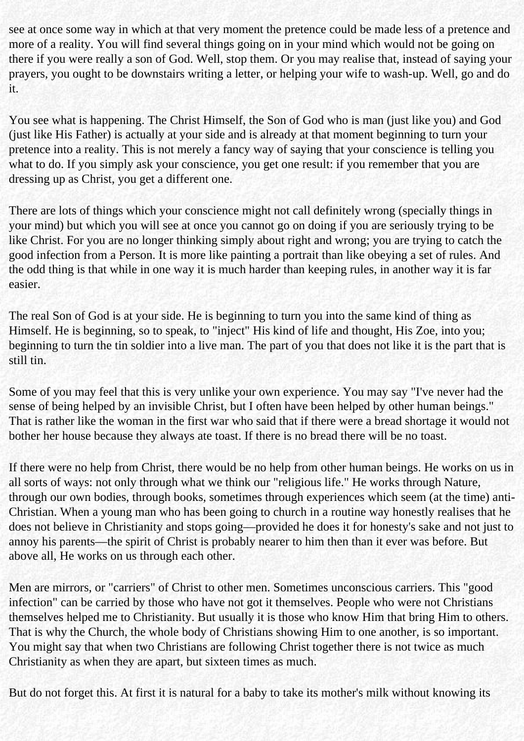see at once some way in which at that very moment the pretence could be made less of a pretence and more of a reality. You will find several things going on in your mind which would not be going on there if you were really a son of God. Well, stop them. Or you may realise that, instead of saying your prayers, you ought to be downstairs writing a letter, or helping your wife to wash-up. Well, go and do it.

You see what is happening. The Christ Himself, the Son of God who is man (just like you) and God (just like His Father) is actually at your side and is already at that moment beginning to turn your pretence into a reality. This is not merely a fancy way of saying that your conscience is telling you what to do. If you simply ask your conscience, you get one result: if you remember that you are dressing up as Christ, you get a different one.

There are lots of things which your conscience might not call definitely wrong (specially things in your mind) but which you will see at once you cannot go on doing if you are seriously trying to be like Christ. For you are no longer thinking simply about right and wrong; you are trying to catch the good infection from a Person. It is more like painting a portrait than like obeying a set of rules. And the odd thing is that while in one way it is much harder than keeping rules, in another way it is far easier.

The real Son of God is at your side. He is beginning to turn you into the same kind of thing as Himself. He is beginning, so to speak, to "inject" His kind of life and thought, His Zoe, into you; beginning to turn the tin soldier into a live man. The part of you that does not like it is the part that is still tin.

Some of you may feel that this is very unlike your own experience. You may say "I've never had the sense of being helped by an invisible Christ, but I often have been helped by other human beings." That is rather like the woman in the first war who said that if there were a bread shortage it would not bother her house because they always ate toast. If there is no bread there will be no toast.

If there were no help from Christ, there would be no help from other human beings. He works on us in all sorts of ways: not only through what we think our "religious life." He works through Nature, through our own bodies, through books, sometimes through experiences which seem (at the time) anti-Christian. When a young man who has been going to church in a routine way honestly realises that he does not believe in Christianity and stops going—provided he does it for honesty's sake and not just to annoy his parents—the spirit of Christ is probably nearer to him then than it ever was before. But above all, He works on us through each other.

Men are mirrors, or "carriers" of Christ to other men. Sometimes unconscious carriers. This "good infection" can be carried by those who have not got it themselves. People who were not Christians themselves helped me to Christianity. But usually it is those who know Him that bring Him to others. That is why the Church, the whole body of Christians showing Him to one another, is so important. You might say that when two Christians are following Christ together there is not twice as much Christianity as when they are apart, but sixteen times as much.

But do not forget this. At first it is natural for a baby to take its mother's milk without knowing its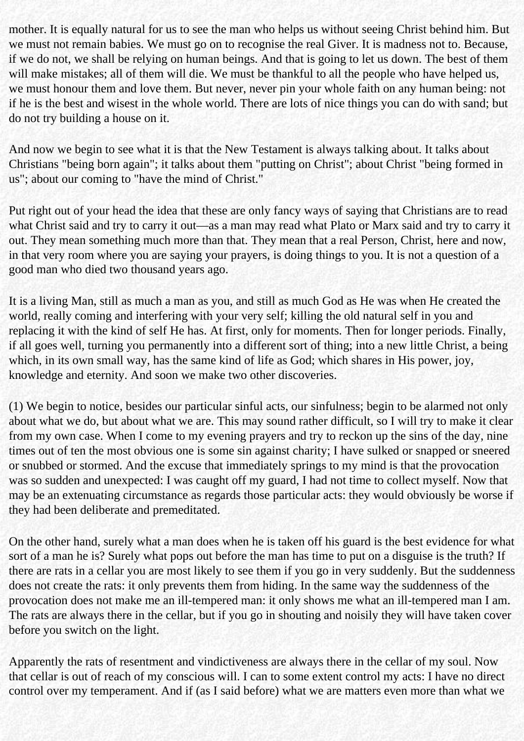mother. It is equally natural for us to see the man who helps us without seeing Christ behind him. But we must not remain babies. We must go on to recognise the real Giver. It is madness not to. Because, if we do not, we shall be relying on human beings. And that is going to let us down. The best of them will make mistakes; all of them will die. We must be thankful to all the people who have helped us, we must honour them and love them. But never, never pin your whole faith on any human being: not if he is the best and wisest in the whole world. There are lots of nice things you can do with sand; but do not try building a house on it.

And now we begin to see what it is that the New Testament is always talking about. It talks about Christians "being born again"; it talks about them "putting on Christ"; about Christ "being formed in us"; about our coming to "have the mind of Christ."

Put right out of your head the idea that these are only fancy ways of saying that Christians are to read what Christ said and try to carry it out—as a man may read what Plato or Marx said and try to carry it out. They mean something much more than that. They mean that a real Person, Christ, here and now, in that very room where you are saying your prayers, is doing things to you. It is not a question of a good man who died two thousand years ago.

It is a living Man, still as much a man as you, and still as much God as He was when He created the world, really coming and interfering with your very self; killing the old natural self in you and replacing it with the kind of self He has. At first, only for moments. Then for longer periods. Finally, if all goes well, turning you permanently into a different sort of thing; into a new little Christ, a being which, in its own small way, has the same kind of life as God; which shares in His power, joy, knowledge and eternity. And soon we make two other discoveries.

(1) We begin to notice, besides our particular sinful acts, our sinfulness; begin to be alarmed not only about what we do, but about what we are. This may sound rather difficult, so I will try to make it clear from my own case. When I come to my evening prayers and try to reckon up the sins of the day, nine times out of ten the most obvious one is some sin against charity; I have sulked or snapped or sneered or snubbed or stormed. And the excuse that immediately springs to my mind is that the provocation was so sudden and unexpected: I was caught off my guard, I had not time to collect myself. Now that may be an extenuating circumstance as regards those particular acts: they would obviously be worse if they had been deliberate and premeditated.

On the other hand, surely what a man does when he is taken off his guard is the best evidence for what sort of a man he is? Surely what pops out before the man has time to put on a disguise is the truth? If there are rats in a cellar you are most likely to see them if you go in very suddenly. But the suddenness does not create the rats: it only prevents them from hiding. In the same way the suddenness of the provocation does not make me an ill-tempered man: it only shows me what an ill-tempered man I am. The rats are always there in the cellar, but if you go in shouting and noisily they will have taken cover before you switch on the light.

Apparently the rats of resentment and vindictiveness are always there in the cellar of my soul. Now that cellar is out of reach of my conscious will. I can to some extent control my acts: I have no direct control over my temperament. And if (as I said before) what we are matters even more than what we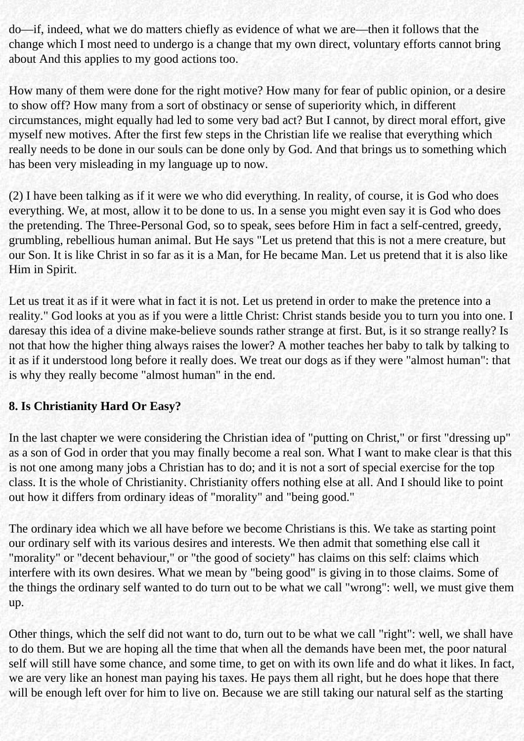do—if, indeed, what we do matters chiefly as evidence of what we are—then it follows that the change which I most need to undergo is a change that my own direct, voluntary efforts cannot bring about And this applies to my good actions too.

How many of them were done for the right motive? How many for fear of public opinion, or a desire to show off? How many from a sort of obstinacy or sense of superiority which, in different circumstances, might equally had led to some very bad act? But I cannot, by direct moral effort, give myself new motives. After the first few steps in the Christian life we realise that everything which really needs to be done in our souls can be done only by God. And that brings us to something which has been very misleading in my language up to now.

(2) I have been talking as if it were we who did everything. In reality, of course, it is God who does everything. We, at most, allow it to be done to us. In a sense you might even say it is God who does the pretending. The Three-Personal God, so to speak, sees before Him in fact a self-centred, greedy, grumbling, rebellious human animal. But He says "Let us pretend that this is not a mere creature, but our Son. It is like Christ in so far as it is a Man, for He became Man. Let us pretend that it is also like Him in Spirit.

Let us treat it as if it were what in fact it is not. Let us pretend in order to make the pretence into a reality." God looks at you as if you were a little Christ: Christ stands beside you to turn you into one. I daresay this idea of a divine make-believe sounds rather strange at first. But, is it so strange really? Is not that how the higher thing always raises the lower? A mother teaches her baby to talk by talking to it as if it understood long before it really does. We treat our dogs as if they were "almost human": that is why they really become "almost human" in the end.

### **8. Is Christianity Hard Or Easy?**

In the last chapter we were considering the Christian idea of "putting on Christ," or first "dressing up" as a son of God in order that you may finally become a real son. What I want to make clear is that this is not one among many jobs a Christian has to do; and it is not a sort of special exercise for the top class. It is the whole of Christianity. Christianity offers nothing else at all. And I should like to point out how it differs from ordinary ideas of "morality" and "being good."

The ordinary idea which we all have before we become Christians is this. We take as starting point our ordinary self with its various desires and interests. We then admit that something else call it "morality" or "decent behaviour," or "the good of society" has claims on this self: claims which interfere with its own desires. What we mean by "being good" is giving in to those claims. Some of the things the ordinary self wanted to do turn out to be what we call "wrong": well, we must give them up.

Other things, which the self did not want to do, turn out to be what we call "right": well, we shall have to do them. But we are hoping all the time that when all the demands have been met, the poor natural self will still have some chance, and some time, to get on with its own life and do what it likes. In fact, we are very like an honest man paying his taxes. He pays them all right, but he does hope that there will be enough left over for him to live on. Because we are still taking our natural self as the starting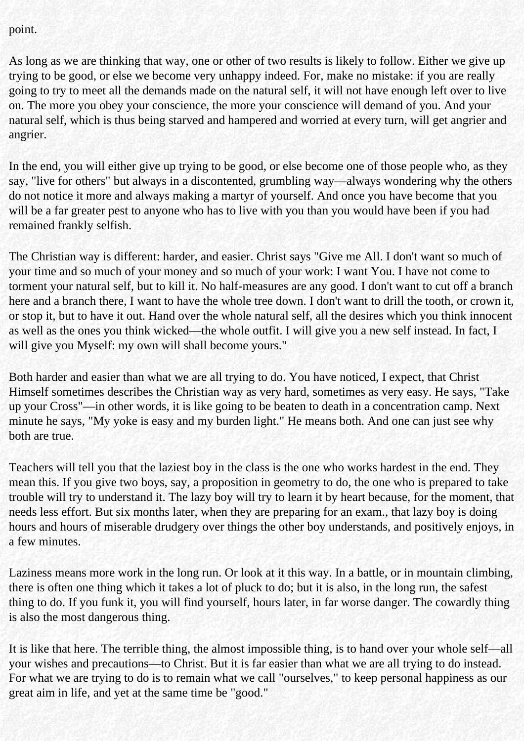point.

As long as we are thinking that way, one or other of two results is likely to follow. Either we give up trying to be good, or else we become very unhappy indeed. For, make no mistake: if you are really going to try to meet all the demands made on the natural self, it will not have enough left over to live on. The more you obey your conscience, the more your conscience will demand of you. And your natural self, which is thus being starved and hampered and worried at every turn, will get angrier and angrier.

In the end, you will either give up trying to be good, or else become one of those people who, as they say, "live for others" but always in a discontented, grumbling way—always wondering why the others do not notice it more and always making a martyr of yourself. And once you have become that you will be a far greater pest to anyone who has to live with you than you would have been if you had remained frankly selfish.

The Christian way is different: harder, and easier. Christ says "Give me All. I don't want so much of your time and so much of your money and so much of your work: I want You. I have not come to torment your natural self, but to kill it. No half-measures are any good. I don't want to cut off a branch here and a branch there, I want to have the whole tree down. I don't want to drill the tooth, or crown it, or stop it, but to have it out. Hand over the whole natural self, all the desires which you think innocent as well as the ones you think wicked—the whole outfit. I will give you a new self instead. In fact, I will give you Myself: my own will shall become yours."

Both harder and easier than what we are all trying to do. You have noticed, I expect, that Christ Himself sometimes describes the Christian way as very hard, sometimes as very easy. He says, "Take up your Cross"—in other words, it is like going to be beaten to death in a concentration camp. Next minute he says, "My yoke is easy and my burden light." He means both. And one can just see why both are true.

Teachers will tell you that the laziest boy in the class is the one who works hardest in the end. They mean this. If you give two boys, say, a proposition in geometry to do, the one who is prepared to take trouble will try to understand it. The lazy boy will try to learn it by heart because, for the moment, that needs less effort. But six months later, when they are preparing for an exam., that lazy boy is doing hours and hours of miserable drudgery over things the other boy understands, and positively enjoys, in a few minutes.

Laziness means more work in the long run. Or look at it this way. In a battle, or in mountain climbing, there is often one thing which it takes a lot of pluck to do; but it is also, in the long run, the safest thing to do. If you funk it, you will find yourself, hours later, in far worse danger. The cowardly thing is also the most dangerous thing.

It is like that here. The terrible thing, the almost impossible thing, is to hand over your whole self—all your wishes and precautions—to Christ. But it is far easier than what we are all trying to do instead. For what we are trying to do is to remain what we call "ourselves," to keep personal happiness as our great aim in life, and yet at the same time be "good."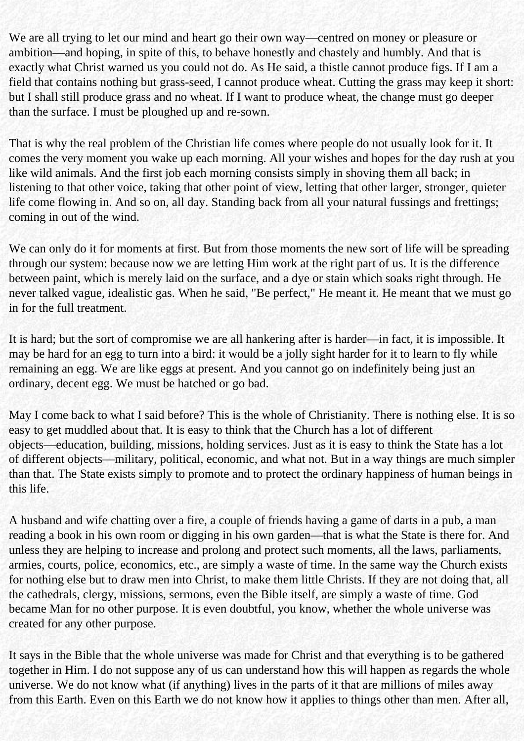We are all trying to let our mind and heart go their own way—centred on money or pleasure or ambition—and hoping, in spite of this, to behave honestly and chastely and humbly. And that is exactly what Christ warned us you could not do. As He said, a thistle cannot produce figs. If I am a field that contains nothing but grass-seed, I cannot produce wheat. Cutting the grass may keep it short: but I shall still produce grass and no wheat. If I want to produce wheat, the change must go deeper than the surface. I must be ploughed up and re-sown.

That is why the real problem of the Christian life comes where people do not usually look for it. It comes the very moment you wake up each morning. All your wishes and hopes for the day rush at you like wild animals. And the first job each morning consists simply in shoving them all back; in listening to that other voice, taking that other point of view, letting that other larger, stronger, quieter life come flowing in. And so on, all day. Standing back from all your natural fussings and frettings; coming in out of the wind.

We can only do it for moments at first. But from those moments the new sort of life will be spreading through our system: because now we are letting Him work at the right part of us. It is the difference between paint, which is merely laid on the surface, and a dye or stain which soaks right through. He never talked vague, idealistic gas. When he said, "Be perfect," He meant it. He meant that we must go in for the full treatment.

It is hard; but the sort of compromise we are all hankering after is harder—in fact, it is impossible. It may be hard for an egg to turn into a bird: it would be a jolly sight harder for it to learn to fly while remaining an egg. We are like eggs at present. And you cannot go on indefinitely being just an ordinary, decent egg. We must be hatched or go bad.

May I come back to what I said before? This is the whole of Christianity. There is nothing else. It is so easy to get muddled about that. It is easy to think that the Church has a lot of different objects—education, building, missions, holding services. Just as it is easy to think the State has a lot of different objects—military, political, economic, and what not. But in a way things are much simpler than that. The State exists simply to promote and to protect the ordinary happiness of human beings in this life.

A husband and wife chatting over a fire, a couple of friends having a game of darts in a pub, a man reading a book in his own room or digging in his own garden—that is what the State is there for. And unless they are helping to increase and prolong and protect such moments, all the laws, parliaments, armies, courts, police, economics, etc., are simply a waste of time. In the same way the Church exists for nothing else but to draw men into Christ, to make them little Christs. If they are not doing that, all the cathedrals, clergy, missions, sermons, even the Bible itself, are simply a waste of time. God became Man for no other purpose. It is even doubtful, you know, whether the whole universe was created for any other purpose.

It says in the Bible that the whole universe was made for Christ and that everything is to be gathered together in Him. I do not suppose any of us can understand how this will happen as regards the whole universe. We do not know what (if anything) lives in the parts of it that are millions of miles away from this Earth. Even on this Earth we do not know how it applies to things other than men. After all,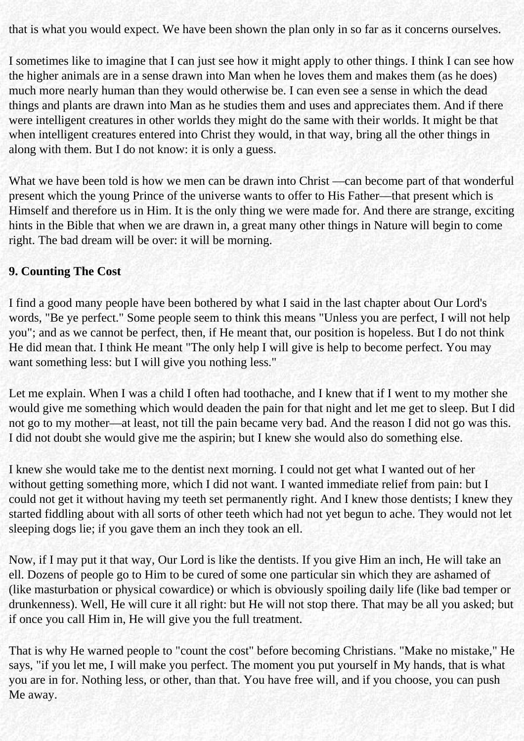that is what you would expect. We have been shown the plan only in so far as it concerns ourselves.

I sometimes like to imagine that I can just see how it might apply to other things. I think I can see how the higher animals are in a sense drawn into Man when he loves them and makes them (as he does) much more nearly human than they would otherwise be. I can even see a sense in which the dead things and plants are drawn into Man as he studies them and uses and appreciates them. And if there were intelligent creatures in other worlds they might do the same with their worlds. It might be that when intelligent creatures entered into Christ they would, in that way, bring all the other things in along with them. But I do not know: it is only a guess.

What we have been told is how we men can be drawn into Christ —can become part of that wonderful present which the young Prince of the universe wants to offer to His Father—that present which is Himself and therefore us in Him. It is the only thing we were made for. And there are strange, exciting hints in the Bible that when we are drawn in, a great many other things in Nature will begin to come right. The bad dream will be over: it will be morning.

### **9. Counting The Cost**

I find a good many people have been bothered by what I said in the last chapter about Our Lord's words, "Be ye perfect." Some people seem to think this means "Unless you are perfect, I will not help you"; and as we cannot be perfect, then, if He meant that, our position is hopeless. But I do not think He did mean that. I think He meant "The only help I will give is help to become perfect. You may want something less: but I will give you nothing less."

Let me explain. When I was a child I often had toothache, and I knew that if I went to my mother she would give me something which would deaden the pain for that night and let me get to sleep. But I did not go to my mother—at least, not till the pain became very bad. And the reason I did not go was this. I did not doubt she would give me the aspirin; but I knew she would also do something else.

I knew she would take me to the dentist next morning. I could not get what I wanted out of her without getting something more, which I did not want. I wanted immediate relief from pain: but I could not get it without having my teeth set permanently right. And I knew those dentists; I knew they started fiddling about with all sorts of other teeth which had not yet begun to ache. They would not let sleeping dogs lie; if you gave them an inch they took an ell.

Now, if I may put it that way, Our Lord is like the dentists. If you give Him an inch, He will take an ell. Dozens of people go to Him to be cured of some one particular sin which they are ashamed of (like masturbation or physical cowardice) or which is obviously spoiling daily life (like bad temper or drunkenness). Well, He will cure it all right: but He will not stop there. That may be all you asked; but if once you call Him in, He will give you the full treatment.

That is why He warned people to "count the cost" before becoming Christians. "Make no mistake," He says, "if you let me, I will make you perfect. The moment you put yourself in My hands, that is what you are in for. Nothing less, or other, than that. You have free will, and if you choose, you can push Me away.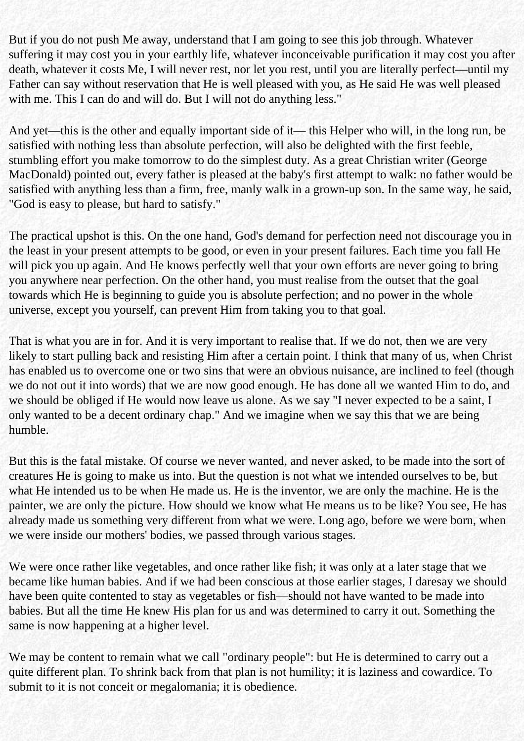But if you do not push Me away, understand that I am going to see this job through. Whatever suffering it may cost you in your earthly life, whatever inconceivable purification it may cost you after death, whatever it costs Me, I will never rest, nor let you rest, until you are literally perfect—until my Father can say without reservation that He is well pleased with you, as He said He was well pleased with me. This I can do and will do. But I will not do anything less."

And yet—this is the other and equally important side of it— this Helper who will, in the long run, be satisfied with nothing less than absolute perfection, will also be delighted with the first feeble, stumbling effort you make tomorrow to do the simplest duty. As a great Christian writer (George MacDonald) pointed out, every father is pleased at the baby's first attempt to walk: no father would be satisfied with anything less than a firm, free, manly walk in a grown-up son. In the same way, he said, "God is easy to please, but hard to satisfy."

The practical upshot is this. On the one hand, God's demand for perfection need not discourage you in the least in your present attempts to be good, or even in your present failures. Each time you fall He will pick you up again. And He knows perfectly well that your own efforts are never going to bring you anywhere near perfection. On the other hand, you must realise from the outset that the goal towards which He is beginning to guide you is absolute perfection; and no power in the whole universe, except you yourself, can prevent Him from taking you to that goal.

That is what you are in for. And it is very important to realise that. If we do not, then we are very likely to start pulling back and resisting Him after a certain point. I think that many of us, when Christ has enabled us to overcome one or two sins that were an obvious nuisance, are inclined to feel (though we do not out it into words) that we are now good enough. He has done all we wanted Him to do, and we should be obliged if He would now leave us alone. As we say "I never expected to be a saint, I only wanted to be a decent ordinary chap." And we imagine when we say this that we are being humble.

But this is the fatal mistake. Of course we never wanted, and never asked, to be made into the sort of creatures He is going to make us into. But the question is not what we intended ourselves to be, but what He intended us to be when He made us. He is the inventor, we are only the machine. He is the painter, we are only the picture. How should we know what He means us to be like? You see, He has already made us something very different from what we were. Long ago, before we were born, when we were inside our mothers' bodies, we passed through various stages.

We were once rather like vegetables, and once rather like fish; it was only at a later stage that we became like human babies. And if we had been conscious at those earlier stages, I daresay we should have been quite contented to stay as vegetables or fish—should not have wanted to be made into babies. But all the time He knew His plan for us and was determined to carry it out. Something the same is now happening at a higher level.

We may be content to remain what we call "ordinary people": but He is determined to carry out a quite different plan. To shrink back from that plan is not humility; it is laziness and cowardice. To submit to it is not conceit or megalomania; it is obedience.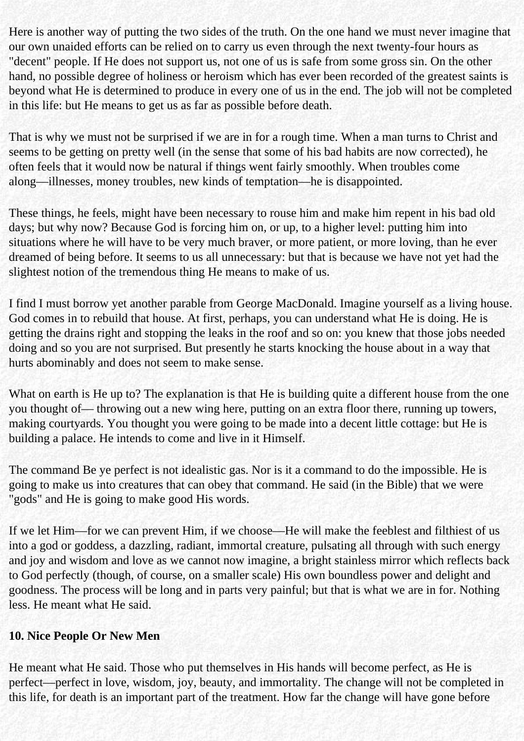Here is another way of putting the two sides of the truth. On the one hand we must never imagine that our own unaided efforts can be relied on to carry us even through the next twenty-four hours as "decent" people. If He does not support us, not one of us is safe from some gross sin. On the other hand, no possible degree of holiness or heroism which has ever been recorded of the greatest saints is beyond what He is determined to produce in every one of us in the end. The job will not be completed in this life: but He means to get us as far as possible before death.

That is why we must not be surprised if we are in for a rough time. When a man turns to Christ and seems to be getting on pretty well (in the sense that some of his bad habits are now corrected), he often feels that it would now be natural if things went fairly smoothly. When troubles come along—illnesses, money troubles, new kinds of temptation—he is disappointed.

These things, he feels, might have been necessary to rouse him and make him repent in his bad old days; but why now? Because God is forcing him on, or up, to a higher level: putting him into situations where he will have to be very much braver, or more patient, or more loving, than he ever dreamed of being before. It seems to us all unnecessary: but that is because we have not yet had the slightest notion of the tremendous thing He means to make of us.

I find I must borrow yet another parable from George MacDonald. Imagine yourself as a living house. God comes in to rebuild that house. At first, perhaps, you can understand what He is doing. He is getting the drains right and stopping the leaks in the roof and so on: you knew that those jobs needed doing and so you are not surprised. But presently he starts knocking the house about in a way that hurts abominably and does not seem to make sense.

What on earth is He up to? The explanation is that He is building quite a different house from the one you thought of— throwing out a new wing here, putting on an extra floor there, running up towers, making courtyards. You thought you were going to be made into a decent little cottage: but He is building a palace. He intends to come and live in it Himself.

The command Be ye perfect is not idealistic gas. Nor is it a command to do the impossible. He is going to make us into creatures that can obey that command. He said (in the Bible) that we were "gods" and He is going to make good His words.

If we let Him—for we can prevent Him, if we choose—He will make the feeblest and filthiest of us into a god or goddess, a dazzling, radiant, immortal creature, pulsating all through with such energy and joy and wisdom and love as we cannot now imagine, a bright stainless mirror which reflects back to God perfectly (though, of course, on a smaller scale) His own boundless power and delight and goodness. The process will be long and in parts very painful; but that is what we are in for. Nothing less. He meant what He said.

# **10. Nice People Or New Men**

He meant what He said. Those who put themselves in His hands will become perfect, as He is perfect—perfect in love, wisdom, joy, beauty, and immortality. The change will not be completed in this life, for death is an important part of the treatment. How far the change will have gone before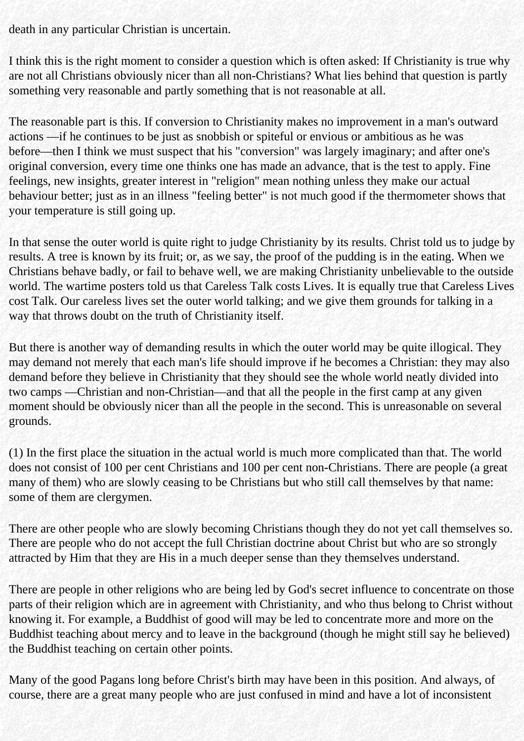death in any particular Christian is uncertain.

I think this is the right moment to consider a question which is often asked: If Christianity is true why are not all Christians obviously nicer than all non-Christians? What lies behind that question is partly something very reasonable and partly something that is not reasonable at all.

The reasonable part is this. If conversion to Christianity makes no improvement in a man's outward actions —if he continues to be just as snobbish or spiteful or envious or ambitious as he was before—then I think we must suspect that his "conversion" was largely imaginary; and after one's original conversion, every time one thinks one has made an advance, that is the test to apply. Fine feelings, new insights, greater interest in "religion" mean nothing unless they make our actual behaviour better; just as in an illness "feeling better" is not much good if the thermometer shows that your temperature is still going up.

In that sense the outer world is quite right to judge Christianity by its results. Christ told us to judge by results. A tree is known by its fruit; or, as we say, the proof of the pudding is in the eating. When we Christians behave badly, or fail to behave well, we are making Christianity unbelievable to the outside world. The wartime posters told us that Careless Talk costs Lives. It is equally true that Careless Lives cost Talk. Our careless lives set the outer world talking; and we give them grounds for talking in a way that throws doubt on the truth of Christianity itself.

But there is another way of demanding results in which the outer world may be quite illogical. They may demand not merely that each man's life should improve if he becomes a Christian: they may also demand before they believe in Christianity that they should see the whole world neatly divided into two camps —Christian and non-Christian—and that all the people in the first camp at any given moment should be obviously nicer than all the people in the second. This is unreasonable on several grounds.

(1) In the first place the situation in the actual world is much more complicated than that. The world does not consist of 100 per cent Christians and 100 per cent non-Christians. There are people (a great many of them) who are slowly ceasing to be Christians but who still call themselves by that name: some of them are clergymen.

There are other people who are slowly becoming Christians though they do not yet call themselves so. There are people who do not accept the full Christian doctrine about Christ but who are so strongly attracted by Him that they are His in a much deeper sense than they themselves understand.

There are people in other religions who are being led by God's secret influence to concentrate on those parts of their religion which are in agreement with Christianity, and who thus belong to Christ without knowing it. For example, a Buddhist of good will may be led to concentrate more and more on the Buddhist teaching about mercy and to leave in the background (though he might still say he believed) the Buddhist teaching on certain other points.

Many of the good Pagans long before Christ's birth may have been in this position. And always, of course, there are a great many people who are just confused in mind and have a lot of inconsistent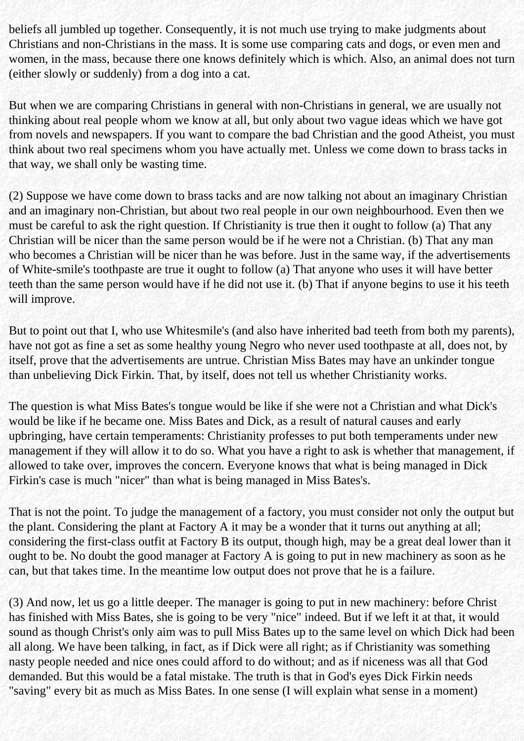beliefs all jumbled up together. Consequently, it is not much use trying to make judgments about Christians and non-Christians in the mass. It is some use comparing cats and dogs, or even men and women, in the mass, because there one knows definitely which is which. Also, an animal does not turn (either slowly or suddenly) from a dog into a cat.

But when we are comparing Christians in general with non-Christians in general, we are usually not thinking about real people whom we know at all, but only about two vague ideas which we have got from novels and newspapers. If you want to compare the bad Christian and the good Atheist, you must think about two real specimens whom you have actually met. Unless we come down to brass tacks in that way, we shall only be wasting time.

(2) Suppose we have come down to brass tacks and are now talking not about an imaginary Christian and an imaginary non-Christian, but about two real people in our own neighbourhood. Even then we must be careful to ask the right question. If Christianity is true then it ought to follow (a) That any Christian will be nicer than the same person would be if he were not a Christian. (b) That any man who becomes a Christian will be nicer than he was before. Just in the same way, if the advertisements of White-smile's toothpaste are true it ought to follow (a) That anyone who uses it will have better teeth than the same person would have if he did not use it. (b) That if anyone begins to use it his teeth will improve.

But to point out that I, who use Whitesmile's (and also have inherited bad teeth from both my parents), have not got as fine a set as some healthy young Negro who never used toothpaste at all, does not, by itself, prove that the advertisements are untrue. Christian Miss Bates may have an unkinder tongue than unbelieving Dick Firkin. That, by itself, does not tell us whether Christianity works.

The question is what Miss Bates's tongue would be like if she were not a Christian and what Dick's would be like if he became one. Miss Bates and Dick, as a result of natural causes and early upbringing, have certain temperaments: Christianity professes to put both temperaments under new management if they will allow it to do so. What you have a right to ask is whether that management, if allowed to take over, improves the concern. Everyone knows that what is being managed in Dick Firkin's case is much "nicer" than what is being managed in Miss Bates's.

That is not the point. To judge the management of a factory, you must consider not only the output but the plant. Considering the plant at Factory A it may be a wonder that it turns out anything at all; considering the first-class outfit at Factory B its output, though high, may be a great deal lower than it ought to be. No doubt the good manager at Factory A is going to put in new machinery as soon as he can, but that takes time. In the meantime low output does not prove that he is a failure.

(3) And now, let us go a little deeper. The manager is going to put in new machinery: before Christ has finished with Miss Bates, she is going to be very "nice" indeed. But if we left it at that, it would sound as though Christ's only aim was to pull Miss Bates up to the same level on which Dick had been all along. We have been talking, in fact, as if Dick were all right; as if Christianity was something nasty people needed and nice ones could afford to do without; and as if niceness was all that God demanded. But this would be a fatal mistake. The truth is that in God's eyes Dick Firkin needs "saving" every bit as much as Miss Bates. In one sense (I will explain what sense in a moment)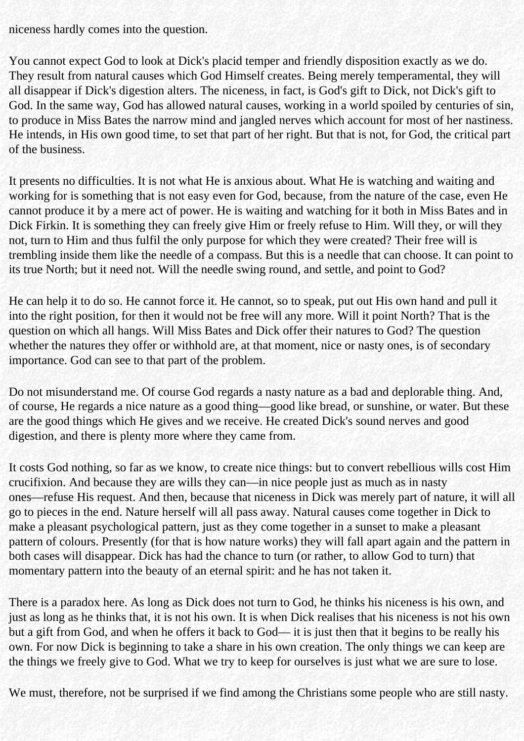niceness hardly comes into the question.

You cannot expect God to look at Dick's placid temper and friendly disposition exactly as we do. They result from natural causes which God Himself creates. Being merely temperamental, they will all disappear if Dick's digestion alters. The niceness, in fact, is God's gift to Dick, not Dick's gift to God. In the same way, God has allowed natural causes, working in a world spoiled by centuries of sin, to produce in Miss Bates the narrow mind and jangled nerves which account for most of her nastiness. He intends, in His own good time, to set that part of her right. But that is not, for God, the critical part of the business.

It presents no difficulties. It is not what He is anxious about. What He is watching and waiting and working for is something that is not easy even for God, because, from the nature of the case, even He cannot produce it by a mere act of power. He is waiting and watching for it both in Miss Bates and in Dick Firkin. It is something they can freely give Him or freely refuse to Him. Will they, or will they not, turn to Him and thus fulfil the only purpose for which they were created? Their free will is trembling inside them like the needle of a compass. But this is a needle that can choose. It can point to its true North; but it need not. Will the needle swing round, and settle, and point to God?

He can help it to do so. He cannot force it. He cannot, so to speak, put out His own hand and pull it into the right position, for then it would not be free will any more. Will it point North? That is the question on which all hangs. Will Miss Bates and Dick offer their natures to God? The question whether the natures they offer or withhold are, at that moment, nice or nasty ones, is of secondary importance. God can see to that part of the problem.

Do not misunderstand me. Of course God regards a nasty nature as a bad and deplorable thing. And, of course, He regards a nice nature as a good thing—good like bread, or sunshine, or water. But these are the good things which He gives and we receive. He created Dick's sound nerves and good digestion, and there is plenty more where they came from.

It costs God nothing, so far as we know, to create nice things: but to convert rebellious wills cost Him crucifixion. And because they are wills they can—in nice people just as much as in nasty ones—refuse His request. And then, because that niceness in Dick was merely part of nature, it will all go to pieces in the end. Nature herself will all pass away. Natural causes come together in Dick to make a pleasant psychological pattern, just as they come together in a sunset to make a pleasant pattern of colours. Presently (for that is how nature works) they will fall apart again and the pattern in both cases will disappear. Dick has had the chance to turn (or rather, to allow God to turn) that momentary pattern into the beauty of an eternal spirit: and he has not taken it.

There is a paradox here. As long as Dick does not turn to God, he thinks his niceness is his own, and just as long as he thinks that, it is not his own. It is when Dick realises that his niceness is not his own but a gift from God, and when he offers it back to God— it is just then that it begins to be really his own. For now Dick is beginning to take a share in his own creation. The only things we can keep are the things we freely give to God. What we try to keep for ourselves is just what we are sure to lose.

We must, therefore, not be surprised if we find among the Christians some people who are still nasty.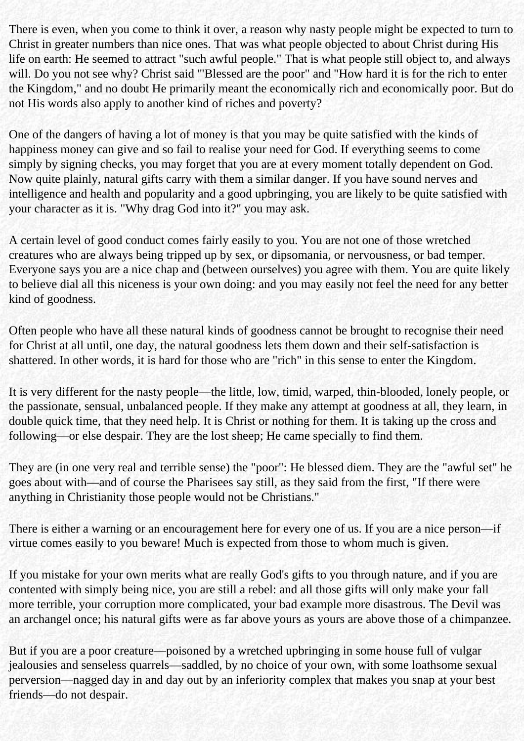There is even, when you come to think it over, a reason why nasty people might be expected to turn to Christ in greater numbers than nice ones. That was what people objected to about Christ during His life on earth: He seemed to attract "such awful people." That is what people still object to, and always will. Do you not see why? Christ said "Blessed are the poor" and "How hard it is for the rich to enter the Kingdom," and no doubt He primarily meant the economically rich and economically poor. But do not His words also apply to another kind of riches and poverty?

One of the dangers of having a lot of money is that you may be quite satisfied with the kinds of happiness money can give and so fail to realise your need for God. If everything seems to come simply by signing checks, you may forget that you are at every moment totally dependent on God. Now quite plainly, natural gifts carry with them a similar danger. If you have sound nerves and intelligence and health and popularity and a good upbringing, you are likely to be quite satisfied with your character as it is. "Why drag God into it?" you may ask.

A certain level of good conduct comes fairly easily to you. You are not one of those wretched creatures who are always being tripped up by sex, or dipsomania, or nervousness, or bad temper. Everyone says you are a nice chap and (between ourselves) you agree with them. You are quite likely to believe dial all this niceness is your own doing: and you may easily not feel the need for any better kind of goodness.

Often people who have all these natural kinds of goodness cannot be brought to recognise their need for Christ at all until, one day, the natural goodness lets them down and their self-satisfaction is shattered. In other words, it is hard for those who are "rich" in this sense to enter the Kingdom.

It is very different for the nasty people—the little, low, timid, warped, thin-blooded, lonely people, or the passionate, sensual, unbalanced people. If they make any attempt at goodness at all, they learn, in double quick time, that they need help. It is Christ or nothing for them. It is taking up the cross and following—or else despair. They are the lost sheep; He came specially to find them.

They are (in one very real and terrible sense) the "poor": He blessed diem. They are the "awful set" he goes about with—and of course the Pharisees say still, as they said from the first, "If there were anything in Christianity those people would not be Christians."

There is either a warning or an encouragement here for every one of us. If you are a nice person—if virtue comes easily to you beware! Much is expected from those to whom much is given.

If you mistake for your own merits what are really God's gifts to you through nature, and if you are contented with simply being nice, you are still a rebel: and all those gifts will only make your fall more terrible, your corruption more complicated, your bad example more disastrous. The Devil was an archangel once; his natural gifts were as far above yours as yours are above those of a chimpanzee.

But if you are a poor creature—poisoned by a wretched upbringing in some house full of vulgar jealousies and senseless quarrels—saddled, by no choice of your own, with some loathsome sexual perversion—nagged day in and day out by an inferiority complex that makes you snap at your best friends—do not despair.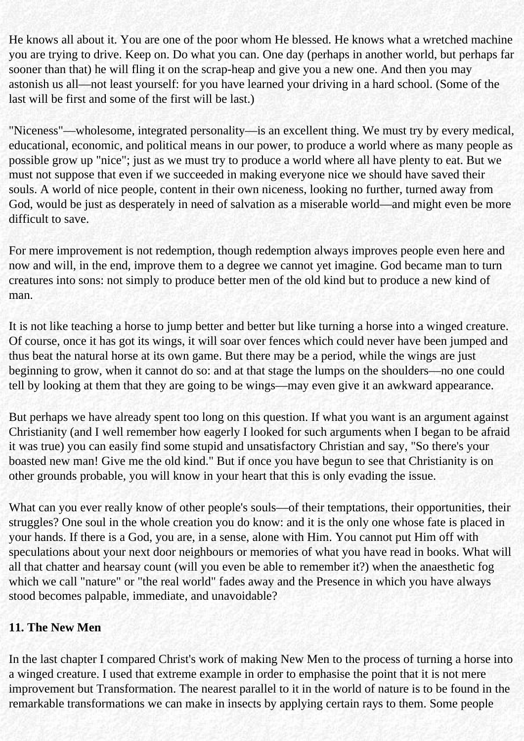He knows all about it. You are one of the poor whom He blessed. He knows what a wretched machine you are trying to drive. Keep on. Do what you can. One day (perhaps in another world, but perhaps far sooner than that) he will fling it on the scrap-heap and give you a new one. And then you may astonish us all—not least yourself: for you have learned your driving in a hard school. (Some of the last will be first and some of the first will be last.)

"Niceness"—wholesome, integrated personality—is an excellent thing. We must try by every medical, educational, economic, and political means in our power, to produce a world where as many people as possible grow up "nice"; just as we must try to produce a world where all have plenty to eat. But we must not suppose that even if we succeeded in making everyone nice we should have saved their souls. A world of nice people, content in their own niceness, looking no further, turned away from God, would be just as desperately in need of salvation as a miserable world—and might even be more difficult to save.

For mere improvement is not redemption, though redemption always improves people even here and now and will, in the end, improve them to a degree we cannot yet imagine. God became man to turn creatures into sons: not simply to produce better men of the old kind but to produce a new kind of man.

It is not like teaching a horse to jump better and better but like turning a horse into a winged creature. Of course, once it has got its wings, it will soar over fences which could never have been jumped and thus beat the natural horse at its own game. But there may be a period, while the wings are just beginning to grow, when it cannot do so: and at that stage the lumps on the shoulders—no one could tell by looking at them that they are going to be wings—may even give it an awkward appearance.

But perhaps we have already spent too long on this question. If what you want is an argument against Christianity (and I well remember how eagerly I looked for such arguments when I began to be afraid it was true) you can easily find some stupid and unsatisfactory Christian and say, "So there's your boasted new man! Give me the old kind." But if once you have begun to see that Christianity is on other grounds probable, you will know in your heart that this is only evading the issue.

What can you ever really know of other people's souls—of their temptations, their opportunities, their struggles? One soul in the whole creation you do know: and it is the only one whose fate is placed in your hands. If there is a God, you are, in a sense, alone with Him. You cannot put Him off with speculations about your next door neighbours or memories of what you have read in books. What will all that chatter and hearsay count (will you even be able to remember it?) when the anaesthetic fog which we call "nature" or "the real world" fades away and the Presence in which you have always stood becomes palpable, immediate, and unavoidable?

# **11. The New Men**

In the last chapter I compared Christ's work of making New Men to the process of turning a horse into a winged creature. I used that extreme example in order to emphasise the point that it is not mere improvement but Transformation. The nearest parallel to it in the world of nature is to be found in the remarkable transformations we can make in insects by applying certain rays to them. Some people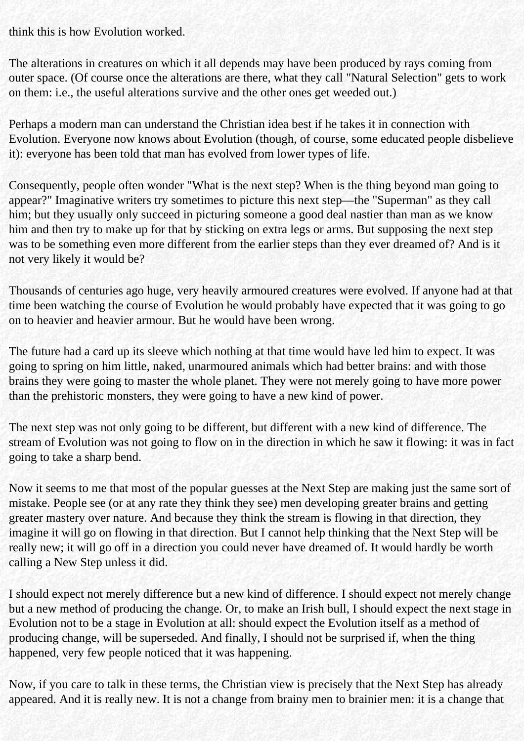think this is how Evolution worked.

The alterations in creatures on which it all depends may have been produced by rays coming from outer space. (Of course once the alterations are there, what they call "Natural Selection" gets to work on them: i.e., the useful alterations survive and the other ones get weeded out.)

Perhaps a modern man can understand the Christian idea best if he takes it in connection with Evolution. Everyone now knows about Evolution (though, of course, some educated people disbelieve it): everyone has been told that man has evolved from lower types of life.

Consequently, people often wonder "What is the next step? When is the thing beyond man going to appear?" Imaginative writers try sometimes to picture this next step—the "Superman" as they call him; but they usually only succeed in picturing someone a good deal nastier than man as we know him and then try to make up for that by sticking on extra legs or arms. But supposing the next step was to be something even more different from the earlier steps than they ever dreamed of? And is it not very likely it would be?

Thousands of centuries ago huge, very heavily armoured creatures were evolved. If anyone had at that time been watching the course of Evolution he would probably have expected that it was going to go on to heavier and heavier armour. But he would have been wrong.

The future had a card up its sleeve which nothing at that time would have led him to expect. It was going to spring on him little, naked, unarmoured animals which had better brains: and with those brains they were going to master the whole planet. They were not merely going to have more power than the prehistoric monsters, they were going to have a new kind of power.

The next step was not only going to be different, but different with a new kind of difference. The stream of Evolution was not going to flow on in the direction in which he saw it flowing: it was in fact going to take a sharp bend.

Now it seems to me that most of the popular guesses at the Next Step are making just the same sort of mistake. People see (or at any rate they think they see) men developing greater brains and getting greater mastery over nature. And because they think the stream is flowing in that direction, they imagine it will go on flowing in that direction. But I cannot help thinking that the Next Step will be really new; it will go off in a direction you could never have dreamed of. It would hardly be worth calling a New Step unless it did.

I should expect not merely difference but a new kind of difference. I should expect not merely change but a new method of producing the change. Or, to make an Irish bull, I should expect the next stage in Evolution not to be a stage in Evolution at all: should expect the Evolution itself as a method of producing change, will be superseded. And finally, I should not be surprised if, when the thing happened, very few people noticed that it was happening.

Now, if you care to talk in these terms, the Christian view is precisely that the Next Step has already appeared. And it is really new. It is not a change from brainy men to brainier men: it is a change that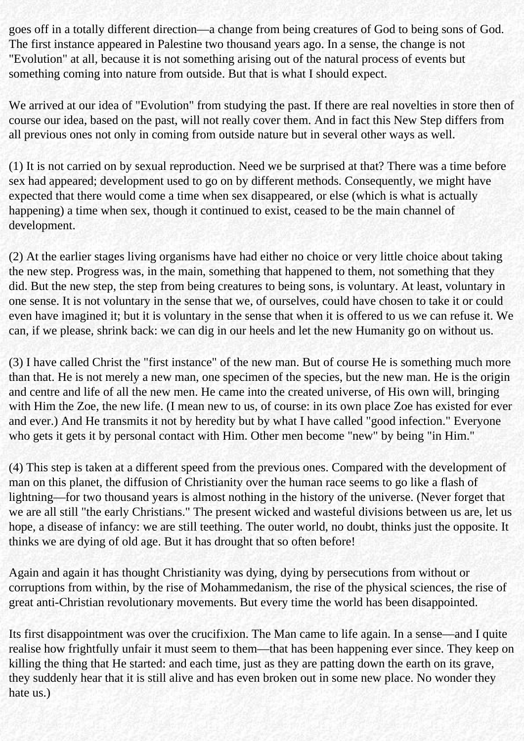goes off in a totally different direction—a change from being creatures of God to being sons of God. The first instance appeared in Palestine two thousand years ago. In a sense, the change is not "Evolution" at all, because it is not something arising out of the natural process of events but something coming into nature from outside. But that is what I should expect.

We arrived at our idea of "Evolution" from studying the past. If there are real novelties in store then of course our idea, based on the past, will not really cover them. And in fact this New Step differs from all previous ones not only in coming from outside nature but in several other ways as well.

(1) It is not carried on by sexual reproduction. Need we be surprised at that? There was a time before sex had appeared; development used to go on by different methods. Consequently, we might have expected that there would come a time when sex disappeared, or else (which is what is actually happening) a time when sex, though it continued to exist, ceased to be the main channel of development.

(2) At the earlier stages living organisms have had either no choice or very little choice about taking the new step. Progress was, in the main, something that happened to them, not something that they did. But the new step, the step from being creatures to being sons, is voluntary. At least, voluntary in one sense. It is not voluntary in the sense that we, of ourselves, could have chosen to take it or could even have imagined it; but it is voluntary in the sense that when it is offered to us we can refuse it. We can, if we please, shrink back: we can dig in our heels and let the new Humanity go on without us.

(3) I have called Christ the "first instance" of the new man. But of course He is something much more than that. He is not merely a new man, one specimen of the species, but the new man. He is the origin and centre and life of all the new men. He came into the created universe, of His own will, bringing with Him the Zoe, the new life. (I mean new to us, of course: in its own place Zoe has existed for ever and ever.) And He transmits it not by heredity but by what I have called "good infection." Everyone who gets it gets it by personal contact with Him. Other men become "new" by being "in Him."

(4) This step is taken at a different speed from the previous ones. Compared with the development of man on this planet, the diffusion of Christianity over the human race seems to go like a flash of lightning—for two thousand years is almost nothing in the history of the universe. (Never forget that we are all still "the early Christians." The present wicked and wasteful divisions between us are, let us hope, a disease of infancy: we are still teething. The outer world, no doubt, thinks just the opposite. It thinks we are dying of old age. But it has drought that so often before!

Again and again it has thought Christianity was dying, dying by persecutions from without or corruptions from within, by the rise of Mohammedanism, the rise of the physical sciences, the rise of great anti-Christian revolutionary movements. But every time the world has been disappointed.

Its first disappointment was over the crucifixion. The Man came to life again. In a sense—and I quite realise how frightfully unfair it must seem to them—that has been happening ever since. They keep on killing the thing that He started: and each time, just as they are patting down the earth on its grave, they suddenly hear that it is still alive and has even broken out in some new place. No wonder they hate us.)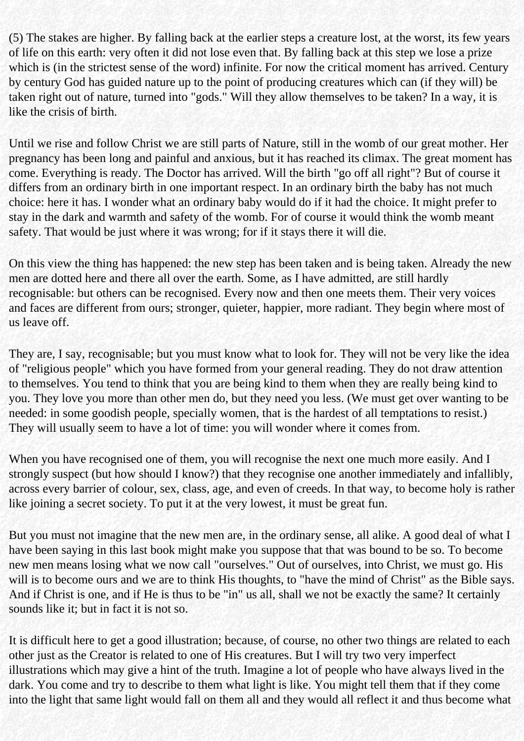(5) The stakes are higher. By falling back at the earlier steps a creature lost, at the worst, its few years of life on this earth: very often it did not lose even that. By falling back at this step we lose a prize which is (in the strictest sense of the word) infinite. For now the critical moment has arrived. Century by century God has guided nature up to the point of producing creatures which can (if they will) be taken right out of nature, turned into "gods." Will they allow themselves to be taken? In a way, it is like the crisis of birth.

Until we rise and follow Christ we are still parts of Nature, still in the womb of our great mother. Her pregnancy has been long and painful and anxious, but it has reached its climax. The great moment has come. Everything is ready. The Doctor has arrived. Will the birth "go off all right"? But of course it differs from an ordinary birth in one important respect. In an ordinary birth the baby has not much choice: here it has. I wonder what an ordinary baby would do if it had the choice. It might prefer to stay in the dark and warmth and safety of the womb. For of course it would think the womb meant safety. That would be just where it was wrong; for if it stays there it will die.

On this view the thing has happened: the new step has been taken and is being taken. Already the new men are dotted here and there all over the earth. Some, as I have admitted, are still hardly recognisable: but others can be recognised. Every now and then one meets them. Their very voices and faces are different from ours; stronger, quieter, happier, more radiant. They begin where most of us leave off.

They are, I say, recognisable; but you must know what to look for. They will not be very like the idea of "religious people" which you have formed from your general reading. They do not draw attention to themselves. You tend to think that you are being kind to them when they are really being kind to you. They love you more than other men do, but they need you less. (We must get over wanting to be needed: in some goodish people, specially women, that is the hardest of all temptations to resist.) They will usually seem to have a lot of time: you will wonder where it comes from.

When you have recognised one of them, you will recognise the next one much more easily. And I strongly suspect (but how should I know?) that they recognise one another immediately and infallibly, across every barrier of colour, sex, class, age, and even of creeds. In that way, to become holy is rather like joining a secret society. To put it at the very lowest, it must be great fun.

But you must not imagine that the new men are, in the ordinary sense, all alike. A good deal of what I have been saying in this last book might make you suppose that that was bound to be so. To become new men means losing what we now call "ourselves." Out of ourselves, into Christ, we must go. His will is to become ours and we are to think His thoughts, to "have the mind of Christ" as the Bible says. And if Christ is one, and if He is thus to be "in" us all, shall we not be exactly the same? It certainly sounds like it; but in fact it is not so.

It is difficult here to get a good illustration; because, of course, no other two things are related to each other just as the Creator is related to one of His creatures. But I will try two very imperfect illustrations which may give a hint of the truth. Imagine a lot of people who have always lived in the dark. You come and try to describe to them what light is like. You might tell them that if they come into the light that same light would fall on them all and they would all reflect it and thus become what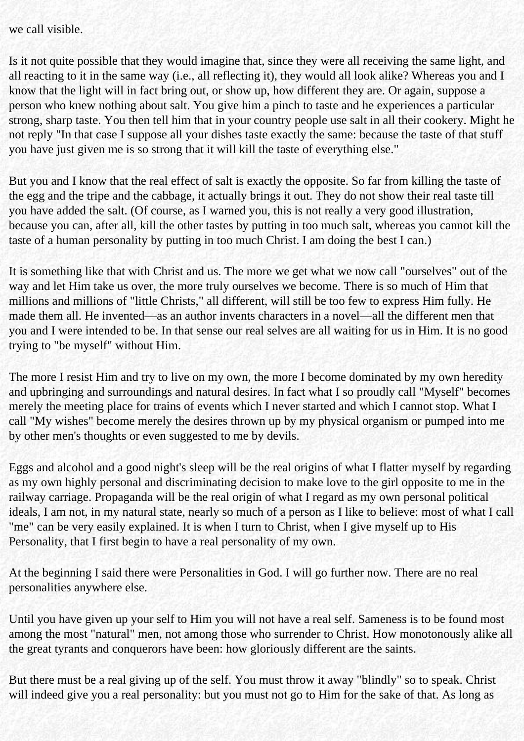we call visible.

Is it not quite possible that they would imagine that, since they were all receiving the same light, and all reacting to it in the same way (i.e., all reflecting it), they would all look alike? Whereas you and I know that the light will in fact bring out, or show up, how different they are. Or again, suppose a person who knew nothing about salt. You give him a pinch to taste and he experiences a particular strong, sharp taste. You then tell him that in your country people use salt in all their cookery. Might he not reply "In that case I suppose all your dishes taste exactly the same: because the taste of that stuff you have just given me is so strong that it will kill the taste of everything else."

But you and I know that the real effect of salt is exactly the opposite. So far from killing the taste of the egg and the tripe and the cabbage, it actually brings it out. They do not show their real taste till you have added the salt. (Of course, as I warned you, this is not really a very good illustration, because you can, after all, kill the other tastes by putting in too much salt, whereas you cannot kill the taste of a human personality by putting in too much Christ. I am doing the best I can.)

It is something like that with Christ and us. The more we get what we now call "ourselves" out of the way and let Him take us over, the more truly ourselves we become. There is so much of Him that millions and millions of "little Christs," all different, will still be too few to express Him fully. He made them all. He invented—as an author invents characters in a novel—all the different men that you and I were intended to be. In that sense our real selves are all waiting for us in Him. It is no good trying to "be myself" without Him.

The more I resist Him and try to live on my own, the more I become dominated by my own heredity and upbringing and surroundings and natural desires. In fact what I so proudly call "Myself" becomes merely the meeting place for trains of events which I never started and which I cannot stop. What I call "My wishes" become merely the desires thrown up by my physical organism or pumped into me by other men's thoughts or even suggested to me by devils.

Eggs and alcohol and a good night's sleep will be the real origins of what I flatter myself by regarding as my own highly personal and discriminating decision to make love to the girl opposite to me in the railway carriage. Propaganda will be the real origin of what I regard as my own personal political ideals, I am not, in my natural state, nearly so much of a person as I like to believe: most of what I call "me" can be very easily explained. It is when I turn to Christ, when I give myself up to His Personality, that I first begin to have a real personality of my own.

At the beginning I said there were Personalities in God. I will go further now. There are no real personalities anywhere else.

Until you have given up your self to Him you will not have a real self. Sameness is to be found most among the most "natural" men, not among those who surrender to Christ. How monotonously alike all the great tyrants and conquerors have been: how gloriously different are the saints.

But there must be a real giving up of the self. You must throw it away "blindly" so to speak. Christ will indeed give you a real personality: but you must not go to Him for the sake of that. As long as